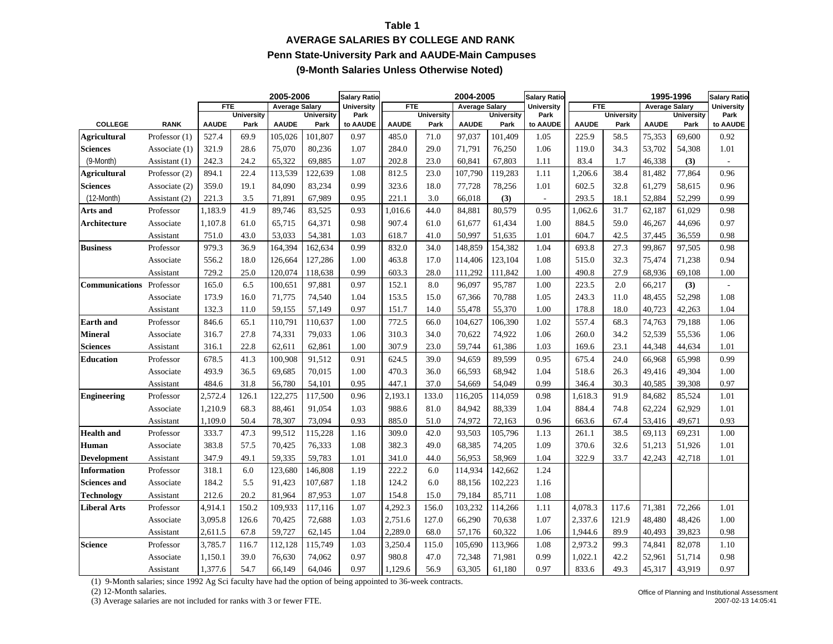### **Table 1AVERAGE SALARIES BY COLLEGE AND RANK Penn State-University Park and AAUDE-Main Campuses (9-Month Salaries Unless Otherwise Noted)**

|                       |                 |              |                           | 2005-2006             |                           | <b>Salary Ratio</b> |              |                           | 2004-2005             |                           | <b>Salary Ratio</b>      |              |                           | 1995-1996             |                           | <b>Salary Ratio</b>      |
|-----------------------|-----------------|--------------|---------------------------|-----------------------|---------------------------|---------------------|--------------|---------------------------|-----------------------|---------------------------|--------------------------|--------------|---------------------------|-----------------------|---------------------------|--------------------------|
|                       |                 | <b>FTE</b>   |                           | <b>Average Salary</b> |                           | <b>University</b>   | <b>FTE</b>   |                           | <b>Average Salary</b> |                           | <b>University</b>        | <b>FTE</b>   |                           | <b>Average Salary</b> |                           | <b>University</b>        |
| <b>COLLEGE</b>        | <b>RANK</b>     | <b>AAUDE</b> | <b>University</b><br>Park | <b>AAUDE</b>          | <b>University</b><br>Park | Park<br>to AAUDE    | <b>AAUDE</b> | <b>University</b><br>Park | <b>AAUDE</b>          | <b>University</b><br>Park | Park<br>to AAUDE         | <b>AAUDE</b> | <b>University</b><br>Park | <b>AAUDE</b>          | <b>University</b><br>Park | Park<br>to AAUDE         |
| <b>Agricultural</b>   | Professor $(1)$ | 527.4        | 69.9                      | 105,026               | 101,807                   | 0.97                | 485.0        | 71.0                      | 97,037                | 101,409                   | 1.05                     | 225.9        | 58.5                      | 75,353                | 69,600                    | 0.92                     |
| <b>Sciences</b>       | Associate (1)   | 321.9        | 28.6                      | 75,070                | 80,236                    | 1.07                | 284.0        | 29.0                      | 71,791                | 76,250                    | 1.06                     | 119.0        | 34.3                      | 53,702                | 54,308                    | 1.01                     |
| (9-Month)             |                 | 242.3        | 24.2                      | 65,322                | 69,885                    | 1.07                | 202.8        | 23.0                      | 60,841                | 67,803                    |                          | 83.4         | 1.7                       | 46,338                |                           |                          |
|                       | Assistant (1)   |              |                           |                       |                           |                     |              |                           |                       |                           | 1.11                     |              |                           |                       | (3)                       |                          |
| Agricultural          | Professor $(2)$ | 894.1        | 22.4                      | 113,539               | 122,639                   | 1.08                | 812.5        | 23.0                      | 107,790               | 119,283                   | 1.11                     | ,206.6       | 38.4                      | 81,482                | 77,864                    | 0.96                     |
| <b>Sciences</b>       | Associate (2)   | 359.0        | 19.1                      | 84,090                | 83,234                    | 0.99                | 323.6        | 18.0                      | 77,728                | 78,256                    | 1.01                     | 602.5        | 32.8                      | 61,279                | 58,615                    | 0.96                     |
| $(12 \text{-Month})$  | Assistant (2)   | 221.3        | 3.5                       | 71,891                | 67,989                    | 0.95                | 221.1        | 3.0                       | 66,018                | (3)                       | $\overline{\phantom{a}}$ | 293.5        | 18.1                      | 52,884                | 52,299                    | 0.99                     |
| Arts and              | Professor       | 1,183.9      | 41.9                      | 89,746                | 83,525                    | 0.93                | 1,016.6      | 44.0                      | 84,881                | 80,579                    | 0.95                     | 1,062.6      | 31.7                      | 62,187                | 61,029                    | 0.98                     |
| Architecture          | Associate       | 1,107.8      | 61.0                      | 65,715                | 64,371                    | 0.98                | 907.4        | 61.0                      | 61,677                | 61,434                    | 1.00                     | 884.5        | 59.0                      | 46,267                | 44,696                    | 0.97                     |
|                       | Assistant       | 751.0        | 43.0                      | 53,033                | 54,381                    | 1.03                | 618.7        | 41.0                      | 50,997                | 51,635                    | 1.01                     | 604.7        | 42.5                      | 37,445                | 36,559                    | 0.98                     |
| <b>Business</b>       | Professor       | 979.3        | 36.9                      | 164,394               | 162,634                   | 0.99                | 832.0        | 34.0                      | 148,859               | 154,382                   | 1.04                     | 693.8        | 27.3                      | 99,867                | 97,505                    | 0.98                     |
|                       | Associate       | 556.2        | 18.0                      | 126,664               | 127,286                   | 1.00                | 463.8        | 17.0                      | 114,406               | 123,104                   | 1.08                     | 515.0        | 32.3                      | 75,474                | 71,238                    | 0.94                     |
|                       | Assistant       | 729.2        | 25.0                      | 120,074               | 118,638                   | 0.99                | 603.3        | 28.0                      | 111,292               | 111,842                   | 1.00                     | 490.8        | 27.9                      | 68,936                | 69,108                    | 1.00                     |
| <b>Communications</b> | Professor       | 165.0        | 6.5                       | 100,651               | 97,881                    | 0.97                | 152.1        | 8.0                       | 96,097                | 95,787                    | 1.00                     | 223.5        | 2.0                       | 66,217                | (3)                       | $\overline{\phantom{a}}$ |
|                       | Associate       | 173.9        | 16.0                      | 71,775                | 74,540                    | 1.04                | 153.5        | 15.0                      | 67,366                | 70,788                    | 1.05                     | 243.3        | 11.0                      | 48,455                | 52,298                    | 1.08                     |
|                       | Assistant       | 132.3        | 11.0                      | 59,155                | 57,149                    | 0.97                | 151.7        | 14.0                      | 55,478                | 55,370                    | 1.00                     | 178.8        | 18.0                      | 40,723                | 42,263                    | 1.04                     |
| <b>Earth</b> and      | Professor       | 846.6        | 65.1                      | 110,791               | 110,637                   | 1.00                | 772.5        | 66.0                      | 104,627               | 106,390                   | 1.02                     | 557.4        | 68.3                      | 74,763                | 79,188                    | 1.06                     |
| <b>Mineral</b>        | Associate       | 316.7        | 27.8                      | 74,331                | 79,033                    | 1.06                | 310.3        | 34.0                      | 70,622                | 74,922                    | 1.06                     | 260.0        | 34.2                      | 52,539                | 55,536                    | 1.06                     |
| <b>Sciences</b>       | Assistant       | 316.1        | 22.8                      | 62,611                | 62,861                    | 1.00                | 307.9        | 23.0                      | 59,744                | 61,386                    | 1.03                     | 169.6        | 23.1                      | 44,348                | 44,634                    | 1.01                     |
| <b>Education</b>      | Professor       | 678.5        | 41.3                      | 100,908               | 91,512                    | 0.91                | 624.5        | 39.0                      | 94,659                | 89,599                    | 0.95                     | 675.4        | 24.0                      | 66,968                | 65,998                    | 0.99                     |
|                       | Associate       | 493.9        | 36.5                      | 69,685                | 70,015                    | 1.00                | 470.3        | 36.0                      | 66,593                | 68,942                    | 1.04                     | 518.6        | 26.3                      | 49,416                | 49,304                    | 1.00                     |
|                       | Assistant       | 484.6        | 31.8                      | 56,780                | 54,101                    | 0.95                | 447.1        | 37.0                      | 54,669                | 54,049                    | 0.99                     | 346.4        | 30.3                      | 40,585                | 39,308                    | 0.97                     |
| <b>Engineering</b>    | Professor       | 2,572.4      | 126.1                     | 122,275               | 117,500                   | 0.96                | 2,193.1      | 133.0                     | 116,205               | 114,059                   | 0.98                     | 1,618.3      | 91.9                      | 84,682                | 85,524                    | 1.01                     |
|                       | Associate       | 1,210.9      | 68.3                      | 88,461                | 91,054                    | 1.03                | 988.6        | 81.0                      | 84,942                | 88,339                    | 1.04                     | 884.4        | 74.8                      | 62,224                | 62,929                    | 1.01                     |
|                       | Assistant       | 1,109.0      | 50.4                      | 78,307                | 73,094                    | 0.93                | 885.0        | 51.0                      | 74,972                | 72,163                    | 0.96                     | 663.6        | 67.4                      | 53,416                | 49,671                    | 0.93                     |
| <b>Health</b> and     | Professor       | 333.7        | 47.3                      | 99,512                | 115,228                   | 1.16                | 309.0        | 42.0                      | 93,503                | 105,796                   | 1.13                     | 261.1        | 38.5                      | 69,113                | 69,231                    | 1.00                     |
| Human                 | Associate       | 383.8        | 57.5                      | 70,425                | 76,333                    | 1.08                | 382.3        | 49.0                      | 68,385                | 74,205                    | 1.09                     | 370.6        | 32.6                      | 51,213                | 51,926                    | 1.01                     |
| <b>Development</b>    | Assistant       | 347.9        | 49.1                      | 59,335                | 59,783                    | 1.01                | 341.0        | 44.0                      | 56,953                | 58,969                    | 1.04                     | 322.9        | 33.7                      | 42,243                | 42,718                    | 1.01                     |
| <b>Information</b>    | Professor       | 318.1        | 6.0                       | 123,680               | 146,808                   | 1.19                | 222.2        | 6.0                       | 114,934               | 142,662                   | 1.24                     |              |                           |                       |                           |                          |
| <b>Sciences and</b>   | Associate       | 184.2        | 5.5                       | 91,423                | 107,687                   | 1.18                | 124.2        | 6.0                       | 88,156                | 102,223                   | 1.16                     |              |                           |                       |                           |                          |
| <b>Technology</b>     | Assistant       | 212.6        | 20.2                      | 81,964                | 87,953                    | 1.07                | 154.8        | 15.0                      | 79,184                | 85,711                    | 1.08                     |              |                           |                       |                           |                          |
| <b>Liberal Arts</b>   | Professor       | 4,914.1      | 150.2                     | 109,933               | 117,116                   | 1.07                | 4,292.3      | 156.0                     | 103,232               | 114,266                   | 1.11                     | 4,078.3      | 117.6                     | 71,381                | 72,266                    | 1.01                     |
|                       | Associate       | 3,095.8      | 126.6                     | 70,425                | 72,688                    | 1.03                | 2,751.6      | 127.0                     | 66,290                | 70,638                    | 1.07                     | 2,337.6      | 121.9                     | 48,480                | 48,426                    | 1.00                     |
|                       | Assistant       |              | 67.8                      | 59,727                | 62,145                    | 1.04                | 2,289.0      | 68.0                      | 57,176                | 60,322                    | 1.06                     | 1,944.6      | 89.9                      | 40,493                | 39,823                    | 0.98                     |
| <b>Science</b>        |                 | 2,611.5      |                           |                       |                           | 1.03                |              | 115.0                     | 105,690               |                           | 1.08                     | 2,973.2      | 99.3                      | 74,841                |                           |                          |
|                       | Professor       | 3,785.7      | 116.7                     | 112,128               | 115,749                   |                     | 3,250.4      |                           |                       | 113,966                   |                          |              |                           |                       | 82,078                    | 1.10                     |
|                       | Associate       | 1,150.1      | 39.0                      | 76,630                | 74,062                    | 0.97                | 980.8        | 47.0                      | 72,348                | 71,981                    | 0.99                     | 1,022.1      | 42.2                      | 52,961                | 51,714                    | 0.98                     |
|                       | Assistant       | 1,377.6      | 54.7                      | 66,149                | 64.046                    | 0.97                | 1,129.6      | 56.9                      | 63,305                | 61,180                    | 0.97                     | 833.6        | 49.3                      | 45,317                | 43.919                    | 0.97                     |

(1) 9-Month salaries; since 1992 Ag Sci faculty have had the option of being appointed to 36-week contracts.

(2) 12-Month salaries.

(3) Average salaries are not included for ranks with 3 or fewer FTE.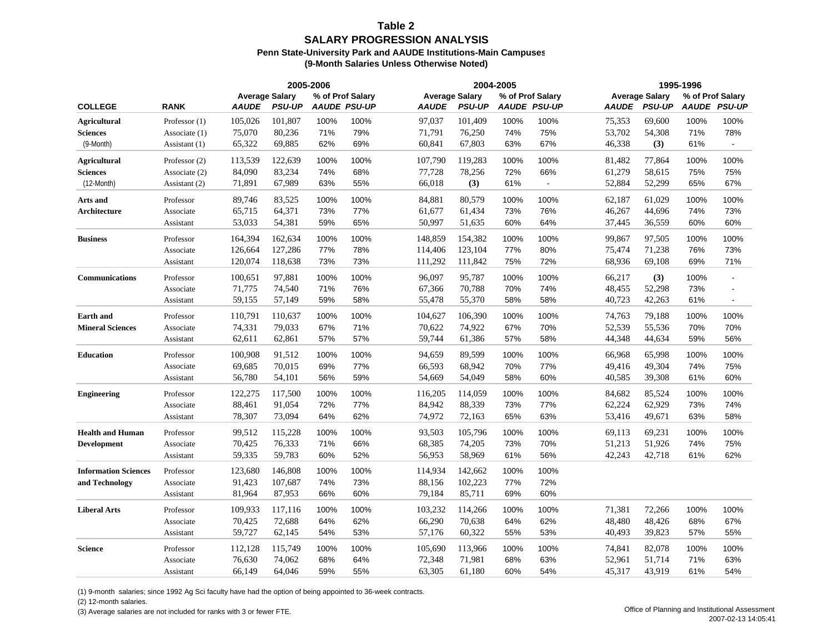#### **Table 2SALARY PROGRESSION ANALYSIS Penn State-University Park and AAUDE Institutions-Main Campuses (9-Month Salaries Unless Otherwise Noted)**

|                             |                 |                                       |               | 2005-2006 |                                         |                                       |               | 2004-2005 |                                         |              |                                        | 1995-1996 |                                         |
|-----------------------------|-----------------|---------------------------------------|---------------|-----------|-----------------------------------------|---------------------------------------|---------------|-----------|-----------------------------------------|--------------|----------------------------------------|-----------|-----------------------------------------|
| <b>COLLEGE</b>              | <b>RANK</b>     | <b>Average Salary</b><br><b>AAUDE</b> | <b>PSU-UP</b> |           | % of Prof Salary<br><b>AAUDE PSU-UP</b> | <b>Average Salary</b><br><b>AAUDE</b> | <b>PSU-UP</b> |           | % of Prof Salary<br><b>AAUDE PSU-UP</b> | <b>AAUDE</b> | <b>Average Salary</b><br><b>PSU-UP</b> |           | % of Prof Salary<br><b>AAUDE PSU-UP</b> |
| <b>Agricultural</b>         | Professor $(1)$ | 105,026                               | 101,807       | 100%      | 100%                                    | 97,037                                | 101,409       | 100%      | 100%                                    | 75,353       | 69,600                                 | 100%      | 100%                                    |
| <b>Sciences</b>             | Associate (1)   | 75,070                                | 80,236        | 71%       | 79%                                     | 71,791                                | 76,250        | 74%       | 75%                                     | 53,702       | 54,308                                 | 71%       | 78%                                     |
| (9-Month)                   | Assistant (1)   | 65,322                                | 69,885        | 62%       | 69%                                     | 60,841                                | 67,803        | 63%       | 67%                                     | 46,338       | (3)                                    | 61%       |                                         |
| <b>Agricultural</b>         | Professor (2)   | 113,539                               | 122,639       | 100%      | 100%                                    | 107,790                               | 119,283       | 100%      | 100%                                    | 81,482       | 77,864                                 | 100%      | 100%                                    |
| <b>Sciences</b>             | Associate (2)   | 84,090                                | 83,234        | 74%       | 68%                                     | 77,728                                | 78,256        | 72%       | 66%                                     | 61,279       | 58,615                                 | 75%       | 75%                                     |
| $(12 \text{-Month})$        | Assistant (2)   | 71,891                                | 67,989        | 63%       | 55%                                     | 66,018                                | (3)           | 61%       | $\overline{\phantom{a}}$                | 52,884       | 52,299                                 | 65%       | 67%                                     |
| Arts and                    | Professor       | 89,746                                | 83,525        | 100%      | 100%                                    | 84,881                                | 80,579        | 100%      | 100%                                    | 62,187       | 61,029                                 | 100%      | 100%                                    |
| Architecture                | Associate       | 65,715                                | 64,371        | 73%       | 77%                                     | 61,677                                | 61.434        | 73%       | 76%                                     | 46,267       | 44,696                                 | 74%       | 73%                                     |
|                             | Assistant       | 53,033                                | 54,381        | 59%       | 65%                                     | 50,997                                | 51,635        | 60%       | 64%                                     | 37,445       | 36,559                                 | 60%       | 60%                                     |
| <b>Business</b>             | Professor       | 164,394                               | 162,634       | 100%      | 100%                                    | 148,859                               | 154,382       | 100%      | 100%                                    | 99,867       | 97,505                                 | 100%      | 100%                                    |
|                             | Associate       | 126,664                               | 127,286       | 77%       | 78%                                     | 114,406                               | 123,104       | 77%       | 80%                                     | 75,474       | 71,238                                 | 76%       | 73%                                     |
|                             | Assistant       | 120,074                               | 118,638       | 73%       | 73%                                     | 111,292                               | 111,842       | 75%       | 72%                                     | 68,936       | 69,108                                 | 69%       | 71%                                     |
| <b>Communications</b>       | Professor       | 100,651                               | 97,881        | 100%      | 100%                                    | 96,097                                | 95.787        | 100%      | 100%                                    | 66,217       | (3)                                    | 100%      | $\blacksquare$                          |
|                             | Associate       | 71,775                                | 74,540        | 71%       | 76%                                     | 67,366                                | 70,788        | 70%       | 74%                                     | 48,455       | 52,298                                 | 73%       | $\overline{\phantom{a}}$                |
|                             | Assistant       | 59,155                                | 57,149        | 59%       | 58%                                     | 55,478                                | 55,370        | 58%       | 58%                                     | 40,723       | 42,263                                 | 61%       |                                         |
| <b>Earth and</b>            | Professor       | 110,791                               | 110,637       | 100%      | 100%                                    | 104,627                               | 106,390       | 100%      | 100%                                    | 74,763       | 79,188                                 | 100%      | 100%                                    |
| <b>Mineral Sciences</b>     | Associate       | 74,331                                | 79,033        | 67%       | 71%                                     | 70,622                                | 74,922        | 67%       | 70%                                     | 52,539       | 55,536                                 | 70%       | 70%                                     |
|                             | Assistant       | 62,611                                | 62,861        | 57%       | 57%                                     | 59,744                                | 61,386        | 57%       | 58%                                     | 44,348       | 44,634                                 | 59%       | 56%                                     |
| <b>Education</b>            | Professor       | 100,908                               | 91,512        | 100%      | 100%                                    | 94,659                                | 89,599        | 100%      | 100%                                    | 66,968       | 65,998                                 | 100%      | 100%                                    |
|                             | Associate       | 69,685                                | 70,015        | 69%       | 77%                                     | 66,593                                | 68,942        | 70%       | 77%                                     | 49,416       | 49,304                                 | 74%       | 75%                                     |
|                             | Assistant       | 56,780                                | 54,101        | 56%       | 59%                                     | 54,669                                | 54,049        | 58%       | 60%                                     | 40,585       | 39,308                                 | 61%       | 60%                                     |
| <b>Engineering</b>          | Professor       | 122,275                               | 117,500       | 100%      | 100%                                    | 116,205                               | 114,059       | 100%      | 100%                                    | 84,682       | 85,524                                 | 100%      | 100%                                    |
|                             | Associate       | 88,461                                | 91,054        | 72%       | 77%                                     | 84,942                                | 88,339        | 73%       | 77%                                     | 62,224       | 62,929                                 | 73%       | 74%                                     |
|                             | Assistant       | 78,307                                | 73,094        | 64%       | 62%                                     | 74,972                                | 72,163        | 65%       | 63%                                     | 53,416       | 49,671                                 | 63%       | 58%                                     |
| <b>Health and Human</b>     | Professor       | 99,512                                | 115,228       | 100%      | 100%                                    | 93,503                                | 105,796       | 100%      | 100%                                    | 69,113       | 69,231                                 | 100%      | 100%                                    |
| <b>Development</b>          | Associate       | 70,425                                | 76,333        | 71%       | 66%                                     | 68,385                                | 74,205        | 73%       | 70%                                     | 51,213       | 51,926                                 | 74%       | 75%                                     |
|                             | Assistant       | 59,335                                | 59,783        | 60%       | 52%                                     | 56,953                                | 58,969        | 61%       | 56%                                     | 42,243       | 42,718                                 | 61%       | 62%                                     |
| <b>Information Sciences</b> | Professor       | 123,680                               | 146,808       | 100%      | 100%                                    | 114,934                               | 142,662       | 100%      | 100%                                    |              |                                        |           |                                         |
| and Technology              | Associate       | 91,423                                | 107,687       | 74%       | 73%                                     | 88,156                                | 102,223       | 77%       | 72%                                     |              |                                        |           |                                         |
|                             | Assistant       | 81,964                                | 87,953        | 66%       | 60%                                     | 79,184                                | 85,711        | 69%       | 60%                                     |              |                                        |           |                                         |
| <b>Liberal Arts</b>         | Professor       | 109,933                               | 117,116       | 100%      | 100%                                    | 103,232                               | 114,266       | 100%      | 100%                                    | 71,381       | 72,266                                 | 100%      | 100%                                    |
|                             | Associate       | 70,425                                | 72,688        | 64%       | 62%                                     | 66,290                                | 70,638        | 64%       | 62%                                     | 48,480       | 48,426                                 | 68%       | 67%                                     |
|                             | Assistant       | 59,727                                | 62,145        | 54%       | 53%                                     | 57,176                                | 60,322        | 55%       | 53%                                     | 40,493       | 39,823                                 | 57%       | 55%                                     |
| <b>Science</b>              | Professor       | 112,128                               | 115,749       | 100%      | 100%                                    | 105,690                               | 113,966       | 100%      | 100%                                    | 74,841       | 82,078                                 | 100%      | 100%                                    |
|                             | Associate       | 76,630                                | 74,062        | 68%       | 64%                                     | 72,348                                | 71,981        | 68%       | 63%                                     | 52,961       | 51,714                                 | 71%       | 63%                                     |
|                             | Assistant       | 66,149                                | 64,046        | 59%       | 55%                                     | 63,305                                | 61,180        | 60%       | 54%                                     | 45,317       | 43,919                                 | 61%       | 54%                                     |

(1) 9-month salaries; since 1992 Ag Sci faculty have had the option of being appointed to 36-week contracts.

(2) 12-month salaries.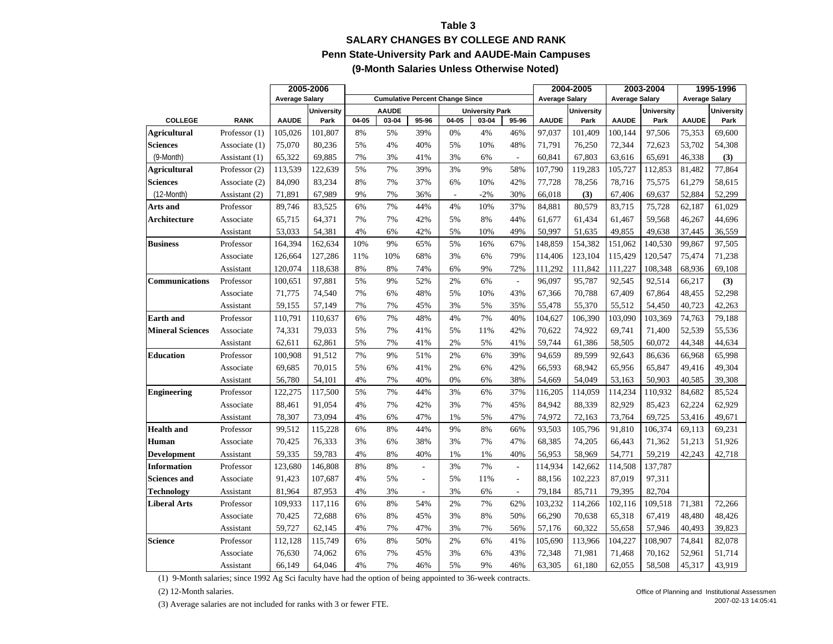### **Table 3 SALARY CHANGES BY COLLEGE AND RANK Penn State-University Park and AAUDE-Main Campuses (9-Month Salaries Unless Otherwise Noted)**

|                         |                 |                       | 2005-2006<br><b>Cumulative Percent Change Since</b> |       |              | 2004-2005                |                          | 2003-2004              |                          | 1995-1996             |                   |                       |                   |                       |                   |
|-------------------------|-----------------|-----------------------|-----------------------------------------------------|-------|--------------|--------------------------|--------------------------|------------------------|--------------------------|-----------------------|-------------------|-----------------------|-------------------|-----------------------|-------------------|
|                         |                 | <b>Average Salary</b> |                                                     |       |              |                          |                          |                        |                          | <b>Average Salary</b> |                   | <b>Average Salary</b> |                   | <b>Average Salary</b> |                   |
|                         |                 |                       | <b>University</b>                                   |       | <b>AAUDE</b> |                          |                          | <b>University Park</b> |                          |                       | <b>University</b> |                       | <b>University</b> |                       | <b>University</b> |
| <b>COLLEGE</b>          | <b>RANK</b>     | <b>AAUDE</b>          | Park                                                | 04-05 | 03-04        | 95-96                    | 04-05                    | 03-04                  | 95-96                    | <b>AAUDE</b>          | Park              | <b>AAUDE</b>          | Park              | <b>AAUDE</b>          | Park              |
| <b>Agricultural</b>     | Professor $(1)$ | 105,026               | 101,807                                             | 8%    | 5%           | 39%                      | 0%                       | 4%                     | 46%                      | 97,037                | 101,409           | 100,144               | 97,506            | 75,353                | 69,600            |
| <b>Sciences</b>         | Associate (1)   | 75,070                | 80,236                                              | 5%    | 4%           | 40%                      | 5%                       | 10%                    | 48%                      | 71,791                | 76,250            | 72,344                | 72,623            | 53,702                | 54,308            |
| (9-Month)               | Assistant $(1)$ | 65,322                | 69,885                                              | 7%    | 3%           | 41%                      | 3%                       | 6%                     | $\overline{\phantom{a}}$ | 60,841                | 67,803            | 63,616                | 65,691            | 46,338                | (3)               |
| Agricultural            | Professor $(2)$ | 113,539               | 122,639                                             | 5%    | 7%           | 39%                      | 3%                       | 9%                     | 58%                      | 107.790               | 119,283           | 105,727               | 112,853           | 81,482                | 77,864            |
| <b>Sciences</b>         | Associate (2)   | 84,090                | 83,234                                              | 8%    | 7%           | 37%                      | 6%                       | 10%                    | 42%                      | 77,728                | 78,256            | 78,716                | 75,575            | 61,279                | 58,615            |
| $(12 \text{-Month})$    | Assistant (2)   | 71,891                | 67,989                                              | 9%    | 7%           | 36%                      | $\overline{\phantom{a}}$ | $-2%$                  | 30%                      | 66,018                | (3)               | 67,406                | 69,637            | 52,884                | 52,299            |
| Arts and                | Professor       | 89,746                | 83,525                                              | 6%    | 7%           | 44%                      | 4%                       | 10%                    | 37%                      | 84,881                | 80,579            | 83,715                | 75,728            | 62,187                | 61,029            |
| Architecture            | Associate       | 65,715                | 64,371                                              | 7%    | 7%           | 42%                      | 5%                       | 8%                     | 44%                      | 61,677                | 61,434            | 61,467                | 59,568            | 46,267                | 44,696            |
|                         | Assistant       | 53,033                | 54,381                                              | 4%    | 6%           | 42%                      | 5%                       | 10%                    | 49%                      | 50,997                | 51,635            | 49,855                | 49,638            | 37,445                | 36,559            |
| <b>Business</b>         | Professor       | 164,394               | 162,634                                             | 10%   | 9%           | 65%                      | 5%                       | 16%                    | 67%                      | 148,859               | 154,382           | 151,062               | 140,530           | 99,867                | 97,505            |
|                         | Associate       | 126,664               | 127.286                                             | 11%   | 10%          | 68%                      | 3%                       | 6%                     | 79%                      | 114,406               | 123,104           | 115.429               | 120,547           | 75,474                | 71,238            |
|                         | Assistant       | 120,074               | 118,638                                             | 8%    | 8%           | 74%                      | 6%                       | 9%                     | 72%                      | 111,292               | 111,842           | 111,227               | 108,348           | 68,936                | 69,108            |
| <b>Communications</b>   | Professor       | 100,651               | 97,881                                              | 5%    | 9%           | 52%                      | 2%                       | 6%                     | $\bar{\phantom{a}}$      | 96,097                | 95,787            | 92,545                | 92,514            | 66,217                | (3)               |
|                         | Associate       | 71,775                | 74,540                                              | 7%    | 6%           | 48%                      | 5%                       | 10%                    | 43%                      | 67,366                | 70,788            | 67,409                | 67,864            | 48,455                | 52,298            |
|                         | Assistant       | 59,155                | 57,149                                              | 7%    | 7%           | 45%                      | 3%                       | 5%                     | 35%                      | 55,478                | 55,370            | 55,512                | 54,450            | 40,723                | 42,263            |
| <b>Earth</b> and        | Professor       | 110,791               | 110,637                                             | 6%    | 7%           | 48%                      | 4%                       | 7%                     | 40%                      | 104,627               | 106,390           | 103,090               | 103,369           | 74,763                | 79,188            |
| <b>Mineral Sciences</b> | Associate       | 74,331                | 79,033                                              | 5%    | 7%           | 41%                      | 5%                       | 11%                    | 42%                      | 70,622                | 74,922            | 69,741                | 71,400            | 52,539                | 55,536            |
|                         | Assistant       | 62,611                | 62,861                                              | 5%    | 7%           | 41%                      | 2%                       | 5%                     | 41%                      | 59,744                | 61,386            | 58,505                | 60,072            | 44,348                | 44,634            |
| <b>Education</b>        | Professor       | 100,908               | 91,512                                              | 7%    | 9%           | 51%                      | 2%                       | 6%                     | 39%                      | 94,659                | 89,599            | 92,643                | 86,636            | 66,968                | 65,998            |
|                         | Associate       | 69,685                | 70,015                                              | 5%    | 6%           | 41%                      | 2%                       | 6%                     | 42%                      | 66,593                | 68,942            | 65,956                | 65,847            | 49,416                | 49,304            |
|                         | Assistant       | 56,780                | 54,101                                              | 4%    | 7%           | 40%                      | 0%                       | 6%                     | 38%                      | 54,669                | 54,049            | 53,163                | 50,903            | 40,585                | 39,308            |
| <b>Engineering</b>      | Professor       | 122,275               | 117,500                                             | 5%    | 7%           | 44%                      | 3%                       | 6%                     | 37%                      | 116,205               | 114,059           | 114,234               | 110,932           | 84,682                | 85,524            |
|                         | Associate       | 88,461                | 91,054                                              | 4%    | 7%           | 42%                      | 3%                       | 7%                     | 45%                      | 84,942                | 88,339            | 82,929                | 85,423            | 62,224                | 62,929            |
|                         | Assistant       | 78,307                | 73,094                                              | 4%    | 6%           | 47%                      | 1%                       | 5%                     | 47%                      | 74,972                | 72,163            | 73,764                | 69,725            | 53,416                | 49,671            |
| <b>Health</b> and       | Professor       | 99,512                | 115,228                                             | 6%    | 8%           | 44%                      | 9%                       | 8%                     | 66%                      | 93,503                | 105,796           | 91,810                | 106,374           | 69,113                | 69,231            |
| Human                   | Associate       | 70,425                | 76,333                                              | 3%    | 6%           | 38%                      | 3%                       | 7%                     | 47%                      | 68,385                | 74,205            | 66,443                | 71,362            | 51,213                | 51,926            |
| <b>Development</b>      | Assistant       | 59,335                | 59,783                                              | 4%    | 8%           | 40%                      | 1%                       | 1%                     | 40%                      | 56,953                | 58,969            | 54,771                | 59,219            | 42,243                | 42,718            |
| <b>Information</b>      | Professor       | 123,680               | 146,808                                             | 8%    | 8%           | ä,                       | 3%                       | 7%                     | $\Box$                   | 114,934               | 142,662           | 114,508               | 137,787           |                       |                   |
| <b>Sciences and</b>     | Associate       | 91,423                | 107,687                                             | 4%    | 5%           | $\overline{\phantom{a}}$ | 5%                       | 11%                    | $\overline{\phantom{a}}$ | 88,156                | 102,223           | 87,019                | 97,311            |                       |                   |
| Technology              | Assistant       | 81,964                | 87,953                                              | 4%    | 3%           | $\overline{\phantom{a}}$ | 3%                       | 6%                     | $\overline{\phantom{a}}$ | 79,184                | 85,711            | 79,395                | 82,704            |                       |                   |
| <b>Liberal Arts</b>     | Professor       | 109,933               | 117,116                                             | 6%    | 8%           | 54%                      | 2%                       | 7%                     | 62%                      | 103,232               | 114,266           | 102,116               | 109,518           | 71,381                | 72,266            |
|                         | Associate       | 70,425                | 72,688                                              | 6%    | 8%           | 45%                      | 3%                       | 8%                     | 50%                      | 66,290                | 70,638            | 65,318                | 67,419            | 48,480                | 48,426            |
|                         | Assistant       | 59,727                | 62,145                                              | 4%    | 7%           | 47%                      | 3%                       | 7%                     | 56%                      | 57,176                | 60,322            | 55,658                | 57,946            | 40,493                | 39,823            |
| <b>Science</b>          | Professor       | 112,128               | 115,749                                             | 6%    | 8%           | 50%                      | 2%                       | 6%                     | 41%                      | 105,690               | 113,966           | 104,227               | 108,907           | 74,841                | 82,078            |
|                         | Associate       | 76,630                | 74,062                                              | 6%    | 7%           | 45%                      | 3%                       | 6%                     | 43%                      | 72,348                | 71,981            | 71,468                | 70,162            | 52,961                | 51,714            |
|                         | Assistant       | 66,149                | 64,046                                              | 4%    | 7%           | 46%                      | 5%                       | 9%                     | 46%                      | 63,305                | 61,180            | 62,055                | 58,508            | 45,317                | 43,919            |

(1) 9-Month salaries; since 1992 Ag Sci faculty have had the option of being appointed to 36-week contracts.

(2) 12-Month salaries.

(3) Average salaries are not included for ranks with 3 or fewer FTE.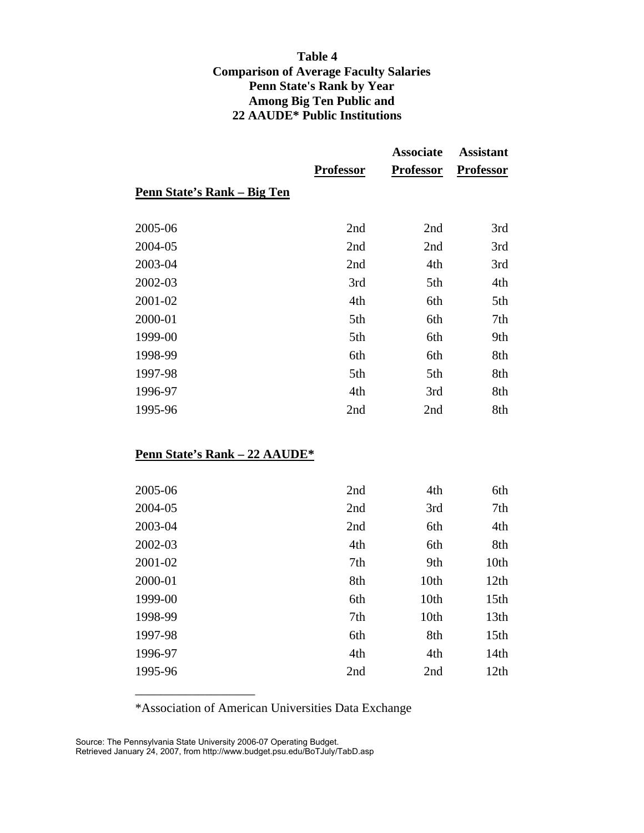## **Table 4 Comparison of Average Faculty Salaries Penn State's Rank by Year Among Big Ten Public and 22 AAUDE\* Public Institutions**

|                             |                  | <b>Associate</b> | <b>Assistant</b> |
|-----------------------------|------------------|------------------|------------------|
|                             | <b>Professor</b> | <b>Professor</b> | <b>Professor</b> |
| Penn State's Rank – Big Ten |                  |                  |                  |
| 2005-06                     | 2nd              | 2nd              | 3rd              |
| 2004-05                     | 2nd              | 2nd              | 3rd              |
| 2003-04                     | 2nd              | 4th              | 3rd              |
| 2002-03                     | 3rd              | 5th              | 4th              |
| 2001-02                     | 4th              | 6th              | 5th              |
| 2000-01                     | 5th              | 6th              | 7th              |
| 1999-00                     | 5th              | 6th              | 9th              |
| 1998-99                     | 6th              | 6th              | 8th              |
| 1997-98                     | 5th              | 5th              | 8th              |
| 1996-97                     | 4th              | 3rd              | 8th              |
| 1995-96                     | 2nd              | 2nd              | 8th              |

# **Penn State's Rank – 22 AAUDE\***

| 2nd | 4th  | 6th              |
|-----|------|------------------|
| 2nd | 3rd  | 7th              |
| 2nd | 6th  | 4th              |
| 4th | 6th  | 8th              |
| 7th | 9th  | 10th             |
| 8th | 10th | 12th             |
| 6th | 10th | 15 <sub>th</sub> |
| 7th | 10th | 13 <sub>th</sub> |
| 6th | 8th  | 15 <sub>th</sub> |
| 4th | 4th  | 14th             |
| 2nd | 2nd  | 12th             |
|     |      |                  |

\*Association of American Universities Data Exchange

Source: The Pennsylvania State University 2006-07 Operating Budget. Retrieved January 24, 2007, from http://www.budget.psu.edu/BoTJuly/TabD.asp

 $\frac{1}{2}$  , and the set of the set of the set of the set of the set of the set of the set of the set of the set of the set of the set of the set of the set of the set of the set of the set of the set of the set of the set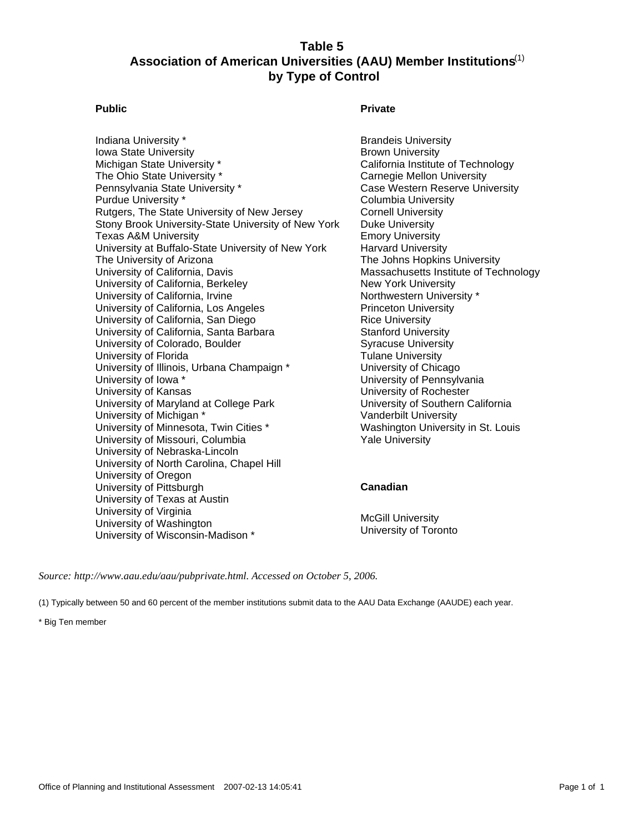### **Table 5 Association of American Universities (AAU) Member Institutions** (1)  **by Type of Control**

Indiana University \* Iowa State University Michigan State University \* The Ohio State University \* Pennsylvania State University \* Purdue University \* Rutgers, The State University of New Jersey Stony Brook University-State University of New York Texas A&M University University at Buffalo-State University of New York The University of Arizona University of California, Davis University of California, Berkeley University of California, Irvine University of California, Los Angeles University of California, San Diego University of California, Santa Barbara University of Colorado, Boulder University of Florida University of Illinois, Urbana Champaign \* University of Iowa \* University of Kansas University of Maryland at College Park University of Michigan \* University of Minnesota, Twin Cities \* University of Missouri, Columbia University of Nebraska-Lincoln University of North Carolina, Chapel Hill University of Oregon University of Pittsburgh University of Texas at Austin University of Virginia University of Washington University of Wisconsin-Madison \*

#### Public **Public Community Community** Private

Brandeis University Brown University California Institute of Technology Carnegie Mellon University Case Western Reserve University Columbia University Cornell University Duke University Emory University Harvard University The Johns Hopkins University Massachusetts Institute of Technology New York University Northwestern University \* Princeton University Rice University Stanford University Syracuse University Tulane University University of Chicago University of Pennsylvania University of Rochester University of Southern California Vanderbilt University Washington University in St. Louis Yale University

#### **Canadian**

McGill University University of Toronto

*Source: http://www.aau.edu/aau/pubprivate.html. Accessed on October 5, 2006.*

(1) Typically between 50 and 60 percent of the member institutions submit data to the AAU Data Exchange (AAUDE) each year.

\* Big Ten member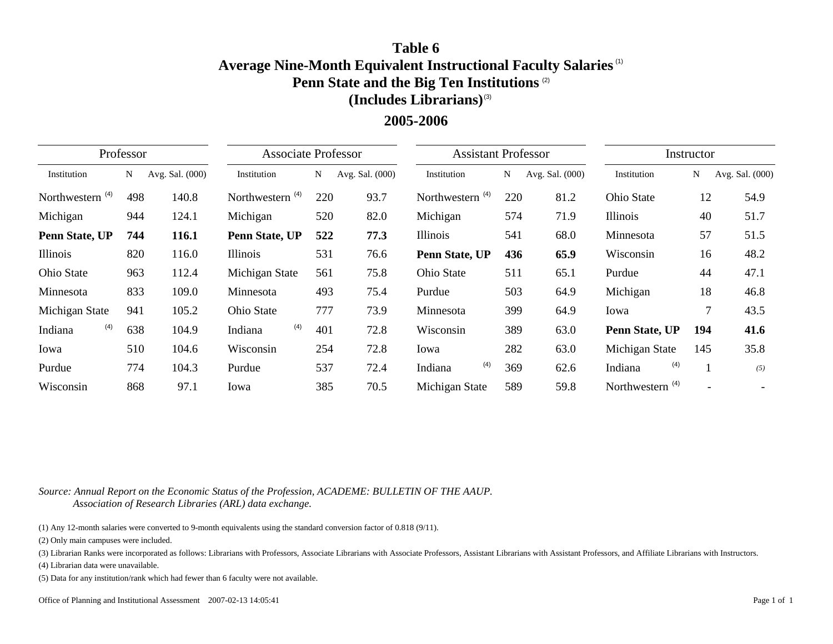# **Table 6Average Nine-Month Equivalent Instructional Faculty Salaries** (1) **Penn State and the Big Ten Institutions** (2) **(Includes Librarians)** (3)

# **2005-2006**

|                             | Professor |                 | <b>Associate Professor</b> |     |                 | <b>Assistant Professor</b> |     |                 |                             | Instructor |                 |
|-----------------------------|-----------|-----------------|----------------------------|-----|-----------------|----------------------------|-----|-----------------|-----------------------------|------------|-----------------|
| Institution                 | N         | Avg. Sal. (000) | Institution                | N   | Avg. Sal. (000) | Institution                | N   | Avg. Sal. (000) | Institution                 | N          | Avg. Sal. (000) |
| Northwestern <sup>(4)</sup> | 498       | 140.8           | Northwestern $(4)$         | 220 | 93.7            | Northwestern $(4)$         | 220 | 81.2            | <b>Ohio State</b>           | 12         | 54.9            |
| Michigan                    | 944       | 124.1           | Michigan                   | 520 | 82.0            | Michigan                   | 574 | 71.9            | Illinois                    | 40         | 51.7            |
| Penn State, UP              | 744       | 116.1           | Penn State, UP             | 522 | 77.3            | Illinois                   | 541 | 68.0            | Minnesota                   | 57         | 51.5            |
| Illinois                    | 820       | 116.0           | Illinois                   | 531 | 76.6            | Penn State, UP             | 436 | 65.9            | Wisconsin                   | 16         | 48.2            |
| Ohio State                  | 963       | 112.4           | Michigan State             | 561 | 75.8            | Ohio State                 | 511 | 65.1            | Purdue                      | 44         | 47.1            |
| Minnesota                   | 833       | 109.0           | Minnesota                  | 493 | 75.4            | Purdue                     | 503 | 64.9            | Michigan                    | 18         | 46.8            |
| Michigan State              | 941       | 105.2           | Ohio State                 | 777 | 73.9            | Minnesota                  | 399 | 64.9            | Iowa                        | 7          | 43.5            |
| (4)<br>Indiana              | 638       | 104.9           | (4)<br>Indiana             | 401 | 72.8            | Wisconsin                  | 389 | 63.0            | Penn State, UP              | 194        | 41.6            |
| Iowa                        | 510       | 104.6           | Wisconsin                  | 254 | 72.8            | Iowa                       | 282 | 63.0            | Michigan State              | 145        | 35.8            |
| Purdue                      | 774       | 104.3           | Purdue                     | 537 | 72.4            | (4)<br>Indiana             | 369 | 62.6            | (4)<br>Indiana              |            | (5)             |
| Wisconsin                   | 868       | 97.1            | Iowa                       | 385 | 70.5            | Michigan State             | 589 | 59.8            | Northwestern <sup>(4)</sup> |            |                 |

*Source: Annual Report on the Economic Status of the Profession, ACADEME: BULLETIN OF THE AAUP. Association of Research Libraries (ARL) data exchange.*

(1) Any 12-month salaries were converted to 9-month equivalents using the standard conversion factor of 0.818 (9/11).

(2) Only main campuses were included.

(3) Librarian Ranks were incorporated as follows: Librarians with Professors, Associate Librarians with Associate Professors, Assistant Librarians with Assistant Professors, and Affiliate Librarians with Instructors.

(4) Librarian data were unavailable.

(5) Data for any institution/rank which had fewer than 6 faculty were not available.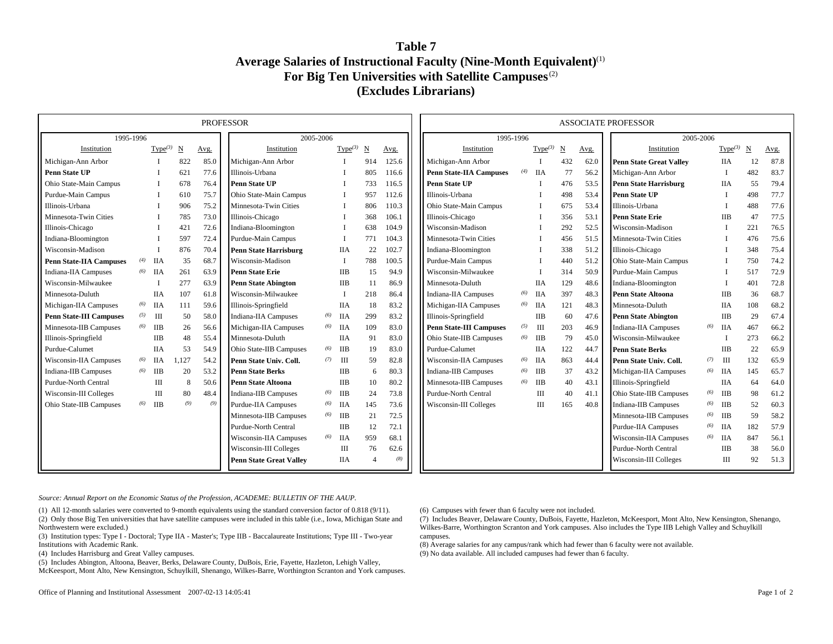### **Table 7Average Salaries of Instructional Faculty (Nine-Month Equivalent)** (1) **For Big Ten Universities with Satellite Campuses** (2) **(Excludes Librarians)**

| <b>PROFESSOR</b><br>1995-1996<br>2005-2006 |     |                     |                 |      |                                |     |                     |                        |       |                                |     |                     |            |      | <b>ASSOCIATE PROFESSOR</b>     |           |            |     |      |
|--------------------------------------------|-----|---------------------|-----------------|------|--------------------------------|-----|---------------------|------------------------|-------|--------------------------------|-----|---------------------|------------|------|--------------------------------|-----------|------------|-----|------|
|                                            |     |                     |                 |      |                                |     |                     |                        |       | 1995-1996                      |     |                     |            |      |                                | 2005-2006 |            |     |      |
| Institution                                |     | Type <sup>(3)</sup> | $\underline{N}$ | Avg. | Institution                    |     | Type <sup>(3)</sup> | $\underline{\text{N}}$ | Avg.  | Institution                    |     | Type <sup>(3)</sup> | $_{\rm N}$ | Avg. | Institution                    |           | Type $(3)$ | N   | Avg. |
| Michigan-Ann Arbor                         |     |                     | 822             | 85.0 | Michigan-Ann Arbor             |     |                     | 914                    | 125.6 | Michigan-Ann Arbor             |     |                     | 432        | 62.0 | <b>Penn State Great Valley</b> |           | <b>IIA</b> | 12  | 87.8 |
| Penn State UP                              |     |                     | 621             | 77.6 | Illinois-Urbana                |     |                     | 805                    | 116.6 | <b>Penn State-IIA Campuses</b> |     | $(4)$ IIA           | 77         | 56.2 | Michigan-Ann Arbor             |           |            | 482 | 83.7 |
| Ohio State-Main Campus                     |     |                     | 678             | 76.4 | <b>Penn State UP</b>           |     |                     | 733                    | 116.5 | <b>Penn State UP</b>           |     |                     | 476        | 53.5 | <b>Penn State Harrisburg</b>   |           | <b>IIA</b> | 55  | 79.4 |
| Purdue-Main Campus                         |     |                     | 610             | 75.7 | Ohio State-Main Campus         |     |                     | 957                    | 112.6 | Illinois-Urbana                |     |                     | 498        | 53.4 | <b>Penn State UP</b>           |           |            | 498 | 77.7 |
| Illinois-Urbana                            |     |                     | 906             | 75.2 | Minnesota-Twin Cities          |     |                     | 806                    | 110.3 | Ohio State-Main Campus         |     |                     | 675        | 53.4 | Illinois-Urbana                |           |            | 488 | 77.6 |
| Minnesota-Twin Cities                      |     |                     | 785             | 73.0 | Illinois-Chicago               |     |                     | 368                    | 106.1 | Illinois-Chicago               |     |                     | 356        | 53.1 | <b>Penn State Erie</b>         |           | <b>IIB</b> | 47  | 77.5 |
| Illinois-Chicago                           |     |                     | 421             | 72.6 | Indiana-Bloomington            |     |                     | 638                    | 104.9 | Wisconsin-Madison              |     |                     | 292        | 52.5 | Wisconsin-Madison              |           |            | 221 | 76.5 |
| Indiana-Bloomington                        |     |                     | 597             | 72.4 | Purdue-Main Campus             |     |                     | 771                    | 104.3 | Minnesota-Twin Cities          |     |                     | 456        | 51.5 | Minnesota-Twin Cities          |           |            | 476 | 75.6 |
| Wisconsin-Madison                          |     |                     | 876             | 70.4 | <b>Penn State Harrisburg</b>   |     | <b>IIA</b>          | 22                     | 102.7 | Indiana-Bloomington            |     |                     | 338        | 51.2 | Illinois-Chicago               |           |            | 348 | 75.4 |
| <b>Penn State-IIA Campuses</b>             | (4) | <b>IIA</b>          | 35              | 68.7 | Wisconsin-Madison              |     | $\mathbf I$         | 788                    | 100.5 | Purdue-Main Campus             |     |                     | 440        | 51.2 | Ohio State-Main Campus         |           |            | 750 | 74.2 |
| Indiana-IIA Campuses                       | (6) | <b>IIA</b>          | 261             | 63.9 | <b>Penn State Erie</b>         |     | <b>IIB</b>          | 15                     | 94.9  | Wisconsin-Milwaukee            |     |                     | 314        | 50.9 | Purdue-Main Campus             |           |            | 517 | 72.9 |
| Wisconsin-Milwaukee                        |     |                     | 277             | 63.9 | <b>Penn State Abington</b>     |     | <b>IIB</b>          | 11                     | 86.9  | Minnesota-Duluth               |     | <b>IIA</b>          | 129        | 48.6 | Indiana-Bloomington            |           |            | 401 | 72.8 |
| Minnesota-Duluth                           |     | <b>IIA</b>          | 107             | 61.8 | Wisconsin-Milwaukee            |     | $\mathbf I$         | 218                    | 86.4  | Indiana-IIA Campuses           | (6) | <b>IIA</b>          | 397        | 48.3 | <b>Penn State Altoona</b>      |           | <b>IIB</b> | 36  | 68.7 |
| Michigan-IIA Campuses                      | (6) | <b>IIA</b>          | 111             | 59.6 | Illinois-Springfield           |     | <b>IIA</b>          | 18                     | 83.2  | Michigan-IIA Campuses          | (6) | ПA                  | 121        | 48.3 | Minnesota-Duluth               |           | <b>IIA</b> | 108 | 68.2 |
| <b>Penn State-III Campuses</b>             | (5) | Ш                   | 50              | 58.0 | <b>Indiana-IIA Campuses</b>    | (6) | ПA                  | 299                    | 83.2  | Illinois-Springfield           |     | <b>IIB</b>          | 60         | 47.6 | <b>Penn State Abington</b>     |           | <b>IIB</b> | 29  | 67.4 |
| Minnesota-IIB Campuses                     | (6) | <b>IIB</b>          | 26              | 56.6 | Michigan-IIA Campuses          | (6) | <b>IIA</b>          | 109                    | 83.0  | <b>Penn State-III Campuses</b> | (5) | Ш                   | 203        | 46.9 | <b>Indiana-IIA Campuses</b>    | (6)       | <b>IIA</b> | 467 | 66.2 |
| Illinois-Springfield                       |     | IІВ                 | 48              | 55.4 | Minnesota-Duluth               |     | <b>IIA</b>          | 91                     | 83.0  | Ohio State-IIB Campuses        | (6) | IIB                 | 79         | 45.0 | Wisconsin-Milwaukee            |           |            | 273 | 66.2 |
| Purdue-Calumet                             |     | <b>IIA</b>          | 53              | 54.9 | Ohio State-IIB Campuses        | (6) | <b>IIB</b>          | 19                     | 83.0  | Purdue-Calumet                 |     | <b>IIA</b>          | 122        | 44.7 | <b>Penn State Berks</b>        |           | <b>IIB</b> | 22  | 65.9 |
| Wisconsin-IIA Campuses                     | (6) | <b>IIA</b>          | 1,127           | 54.2 | Penn State Univ. Coll.         | (7) | Ш                   | 59                     | 82.8  | Wisconsin-IIA Campuses         |     | $(6)$ IIA           | 863        | 44.4 | Penn State Univ. Coll.         | (7)       | Ш          | 132 | 65.9 |
| Indiana-IIB Campuses                       | (6) | <b>IIB</b>          | 20              | 53.2 | <b>Penn State Berks</b>        |     | <b>IIB</b>          | 6                      | 80.3  | Indiana-IIB Campuses           |     | $(6)$ IIB           | 37         | 43.2 | Michigan-IIA Campuses          | (6)       | IIA        | 145 | 65.7 |
| Purdue-North Central                       |     | Ш                   | 8               | 50.6 | <b>Penn State Altoona</b>      |     | <b>IIB</b>          | 10                     | 80.2  | Minnesota-IIB Campuses         | (6) | ПВ                  | 40         | 43.1 | Illinois-Springfield           |           | <b>IIA</b> | 64  | 64.0 |
| Wisconsin-III Colleges                     |     | Ш                   | 80              | 48.4 | <b>Indiana-IIB Campuses</b>    | (6) | IIB                 | 24                     | 73.8  | Purdue-North Central           |     | Ш                   | 40         | 41.1 | <b>Ohio State-IIB Campuses</b> | (6)       | <b>IIB</b> | 98  | 61.2 |
| Ohio State-IIB Campuses                    | (6) | <b>IIB</b>          | (9)             | (9)  | <b>Purdue-IIA Campuses</b>     | (6) | <b>IIA</b>          | 145                    | 73.6  | Wisconsin-III Colleges         |     | III                 | 165        | 40.8 | <b>Indiana-IIB Campuses</b>    | (6)       | <b>IIB</b> | 52  | 60.3 |
|                                            |     |                     |                 |      | Minnesota-IIB Campuses         | (6) | <b>IIB</b>          | 21                     | 72.5  |                                |     |                     |            |      | Minnesota-IIB Campuses         | (6)       | IIB        | 59  | 58.2 |
|                                            |     |                     |                 |      | <b>Purdue-North Central</b>    |     | <b>IIB</b>          | 12                     | 72.1  |                                |     |                     |            |      | <b>Purdue-IIA Campuses</b>     | (6)       | <b>IIA</b> | 182 | 57.9 |
|                                            |     |                     |                 |      | <b>Wisconsin-IIA Campuses</b>  | (6) | ПA                  | 959                    | 68.1  |                                |     |                     |            |      | Wisconsin-IIA Campuses         | (6)       | ПA         | 847 | 56.1 |
|                                            |     |                     |                 |      | Wisconsin-III Colleges         |     | Ш                   | 76                     | 62.6  |                                |     |                     |            |      | Purdue-North Central           |           | <b>IIB</b> | 38  | 56.0 |
|                                            |     |                     |                 |      | <b>Penn State Great Valley</b> |     | <b>IIA</b>          |                        | (8)   |                                |     |                     |            |      | Wisconsin-III Colleges         |           | Ш          | 92  | 51.3 |

*Source: Annual Report on the Economic Status of the Profession, ACADEME: BULLETIN OF THE AAUP.*

(1) All 12-month salaries were converted to 9-month equivalents using the standard conversion factor of 0.818 (9/11). (2) Only those Big Ten universities that have satellite campuses were included in this table (i.e., Iowa, Michigan State and Northwestern were excluded.)

(3) Institution types: Type I - Doctoral; Type IIA - Master's; Type IIB - Baccalaureate Institutions; Type III - Two-year Institutions with Academic Rank.

(4) Includes Harrisburg and Great Valley campuses.

(5) Includes Abington, Altoona, Beaver, Berks, Delaware County, DuBois, Erie, Fayette, Hazleton, Lehigh Valley, McKeesport, Mont Alto, New Kensington, Schuylkill, Shenango, Wilkes-Barre, Worthington Scranton and York campuses.

Office of Planning and Institutional Assessment 2007-02-13 14:05:41 Page 1 of 2

(6) Campuses with fewer than 6 faculty were not included.

(7) Includes Beaver, Delaware County, DuBois, Fayette, Hazleton, McKeesport, Mont Alto, New Kensington, Shenango, Wilkes-Barre, Worthington Scranton and York campuses. Also includes the Type IIB Lehigh Valley and Schuylkill campuses.

(8) Average salaries for any campus/rank which had fewer than 6 faculty were not available. (9) No data available. All included campuses had fewer than 6 faculty.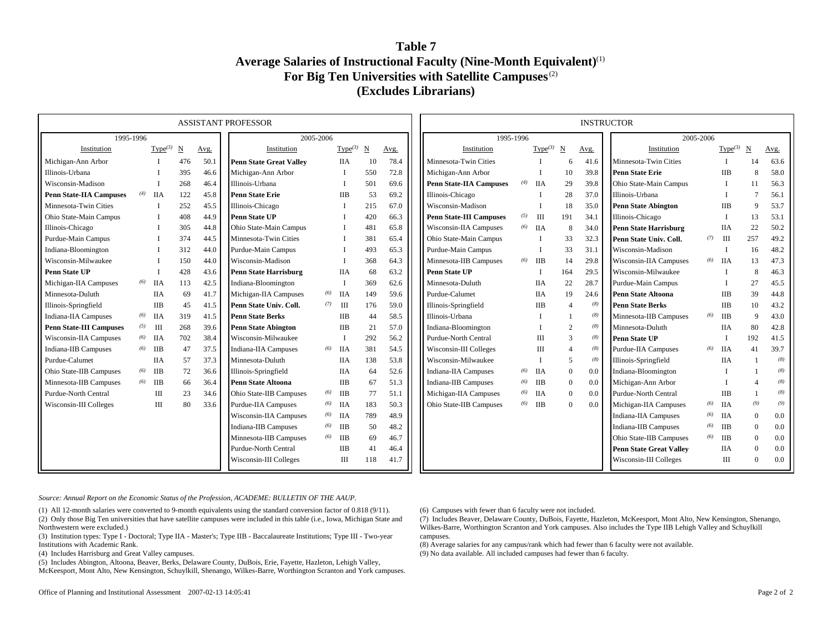### **Table 7Average Salaries of Instructional Faculty (Nine-Month Equivalent)** (1) **For Big Ten Universities with Satellite Campuses** (2) **(Excludes Librarians)**

| <b>ASSISTANT PROFESSOR</b><br>1995-1996<br>2005-2006 |     |                     |     |      |                                |     |                     |                        |      |  |                                |     |                     |                |      | <b>INSTRUCTOR</b>              |     |            |                |      |
|------------------------------------------------------|-----|---------------------|-----|------|--------------------------------|-----|---------------------|------------------------|------|--|--------------------------------|-----|---------------------|----------------|------|--------------------------------|-----|------------|----------------|------|
|                                                      |     |                     |     |      |                                |     |                     | 1995-1996<br>2005-2006 |      |  |                                |     |                     |                |      |                                |     |            |                |      |
| Institution                                          |     | Type <sup>(3)</sup> | N   | Avg. | Institution                    |     | Type <sup>(3)</sup> | N                      | Avg. |  | Institution                    |     | Type <sup>(3)</sup> | N              | Avg. | Institution                    |     | Type $(3)$ | N              | Avg. |
| Michigan-Ann Arbor                                   |     |                     | 476 | 50.1 | <b>Penn State Great Valley</b> |     | <b>IIA</b>          | 10                     | 78.4 |  | Minnesota-Twin Cities          |     |                     | 6              | 41.6 | Minnesota-Twin Cities          |     |            | 14             | 63.6 |
| Illinois-Urbana                                      |     |                     | 395 | 46.6 | Michigan-Ann Arbor             |     |                     | 550                    | 72.8 |  | Michigan-Ann Arbor             |     |                     | 10             | 39.8 | <b>Penn State Erie</b>         |     | <b>IIB</b> | 8              | 58.0 |
| Wisconsin-Madison                                    |     |                     | 268 | 46.4 | Illinois-Urbana                |     |                     | 501                    | 69.6 |  | <b>Penn State-IIA Campuses</b> | (4) | ПA                  | 29             | 39.8 | Ohio State-Main Campus         |     |            | 11             | 56.3 |
| <b>Penn State-IIA Campuses</b>                       | (4) | <b>IIA</b>          | 122 | 45.8 | <b>Penn State Erie</b>         |     | <b>IIB</b>          | 53                     | 69.2 |  | Illinois-Chicago               |     |                     | 28             | 37.0 | Illinois-Urbana                |     |            | $\overline{7}$ | 56.1 |
| Minnesota-Twin Cities                                |     |                     | 252 | 45.5 | Illinois-Chicago               |     |                     | 215                    | 67.0 |  | Wisconsin-Madison              |     |                     | 18             | 35.0 | <b>Penn State Abington</b>     |     | IІВ        | 9              | 53.7 |
| Ohio State-Main Campus                               |     |                     | 408 | 44.9 | <b>Penn State UP</b>           |     |                     | 420                    | 66.3 |  | <b>Penn State-III Campuses</b> | (5) | Ш                   | 191            | 34.1 | Illinois-Chicago               |     |            | 13             | 53.1 |
| Illinois-Chicago                                     |     |                     | 305 | 44.8 | Ohio State-Main Campus         |     |                     | 481                    | 65.8 |  | Wisconsin-IIA Campuses         |     | $(6)$ IIA           | 8              | 34.0 | <b>Penn State Harrisburg</b>   |     | <b>IIA</b> | 22             | 50.2 |
| Purdue-Main Campus                                   |     |                     | 374 | 44.5 | Minnesota-Twin Cities          |     |                     | 381                    | 65.4 |  | Ohio State-Main Campus         |     |                     | 33             | 32.3 | Penn State Univ. Coll.         | (7) | III        | 257            | 49.2 |
| Indiana-Bloomington                                  |     |                     | 312 | 44.0 | Purdue-Main Campus             |     |                     | 493                    | 65.3 |  | Purdue-Main Campus             |     |                     | 33             | 31.1 | Wisconsin-Madison              |     |            | 16             | 48.2 |
| Wisconsin-Milwaukee                                  |     |                     | 150 | 44.0 | Wisconsin-Madison              |     |                     | 368                    | 64.3 |  | Minnesota-IIB Campuses         | (6) | <b>IIB</b>          | 14             | 29.8 | Wisconsin-IIA Campuses         | (6) | <b>IIA</b> | 13             | 47.3 |
| <b>Penn State UP</b>                                 |     |                     | 428 | 43.6 | <b>Penn State Harrisburg</b>   |     | <b>IIA</b>          | 68                     | 63.2 |  | <b>Penn State UP</b>           |     |                     | 164            | 29.5 | Wisconsin-Milwaukee            |     |            | 8              | 46.3 |
| Michigan-IIA Campuses                                | (6) | <b>IIA</b>          | 113 | 42.5 | Indiana-Bloomington            |     |                     | 369                    | 62.6 |  | Minnesota-Duluth               |     | <b>IIA</b>          | 22             | 28.7 | Purdue-Main Campus             |     |            | 27             | 45.5 |
| Minnesota-Duluth                                     |     | ПA                  | 69  | 41.7 | Michigan-IIA Campuses          | (6) | ПA                  | 149                    | 59.6 |  | Purdue-Calumet                 |     | <b>IIA</b>          | 19             | 24.6 | <b>Penn State Altoona</b>      |     | <b>IIB</b> | 39             | 44.8 |
| Illinois-Springfield                                 |     | <b>IIB</b>          | 45  | 41.5 | Penn State Univ. Coll.         | (7) | Ш                   | 176                    | 59.0 |  | Illinois-Springfield           |     | <b>IIB</b>          | $\overline{4}$ | (8)  | <b>Penn State Berks</b>        |     | <b>IIB</b> | 10             | 43.2 |
| Indiana-IIA Campuses                                 | (6) | ПA                  | 319 | 41.5 | <b>Penn State Berks</b>        |     | <b>IIB</b>          | 44                     | 58.5 |  | Illinois-Urbana                |     |                     |                | (8)  | Minnesota-IIB Campuses         | (6) | IIB        | 9              | 43.0 |
| <b>Penn State-III Campuses</b>                       | (5) | Ш                   | 268 | 39.6 | <b>Penn State Abington</b>     |     | <b>IIB</b>          | 21                     | 57.0 |  | Indiana-Bloomington            |     |                     | 2              | (8)  | Minnesota-Duluth               |     | <b>IIA</b> | 80             | 42.8 |
| Wisconsin-IIA Campuses                               | (6) | ПA                  | 702 | 38.4 | Wisconsin-Milwaukee            |     | $\mathbf I$         | 292                    | 56.2 |  | Purdue-North Central           |     | Ш                   | 3              | (8)  | <b>Penn State UP</b>           |     |            | 192            | 41.5 |
| Indiana-IIB Campuses                                 | (6) | ПB                  | 47  | 37.5 | <b>Indiana-IIA Campuses</b>    | (6) | ПA                  | 381                    | 54.5 |  | Wisconsin-III Colleges         |     | Ш                   | $\overline{4}$ | (8)  | <b>Purdue-IIA Campuses</b>     | (6) | <b>IIA</b> | 41             | 39.7 |
| Purdue-Calumet                                       |     | <b>IIA</b>          | 57  | 37.3 | Minnesota-Duluth               |     | <b>IIA</b>          | 138                    | 53.8 |  | Wisconsin-Milwaukee            |     |                     | 5              | (8)  | Illinois-Springfield           |     | <b>IIA</b> |                | (8)  |
| Ohio State-IIB Campuses                              | (6) | IIB                 | 72  | 36.6 | Illinois-Springfield           |     | <b>IIA</b>          | 64                     | 52.6 |  | Indiana-IIA Campuses           | (6) | ΠА                  | $\overline{0}$ | 0.0  | Indiana-Bloomington            |     |            |                | (8)  |
| Minnesota-IIB Campuses                               | (6) | IIB                 | 66  | 36.4 | <b>Penn State Altoona</b>      |     | <b>IIB</b>          | 67                     | 51.3 |  | Indiana-IIB Campuses           | (6) | <b>IIB</b>          | $\overline{0}$ | 0.0  | Michigan-Ann Arbor             |     |            |                | (8)  |
| Purdue-North Central                                 |     | Ш                   | 23  | 34.6 | Ohio State-IIB Campuses        | (6) | <b>IIB</b>          | 77                     | 51.1 |  | Michigan-IIA Campuses          | (6) | ПA                  | $\overline{0}$ | 0.0  | Purdue-North Central           |     | <b>IIB</b> |                | (8)  |
| Wisconsin-III Colleges                               |     | Ш                   | 80  | 33.6 | Purdue-IIA Campuses            | (6) | ПA                  | 183                    | 50.3 |  | Ohio State-IIB Campuses        | (6) | <b>IIB</b>          | $\overline{0}$ | 0.0  | Michigan-IIA Campuses          | (6) | <b>IIA</b> | (9)            | (9)  |
|                                                      |     |                     |     |      | Wisconsin-IIA Campuses         | (6) | ПA                  | 789                    | 48.9 |  |                                |     |                     |                |      | <b>Indiana-IIA Campuses</b>    | (6) | <b>IIA</b> | $\Omega$       | 0.0  |
|                                                      |     |                     |     |      | Indiana-IIB Campuses           | (6) | <b>IIB</b>          | 50                     | 48.2 |  |                                |     |                     |                |      | <b>Indiana-IIB Campuses</b>    | (6) | IIB        | $\Omega$       | 0.0  |
|                                                      |     |                     |     |      | Minnesota-IIB Campuses         | (6) | IIB                 | 69                     | 46.7 |  |                                |     |                     |                |      | Ohio State-IIB Campuses        | (6) | IIB        | $\Omega$       | 0.0  |
|                                                      |     |                     |     |      | Purdue-North Central           |     | <b>IIB</b>          | 41                     | 46.4 |  |                                |     |                     |                |      | <b>Penn State Great Valley</b> |     | <b>IIA</b> |                | 0.0  |
|                                                      |     |                     |     |      | Wisconsin-III Colleges         |     | Ш                   | 118                    | 41.7 |  |                                |     |                     |                |      | Wisconsin-III Colleges         |     | Ш          | $\theta$       | 0.0  |

*Source: Annual Report on the Economic Status of the Profession, ACADEME: BULLETIN OF THE AAUP.*

(1) All 12-month salaries were converted to 9-month equivalents using the standard conversion factor of 0.818 (9/11). (2) Only those Big Ten universities that have satellite campuses were included in this table (i.e., Iowa, Michigan State and Northwestern were excluded.)

(3) Institution types: Type I - Doctoral; Type IIA - Master's; Type IIB - Baccalaureate Institutions; Type III - Two-year Institutions with Academic Rank.

(4) Includes Harrisburg and Great Valley campuses.

(5) Includes Abington, Altoona, Beaver, Berks, Delaware County, DuBois, Erie, Fayette, Hazleton, Lehigh Valley, McKeesport, Mont Alto, New Kensington, Schuylkill, Shenango, Wilkes-Barre, Worthington Scranton and York campuses. (6) Campuses with fewer than 6 faculty were not included.

(7) Includes Beaver, Delaware County, DuBois, Fayette, Hazleton, McKeesport, Mont Alto, New Kensington, Shenango, Wilkes-Barre, Worthington Scranton and York campuses. Also includes the Type IIB Lehigh Valley and Schuylkill campuses.

(8) Average salaries for any campus/rank which had fewer than 6 faculty were not available. (9) No data available. All included campuses had fewer than 6 faculty.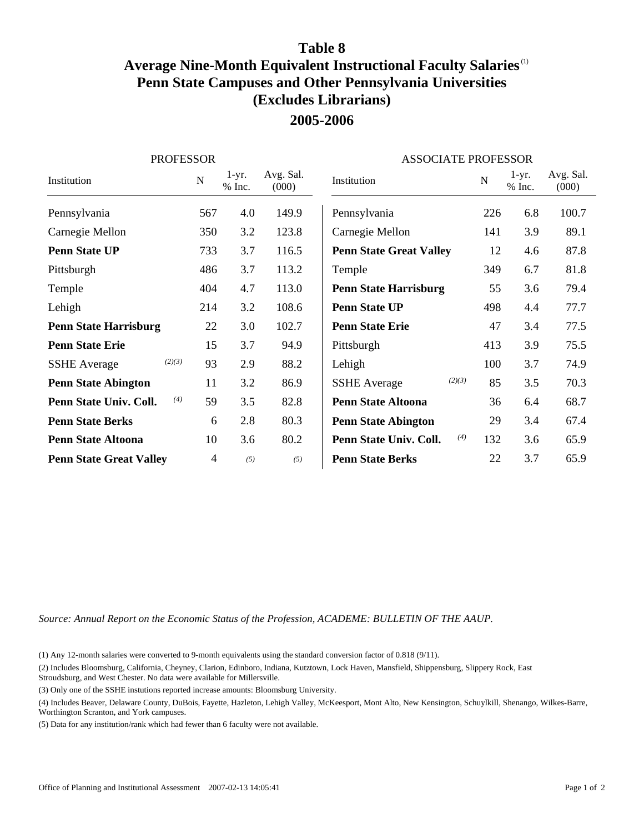# **Table 8**

# **Average Nine-Month Equivalent Instructional Faculty Salaries** (1) **Penn State Campuses and Other Pennsylvania Universities (Excludes Librarians) 2005-2006**

| <b>PROFESSOR</b>               |     |                   | <b>ASSOCIATE PROFESSOR</b> |                                |     |                   |                    |  |  |
|--------------------------------|-----|-------------------|----------------------------|--------------------------------|-----|-------------------|--------------------|--|--|
| Institution                    | N   | $1-yr.$<br>% Inc. | Avg. Sal.<br>(000)         | Institution                    | N   | $1-yr.$<br>% Inc. | Avg. Sal.<br>(000) |  |  |
| Pennsylvania                   | 567 | 4.0               | 149.9                      | Pennsylvania                   | 226 | 6.8               | 100.7              |  |  |
| Carnegie Mellon                | 350 | 3.2               | 123.8                      | Carnegie Mellon                | 141 | 3.9               | 89.1               |  |  |
| <b>Penn State UP</b>           | 733 | 3.7               | 116.5                      | <b>Penn State Great Valley</b> | 12  | 4.6               | 87.8               |  |  |
| Pittsburgh                     | 486 | 3.7               | 113.2                      | Temple                         | 349 | 6.7               | 81.8               |  |  |
| Temple                         | 404 | 4.7               | 113.0                      | <b>Penn State Harrisburg</b>   | 55  | 3.6               | 79.4               |  |  |
| Lehigh                         | 214 | 3.2               | 108.6                      | <b>Penn State UP</b>           | 498 | 4.4               | 77.7               |  |  |
| <b>Penn State Harrisburg</b>   | 22  | 3.0               | 102.7                      | <b>Penn State Erie</b>         | 47  | 3.4               | 77.5               |  |  |
| <b>Penn State Erie</b>         | 15  | 3.7               | 94.9                       | Pittsburgh                     | 413 | 3.9               | 75.5               |  |  |
| (2)(3)<br><b>SSHE</b> Average  | 93  | 2.9               | 88.2                       | Lehigh                         | 100 | 3.7               | 74.9               |  |  |
| <b>Penn State Abington</b>     | 11  | 3.2               | 86.9                       | (2)(3)<br><b>SSHE</b> Average  | 85  | 3.5               | 70.3               |  |  |
| (4)<br>Penn State Univ. Coll.  | 59  | 3.5               | 82.8                       | <b>Penn State Altoona</b>      | 36  | 6.4               | 68.7               |  |  |
| <b>Penn State Berks</b>        | 6   | 2.8               | 80.3                       | <b>Penn State Abington</b>     | 29  | 3.4               | 67.4               |  |  |
| <b>Penn State Altoona</b>      | 10  | 3.6               | 80.2                       | (4)<br>Penn State Univ. Coll.  | 132 | 3.6               | 65.9               |  |  |
| <b>Penn State Great Valley</b> | 4   | (5)               | (5)                        | <b>Penn State Berks</b>        | 22  | 3.7               | 65.9               |  |  |

*Source: Annual Report on the Economic Status of the Profession, ACADEME: BULLETIN OF THE AAUP.*

(1) Any 12-month salaries were converted to 9-month equivalents using the standard conversion factor of 0.818 (9/11).

(2) Includes Bloomsburg, California, Cheyney, Clarion, Edinboro, Indiana, Kutztown, Lock Haven, Mansfield, Shippensburg, Slippery Rock, East Stroudsburg, and West Chester. No data were available for Millersville.

(3) Only one of the SSHE instutions reported increase amounts: Bloomsburg University.

(4) Includes Beaver, Delaware County, DuBois, Fayette, Hazleton, Lehigh Valley, McKeesport, Mont Alto, New Kensington, Schuylkill, Shenango, Wilkes-Barre, Worthington Scranton, and York campuses.

(5) Data for any institution/rank which had fewer than 6 faculty were not available.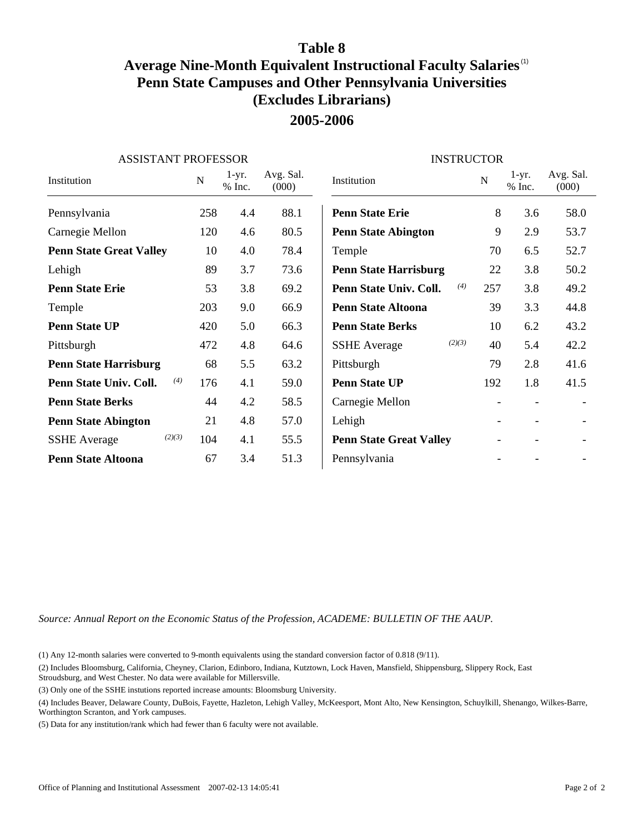### **Table 8**

# **Average Nine-Month Equivalent Instructional Faculty Salaries** (1) **Penn State Campuses and Other Pennsylvania Universities (Excludes Librarians) 2005-2006**

| <b>ASSISTANT PROFESSOR</b>     |     |                   |                    | <b>INSTRUCTOR</b>              |                          |                     |                    |
|--------------------------------|-----|-------------------|--------------------|--------------------------------|--------------------------|---------------------|--------------------|
| Institution                    | N   | $1-yr.$<br>% Inc. | Avg. Sal.<br>(000) | Institution                    | N                        | $1-yr.$<br>$%$ Inc. | Avg. Sal.<br>(000) |
| Pennsylvania                   | 258 | 4.4               | 88.1               | <b>Penn State Erie</b>         | 8                        | 3.6                 | 58.0               |
| Carnegie Mellon                | 120 | 4.6               | 80.5               | <b>Penn State Abington</b>     | 9                        | 2.9                 | 53.7               |
| <b>Penn State Great Valley</b> | 10  | 4.0               | 78.4               | Temple                         | 70                       | 6.5                 | 52.7               |
| Lehigh                         | 89  | 3.7               | 73.6               | <b>Penn State Harrisburg</b>   | 22                       | 3.8                 | 50.2               |
| <b>Penn State Erie</b>         | 53  | 3.8               | 69.2               | (4)<br>Penn State Univ. Coll.  | 257                      | 3.8                 | 49.2               |
| Temple                         | 203 | 9.0               | 66.9               | <b>Penn State Altoona</b>      | 39                       | 3.3                 | 44.8               |
| <b>Penn State UP</b>           | 420 | 5.0               | 66.3               | <b>Penn State Berks</b>        | 10                       | 6.2                 | 43.2               |
| Pittsburgh                     | 472 | 4.8               | 64.6               | (2)(3)<br><b>SSHE</b> Average  | 40                       | 5.4                 | 42.2               |
| <b>Penn State Harrisburg</b>   | 68  | 5.5               | 63.2               | Pittsburgh                     | 79                       | 2.8                 | 41.6               |
| (4)<br>Penn State Univ. Coll.  | 176 | 4.1               | 59.0               | <b>Penn State UP</b>           | 192                      | 1.8                 | 41.5               |
| <b>Penn State Berks</b>        | 44  | 4.2               | 58.5               | Carnegie Mellon                | $\overline{\phantom{a}}$ |                     |                    |
| <b>Penn State Abington</b>     | 21  | 4.8               | 57.0               | Lehigh                         |                          |                     |                    |
| (2)(3)<br><b>SSHE</b> Average  | 104 | 4.1               | 55.5               | <b>Penn State Great Valley</b> |                          |                     |                    |
| <b>Penn State Altoona</b>      | 67  | 3.4               | 51.3               | Pennsylvania                   |                          |                     |                    |

*Source: Annual Report on the Economic Status of the Profession, ACADEME: BULLETIN OF THE AAUP.*

(1) Any 12-month salaries were converted to 9-month equivalents using the standard conversion factor of 0.818 (9/11).

(2) Includes Bloomsburg, California, Cheyney, Clarion, Edinboro, Indiana, Kutztown, Lock Haven, Mansfield, Shippensburg, Slippery Rock, East Stroudsburg, and West Chester. No data were available for Millersville.

(3) Only one of the SSHE instutions reported increase amounts: Bloomsburg University.

(4) Includes Beaver, Delaware County, DuBois, Fayette, Hazleton, Lehigh Valley, McKeesport, Mont Alto, New Kensington, Schuylkill, Shenango, Wilkes-Barre, Worthington Scranton, and York campuses.

(5) Data for any institution/rank which had fewer than 6 faculty were not available.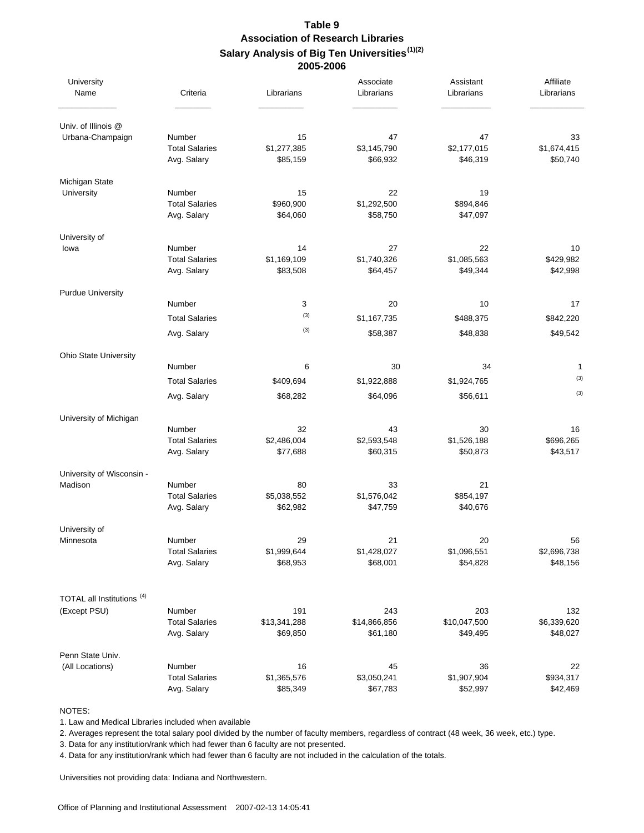#### **Table 9 Association of Research Libraries Salary Analysis of Big Ten Universities (1)(2) 2005-2006**

| University<br>Name                    | Criteria                                       | Librarians                    | Associate<br>Librarians       | Assistant<br>Librarians       | Affiliate<br>Librarians       |
|---------------------------------------|------------------------------------------------|-------------------------------|-------------------------------|-------------------------------|-------------------------------|
| Univ. of Illinois @                   |                                                |                               |                               |                               |                               |
| Urbana-Champaign                      | Number<br><b>Total Salaries</b><br>Avg. Salary | 15<br>\$1,277,385<br>\$85,159 | 47<br>\$3,145,790<br>\$66,932 | 47<br>\$2,177,015<br>\$46,319 | 33<br>\$1,674,415<br>\$50,740 |
| Michigan State                        |                                                |                               |                               |                               |                               |
| University                            | Number<br><b>Total Salaries</b><br>Avg. Salary | 15<br>\$960,900<br>\$64,060   | 22<br>\$1,292,500<br>\$58,750 | 19<br>\$894,846<br>\$47,097   |                               |
| University of                         |                                                |                               |                               |                               |                               |
| lowa                                  | Number<br><b>Total Salaries</b><br>Avg. Salary | 14<br>\$1,169,109<br>\$83,508 | 27<br>\$1,740,326<br>\$64,457 | 22<br>\$1,085,563<br>\$49,344 | 10<br>\$429,982<br>\$42,998   |
| <b>Purdue University</b>              |                                                |                               |                               |                               |                               |
|                                       | Number                                         | 3                             | 20                            | 10                            | 17                            |
|                                       | <b>Total Salaries</b>                          | (3)<br>(3)                    | \$1,167,735                   | \$488,375                     | \$842,220                     |
|                                       | Avg. Salary                                    |                               | \$58,387                      | \$48,838                      | \$49,542                      |
| Ohio State University                 |                                                |                               |                               |                               |                               |
|                                       | Number                                         | 6                             | 30                            | 34                            | 1<br>(3)                      |
|                                       | <b>Total Salaries</b><br>Avg. Salary           | \$409,694<br>\$68,282         | \$1,922,888<br>\$64,096       | \$1,924,765<br>\$56,611       | (3)                           |
|                                       |                                                |                               |                               |                               |                               |
| University of Michigan                | Number                                         | 32                            | 43                            | 30                            | 16                            |
|                                       | <b>Total Salaries</b><br>Avg. Salary           | \$2,486,004<br>\$77,688       | \$2,593,548<br>\$60,315       | \$1,526,188<br>\$50,873       | \$696,265<br>\$43,517         |
| University of Wisconsin -             |                                                |                               |                               |                               |                               |
| Madison                               | Number<br><b>Total Salaries</b><br>Avg. Salary | 80<br>\$5,038,552<br>\$62,982 | 33<br>\$1,576,042<br>\$47,759 | 21<br>\$854,197<br>\$40,676   |                               |
| University of                         |                                                |                               |                               |                               |                               |
| Minnesota                             | Number<br><b>Total Salaries</b><br>Avg. Salary | 29<br>\$1,999,644<br>\$68,953 | 21<br>\$1,428,027<br>\$68,001 | 20<br>\$1,096,551<br>\$54,828 | 56<br>\$2,696,738<br>\$48,156 |
| TOTAL all Institutions <sup>(4)</sup> |                                                |                               |                               |                               |                               |
| (Except PSU)                          | Number                                         | 191                           | 243                           | 203                           | 132                           |
|                                       | <b>Total Salaries</b><br>Avg. Salary           | \$13,341,288<br>\$69,850      | \$14,866,856<br>\$61,180      | \$10,047,500<br>\$49,495      | \$6,339,620<br>\$48,027       |
| Penn State Univ.                      |                                                |                               |                               |                               |                               |
| (All Locations)                       | Number                                         | 16                            | 45                            | 36                            | 22                            |
|                                       | <b>Total Salaries</b><br>Avg. Salary           | \$1,365,576<br>\$85,349       | \$3,050,241<br>\$67,783       | \$1,907,904<br>\$52,997       | \$934,317<br>\$42,469         |

NOTES:

1. Law and Medical Libraries included when available

2. Averages represent the total salary pool divided by the number of faculty members, regardless of contract (48 week, 36 week, etc.) type.

3. Data for any institution/rank which had fewer than 6 faculty are not presented.

4. Data for any institution/rank which had fewer than 6 faculty are not included in the calculation of the totals.

Universities not providing data: Indiana and Northwestern.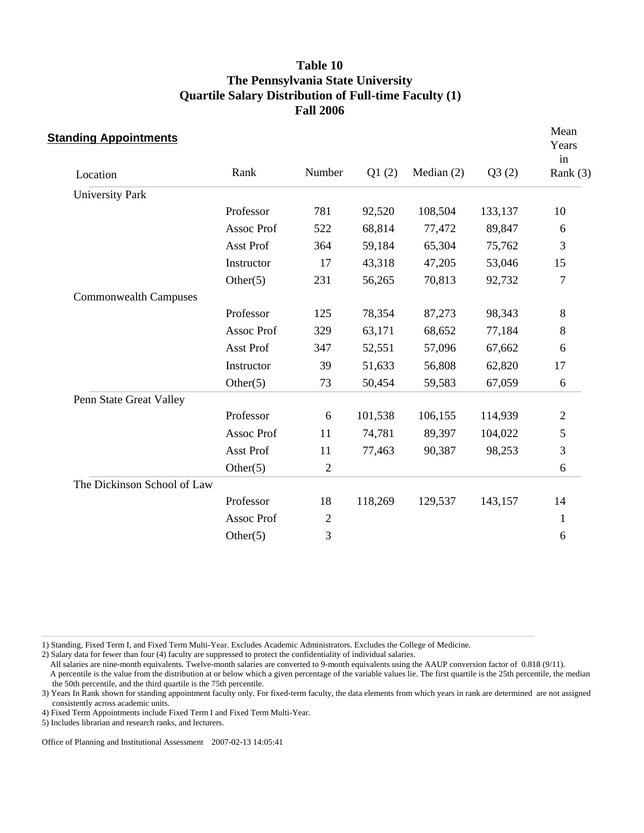| <b>Standing Appointments</b> |                   |                |         |              |         | Mean<br>Years<br>in |
|------------------------------|-------------------|----------------|---------|--------------|---------|---------------------|
| Location                     | Rank              | Number         | Q1(2)   | Median $(2)$ | Q3(2)   | Rank $(3)$          |
| <b>University Park</b>       |                   |                |         |              |         |                     |
|                              | Professor         | 781            | 92,520  | 108,504      | 133,137 | 10                  |
|                              | <b>Assoc Prof</b> | 522            | 68,814  | 77,472       | 89,847  | 6                   |
|                              | Asst Prof         | 364            | 59,184  | 65,304       | 75,762  | 3                   |
|                              | Instructor        | 17             | 43,318  | 47,205       | 53,046  | 15                  |
|                              | Other $(5)$       | 231            | 56,265  | 70,813       | 92,732  | $\overline{7}$      |
| <b>Commonwealth Campuses</b> |                   |                |         |              |         |                     |
|                              | Professor         | 125            | 78,354  | 87,273       | 98,343  | 8                   |
|                              | Assoc Prof        | 329            | 63,171  | 68,652       | 77,184  | 8                   |
|                              | <b>Asst Prof</b>  | 347            | 52,551  | 57,096       | 67,662  | 6                   |
|                              | Instructor        | 39             | 51,633  | 56,808       | 62,820  | 17                  |
|                              | Other $(5)$       | 73             | 50,454  | 59,583       | 67,059  | 6                   |
| Penn State Great Valley      |                   |                |         |              |         |                     |
|                              | Professor         | 6              | 101,538 | 106,155      | 114,939 | $\overline{2}$      |
|                              | Assoc Prof        | 11             | 74,781  | 89,397       | 104,022 | $\overline{5}$      |
|                              | Asst Prof         | 11             | 77,463  | 90,387       | 98,253  | $\mathfrak{Z}$      |
|                              | Other $(5)$       | $\mathfrak{2}$ |         |              |         | 6                   |
| The Dickinson School of Law  |                   |                |         |              |         |                     |
|                              | Professor         | 18             | 118,269 | 129,537      | 143,157 | 14                  |
|                              | Assoc Prof        | $\overline{2}$ |         |              |         | 1                   |
|                              | Other $(5)$       | 3              |         |              |         | 6                   |

1) Standing, Fixed Term I, and Fixed Term Multi-Year. Excludes Academic Administrators. Excludes the College of Medicine.

2) Salary data for fewer than four (4) faculty are suppressed to protect the confidentiality of individual salaries.

All salaries are nine-month equivalents. Twelve-month salaries are converted to 9-month equivalents using the AAUP conversion factor of 0.818 (9/11).

 A percentile is the value from the distribution at or below which a given percentage of the variable values lie. The first quartile is the 25th percentile, the median the 50th percentile, and the third quartile is the 75th percentile.

3) Years In Rank shown for standing appointment faculty only. For fixed-term faculty, the data elements from which years in rank are determined are not assigned consistently across academic units.

4) Fixed Term Appointments include Fixed Term I and Fixed Term Multi-Year.

5) Includes librarian and research ranks, and lecturers.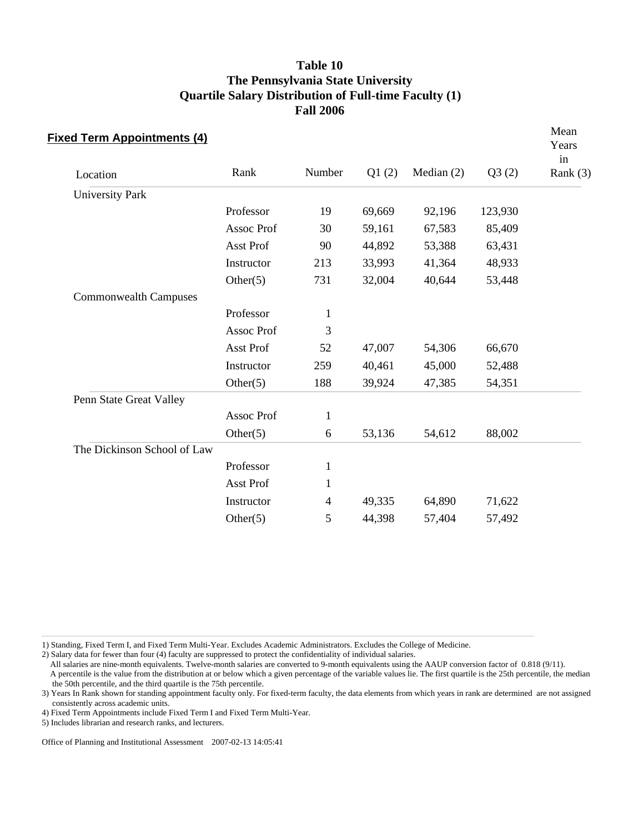| <b>Fixed Term Appointments (4)</b> |                  |              |        |              |         | Mean<br>Years<br>in |
|------------------------------------|------------------|--------------|--------|--------------|---------|---------------------|
| Location                           | Rank             | Number       | Q1(2)  | Median $(2)$ | Q3(2)   | Rank $(3)$          |
| <b>University Park</b>             |                  |              |        |              |         |                     |
|                                    | Professor        | 19           | 69,669 | 92,196       | 123,930 |                     |
|                                    | Assoc Prof       | 30           | 59,161 | 67,583       | 85,409  |                     |
|                                    | Asst Prof        | 90           | 44,892 | 53,388       | 63,431  |                     |
|                                    | Instructor       | 213          | 33,993 | 41,364       | 48,933  |                     |
|                                    | Other $(5)$      | 731          | 32,004 | 40,644       | 53,448  |                     |
| <b>Commonwealth Campuses</b>       |                  |              |        |              |         |                     |
|                                    | Professor        | $\mathbf{1}$ |        |              |         |                     |
|                                    | Assoc Prof       | 3            |        |              |         |                     |
|                                    | Asst Prof        | 52           | 47,007 | 54,306       | 66,670  |                     |
|                                    | Instructor       | 259          | 40,461 | 45,000       | 52,488  |                     |
|                                    | Other $(5)$      | 188          | 39,924 | 47,385       | 54,351  |                     |
| Penn State Great Valley            |                  |              |        |              |         |                     |
|                                    | Assoc Prof       | $\mathbf{1}$ |        |              |         |                     |
|                                    | Other $(5)$      | 6            | 53,136 | 54,612       | 88,002  |                     |
| The Dickinson School of Law        |                  |              |        |              |         |                     |
|                                    | Professor        | $\mathbf{1}$ |        |              |         |                     |
|                                    | <b>Asst Prof</b> | $\mathbf{1}$ |        |              |         |                     |
|                                    | Instructor       | 4            | 49,335 | 64,890       | 71,622  |                     |
|                                    | Other $(5)$      | 5            | 44,398 | 57,404       | 57,492  |                     |

1) Standing, Fixed Term I, and Fixed Term Multi-Year. Excludes Academic Administrators. Excludes the College of Medicine.

2) Salary data for fewer than four (4) faculty are suppressed to protect the confidentiality of individual salaries.

 All salaries are nine-month equivalents. Twelve-month salaries are converted to 9-month equivalents using the AAUP conversion factor of 0.818 (9/11). A percentile is the value from the distribution at or below which a given percentage of the variable values lie. The first quartile is the 25th percentile, the median

the 50th percentile, and the third quartile is the 75th percentile.

3) Years In Rank shown for standing appointment faculty only. For fixed-term faculty, the data elements from which years in rank are determined are not assigned consistently across academic units.

4) Fixed Term Appointments include Fixed Term I and Fixed Term Multi-Year.

5) Includes librarian and research ranks, and lecturers.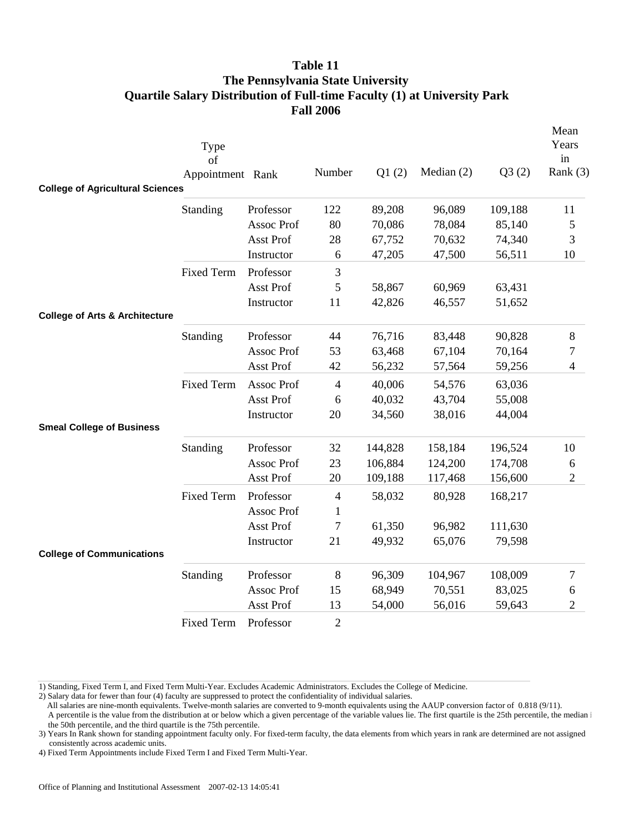|                                           | Type<br>of<br>Appointment Rank |                  | Number         | Q1(2)   | Median $(2)$ | Q3(2)   | Mean<br>Years<br>in<br>Rank $(3)$ |
|-------------------------------------------|--------------------------------|------------------|----------------|---------|--------------|---------|-----------------------------------|
| <b>College of Agricultural Sciences</b>   |                                |                  |                |         |              |         |                                   |
|                                           | Standing                       | Professor        | 122            | 89,208  | 96,089       | 109,188 | 11                                |
|                                           |                                | Assoc Prof       | 80             | 70,086  | 78,084       | 85,140  | 5                                 |
|                                           |                                | Asst Prof        | 28             | 67,752  | 70,632       | 74,340  | 3                                 |
|                                           |                                | Instructor       | 6              | 47,205  | 47,500       | 56,511  | 10                                |
|                                           | <b>Fixed Term</b>              | Professor        | 3              |         |              |         |                                   |
|                                           |                                | Asst Prof        | 5              | 58,867  | 60,969       | 63,431  |                                   |
|                                           |                                | Instructor       | 11             | 42,826  | 46,557       | 51,652  |                                   |
| <b>College of Arts &amp; Architecture</b> |                                |                  |                |         |              |         |                                   |
|                                           | Standing                       | Professor        | 44             | 76,716  | 83,448       | 90,828  | 8                                 |
|                                           |                                | Assoc Prof       | 53             | 63,468  | 67,104       | 70,164  | 7                                 |
|                                           |                                | Asst Prof        | 42             | 56,232  | 57,564       | 59,256  | 4                                 |
|                                           | <b>Fixed Term</b>              | Assoc Prof       | $\overline{4}$ | 40,006  | 54,576       | 63,036  |                                   |
|                                           |                                | <b>Asst Prof</b> | 6              | 40,032  | 43,704       | 55,008  |                                   |
|                                           |                                | Instructor       | 20             | 34,560  | 38,016       | 44,004  |                                   |
| <b>Smeal College of Business</b>          |                                |                  |                |         |              |         |                                   |
|                                           | Standing                       | Professor        | 32             | 144,828 | 158,184      | 196,524 | 10                                |
|                                           |                                | Assoc Prof       | 23             | 106,884 | 124,200      | 174,708 | 6                                 |
|                                           |                                | Asst Prof        | 20             | 109,188 | 117,468      | 156,600 | $\overline{2}$                    |
|                                           | <b>Fixed Term</b>              | Professor        | 4              | 58,032  | 80,928       | 168,217 |                                   |
|                                           |                                | Assoc Prof       | 1              |         |              |         |                                   |
|                                           |                                | Asst Prof        | 7              | 61,350  | 96,982       | 111,630 |                                   |
|                                           |                                | Instructor       | 21             | 49,932  | 65,076       | 79,598  |                                   |
| <b>College of Communications</b>          |                                |                  |                |         |              |         |                                   |
|                                           | Standing                       | Professor        | 8              | 96,309  | 104,967      | 108,009 | 7                                 |
|                                           |                                | Assoc Prof       | 15             | 68,949  | 70,551       | 83,025  | 6                                 |
|                                           |                                | Asst Prof        | 13             | 54,000  | 56,016       | 59,643  | $\sqrt{2}$                        |
|                                           | <b>Fixed Term</b>              | Professor        | $\overline{2}$ |         |              |         |                                   |

1) Standing, Fixed Term I, and Fixed Term Multi-Year. Excludes Academic Administrators. Excludes the College of Medicine.

2) Salary data for fewer than four (4) faculty are suppressed to protect the confidentiality of individual salaries.

All salaries are nine-month equivalents. Twelve-month salaries are converted to 9-month equivalents using the AAUP conversion factor of 0.818 (9/11).

 A percentile is the value from the distribution at or below which a given percentage of the variable values lie. The first quartile is the 25th percentile, the median i the 50th percentile, and the third quartile is the 75th percentile.

3) Years In Rank shown for standing appointment faculty only. For fixed-term faculty, the data elements from which years in rank are determined are not assigned consistently across academic units.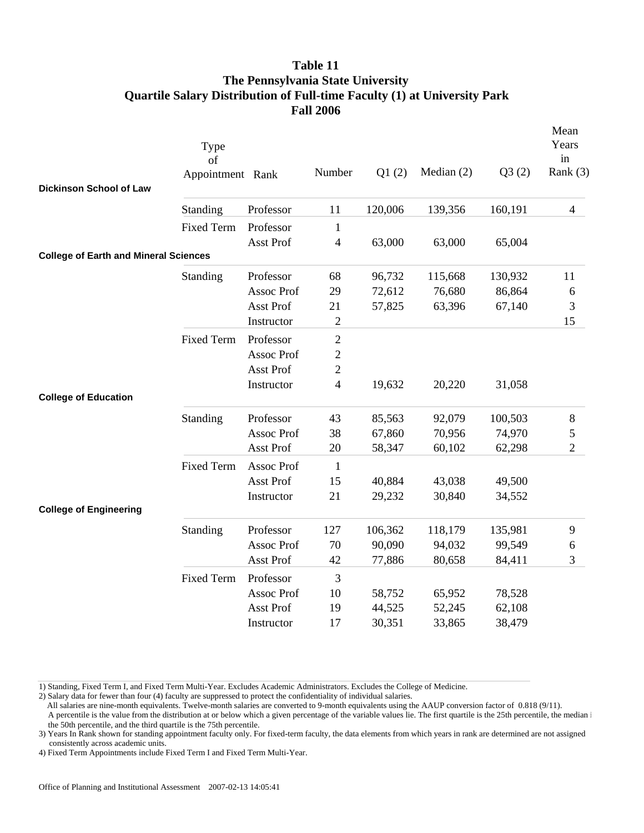| Dickinson School of Law                      | Type<br>of<br>Appointment Rank |            | Number           | Q1(2)   | Median $(2)$ | Q3(2)   | Mean<br>Years<br>in<br>Rank $(3)$ |
|----------------------------------------------|--------------------------------|------------|------------------|---------|--------------|---------|-----------------------------------|
|                                              | Standing                       | Professor  | 11               | 120,006 | 139,356      | 160,191 | $\overline{4}$                    |
|                                              | <b>Fixed Term</b>              | Professor  | $\mathbf{1}$     |         |              |         |                                   |
|                                              |                                | Asst Prof  | $\overline{4}$   | 63,000  | 63,000       | 65,004  |                                   |
| <b>College of Earth and Mineral Sciences</b> |                                |            |                  |         |              |         |                                   |
|                                              | Standing                       | Professor  | 68               | 96,732  | 115,668      | 130,932 | 11                                |
|                                              |                                | Assoc Prof | 29               | 72,612  | 76,680       | 86,864  | 6                                 |
|                                              |                                | Asst Prof  | 21               | 57,825  | 63,396       | 67,140  | 3                                 |
|                                              |                                | Instructor | $\overline{c}$   |         |              |         | 15                                |
|                                              | <b>Fixed Term</b>              | Professor  | $\mathfrak{2}$   |         |              |         |                                   |
|                                              |                                | Assoc Prof | $\boldsymbol{2}$ |         |              |         |                                   |
|                                              |                                | Asst Prof  | $\mathbf{2}$     |         |              |         |                                   |
|                                              |                                | Instructor | $\overline{4}$   | 19,632  | 20,220       | 31,058  |                                   |
| <b>College of Education</b>                  |                                |            |                  |         |              |         |                                   |
|                                              | Standing                       | Professor  | 43               | 85,563  | 92,079       | 100,503 | 8                                 |
|                                              |                                | Assoc Prof | 38               | 67,860  | 70,956       | 74,970  | 5                                 |
|                                              |                                | Asst Prof  | 20               | 58,347  | 60,102       | 62,298  | $\overline{2}$                    |
|                                              | <b>Fixed Term</b>              | Assoc Prof | $\mathbf{1}$     |         |              |         |                                   |
|                                              |                                | Asst Prof  | 15               | 40,884  | 43,038       | 49,500  |                                   |
|                                              |                                | Instructor | 21               | 29,232  | 30,840       | 34,552  |                                   |
| <b>College of Engineering</b>                |                                |            |                  |         |              |         |                                   |
|                                              | Standing                       | Professor  | 127              | 106,362 | 118,179      | 135,981 | 9                                 |
|                                              |                                | Assoc Prof | 70               | 90,090  | 94,032       | 99,549  | 6                                 |
|                                              |                                | Asst Prof  | 42               | 77,886  | 80,658       | 84,411  | 3                                 |
|                                              | <b>Fixed Term</b>              | Professor  | 3                |         |              |         |                                   |
|                                              |                                | Assoc Prof | 10               | 58,752  | 65,952       | 78,528  |                                   |
|                                              |                                | Asst Prof  | 19               | 44,525  | 52,245       | 62,108  |                                   |
|                                              |                                | Instructor | 17               | 30,351  | 33,865       | 38,479  |                                   |

1) Standing, Fixed Term I, and Fixed Term Multi-Year. Excludes Academic Administrators. Excludes the College of Medicine.

2) Salary data for fewer than four (4) faculty are suppressed to protect the confidentiality of individual salaries.

All salaries are nine-month equivalents. Twelve-month salaries are converted to 9-month equivalents using the AAUP conversion factor of 0.818 (9/11).

 A percentile is the value from the distribution at or below which a given percentage of the variable values lie. The first quartile is the 25th percentile, the median i the 50th percentile, and the third quartile is the 75th percentile.

3) Years In Rank shown for standing appointment faculty only. For fixed-term faculty, the data elements from which years in rank are determined are not assigned consistently across academic units.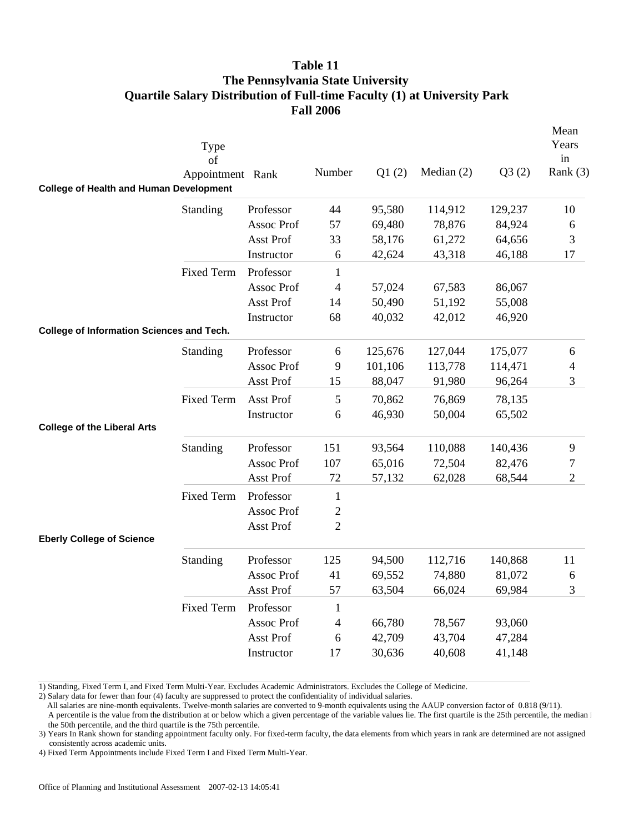| <b>College of Health and Human Development</b>   | Type<br>of<br>Appointment Rank |                   | Number         | Q1(2)   | Median $(2)$ | Q3(2)   | Mean<br>Years<br>in<br>Rank $(3)$ |
|--------------------------------------------------|--------------------------------|-------------------|----------------|---------|--------------|---------|-----------------------------------|
|                                                  |                                |                   |                |         |              |         |                                   |
|                                                  | Standing                       | Professor         | 44             | 95,580  | 114,912      | 129,237 | 10                                |
|                                                  |                                | Assoc Prof        | 57             | 69,480  | 78,876       | 84,924  | 6                                 |
|                                                  |                                | Asst Prof         | 33             | 58,176  | 61,272       | 64,656  | $\mathfrak{Z}$                    |
|                                                  |                                | Instructor        | 6              | 42,624  | 43,318       | 46,188  | 17                                |
|                                                  | <b>Fixed Term</b>              | Professor         | $\mathbf{1}$   |         |              |         |                                   |
|                                                  |                                | Assoc Prof        | 4              | 57,024  | 67,583       | 86,067  |                                   |
|                                                  |                                | Asst Prof         | 14             | 50,490  | 51,192       | 55,008  |                                   |
|                                                  |                                | Instructor        | 68             | 40,032  | 42,012       | 46,920  |                                   |
| <b>College of Information Sciences and Tech.</b> |                                |                   |                |         |              |         |                                   |
|                                                  | Standing                       | Professor         | 6              | 125,676 | 127,044      | 175,077 | 6                                 |
|                                                  |                                | <b>Assoc Prof</b> | 9              | 101,106 | 113,778      | 114,471 | $\overline{4}$                    |
|                                                  |                                | Asst Prof         | 15             | 88,047  | 91,980       | 96,264  | 3                                 |
|                                                  | <b>Fixed Term</b>              | Asst Prof         | 5              | 70,862  | 76,869       | 78,135  |                                   |
|                                                  |                                | Instructor        | 6              | 46,930  | 50,004       | 65,502  |                                   |
| <b>College of the Liberal Arts</b>               |                                |                   |                |         |              |         |                                   |
|                                                  | Standing                       | Professor         | 151            | 93,564  | 110,088      | 140,436 | $\overline{9}$                    |
|                                                  |                                | Assoc Prof        | 107            | 65,016  | 72,504       | 82,476  | $\boldsymbol{7}$                  |
|                                                  |                                | Asst Prof         | 72             | 57,132  | 62,028       | 68,544  | $\overline{2}$                    |
|                                                  | <b>Fixed Term</b>              | Professor         | $\mathbf{1}$   |         |              |         |                                   |
|                                                  |                                | Assoc Prof        | $\overline{c}$ |         |              |         |                                   |
|                                                  |                                | Asst Prof         | $\overline{2}$ |         |              |         |                                   |
| <b>Eberly College of Science</b>                 |                                |                   |                |         |              |         |                                   |
|                                                  | Standing                       | Professor         | 125            | 94,500  | 112,716      | 140,868 | 11                                |
|                                                  |                                | Assoc Prof        | 41             | 69,552  | 74,880       | 81,072  | 6                                 |
|                                                  |                                | Asst Prof         | 57             | 63,504  | 66,024       | 69,984  | 3                                 |
|                                                  | <b>Fixed Term</b>              | Professor         | $\mathbf{1}$   |         |              |         |                                   |
|                                                  |                                | Assoc Prof        | $\overline{4}$ | 66,780  | 78,567       | 93,060  |                                   |
|                                                  |                                | Asst Prof         | 6              | 42,709  | 43,704       | 47,284  |                                   |
|                                                  |                                | Instructor        | 17             | 30,636  | 40,608       | 41,148  |                                   |
|                                                  |                                |                   |                |         |              |         |                                   |

1) Standing, Fixed Term I, and Fixed Term Multi-Year. Excludes Academic Administrators. Excludes the College of Medicine.

2) Salary data for fewer than four (4) faculty are suppressed to protect the confidentiality of individual salaries.

All salaries are nine-month equivalents. Twelve-month salaries are converted to 9-month equivalents using the AAUP conversion factor of 0.818 (9/11).

 A percentile is the value from the distribution at or below which a given percentage of the variable values lie. The first quartile is the 25th percentile, the median i the 50th percentile, and the third quartile is the 75th percentile.

3) Years In Rank shown for standing appointment faculty only. For fixed-term faculty, the data elements from which years in rank are determined are not assigned consistently across academic units.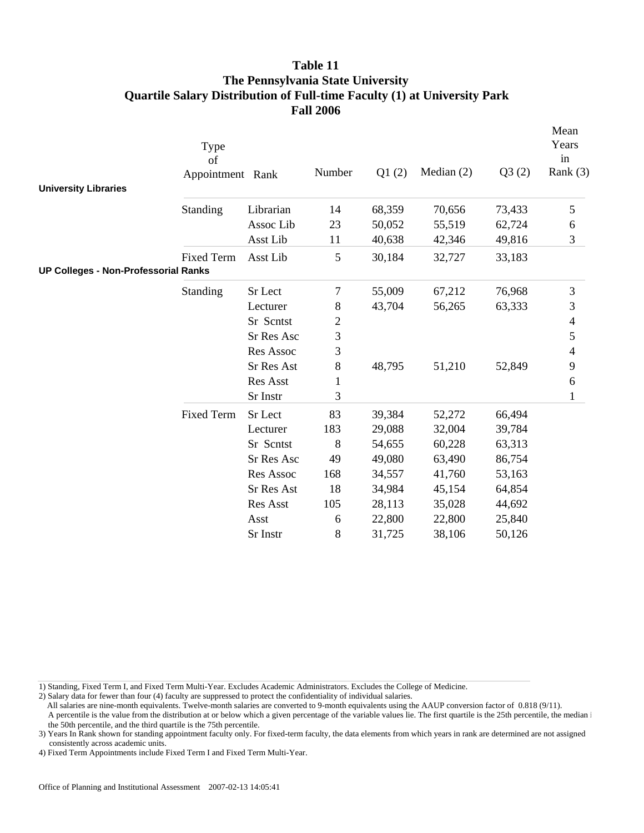|                                             | Type<br>of<br>Appointment Rank |                   | Number | Q1(2)  | Median $(2)$ | Q3(2)  | Mean<br>Years<br>in<br>Rank (3) |
|---------------------------------------------|--------------------------------|-------------------|--------|--------|--------------|--------|---------------------------------|
| <b>University Libraries</b>                 |                                |                   |        |        |              |        |                                 |
|                                             | Standing                       | Librarian         | 14     | 68,359 | 70,656       | 73,433 | 5                               |
|                                             |                                | Assoc Lib         | 23     | 50,052 | 55,519       | 62,724 | 6                               |
|                                             |                                | Asst Lib          | 11     | 40,638 | 42,346       | 49,816 | 3                               |
|                                             | <b>Fixed Term</b>              | Asst Lib          | 5      | 30,184 | 32,727       | 33,183 |                                 |
| <b>UP Colleges - Non-Professorial Ranks</b> |                                |                   |        |        |              |        |                                 |
|                                             | Standing                       | Sr Lect           | 7      | 55,009 | 67,212       | 76,968 | $\mathfrak{Z}$                  |
|                                             |                                | Lecturer          | 8      | 43,704 | 56,265       | 63,333 | 3                               |
|                                             |                                | Sr Scntst         | 2      |        |              |        | 4                               |
|                                             |                                | <b>Sr Res Asc</b> | 3      |        |              |        | 5                               |
|                                             |                                | Res Assoc         | 3      |        |              |        | $\overline{\mathcal{L}}$        |
|                                             |                                | Sr Res Ast        | 8      | 48,795 | 51,210       | 52,849 | 9                               |
|                                             |                                | Res Asst          | 1      |        |              |        | 6                               |
|                                             |                                | Sr Instr          | 3      |        |              |        | $\mathbf{1}$                    |
|                                             | <b>Fixed Term</b>              | Sr Lect           | 83     | 39,384 | 52,272       | 66,494 |                                 |
|                                             |                                | Lecturer          | 183    | 29,088 | 32,004       | 39,784 |                                 |
|                                             |                                | Sr Scntst         | 8      | 54,655 | 60,228       | 63,313 |                                 |
|                                             |                                | Sr Res Asc        | 49     | 49,080 | 63,490       | 86,754 |                                 |
|                                             |                                | Res Assoc         | 168    | 34,557 | 41,760       | 53,163 |                                 |
|                                             |                                | Sr Res Ast        | 18     | 34,984 | 45,154       | 64,854 |                                 |
|                                             |                                | Res Asst          | 105    | 28,113 | 35,028       | 44,692 |                                 |
|                                             |                                | Asst              | 6      | 22,800 | 22,800       | 25,840 |                                 |
|                                             |                                | Sr Instr          | 8      | 31,725 | 38,106       | 50,126 |                                 |

1) Standing, Fixed Term I, and Fixed Term Multi-Year. Excludes Academic Administrators. Excludes the College of Medicine.

2) Salary data for fewer than four (4) faculty are suppressed to protect the confidentiality of individual salaries.

A percentile is the value from the distribution at or below which a given percentage of the variable values lie. The first quartile is the 25th percentile, the median i the 50th percentile, and the third quartile is the 75th percentile.

3) Years In Rank shown for standing appointment faculty only. For fixed-term faculty, the data elements from which years in rank are determined are not assigned consistently across academic units.

All salaries are nine-month equivalents. Twelve-month salaries are converted to 9-month equivalents using the AAUP conversion factor of 0.818 (9/11).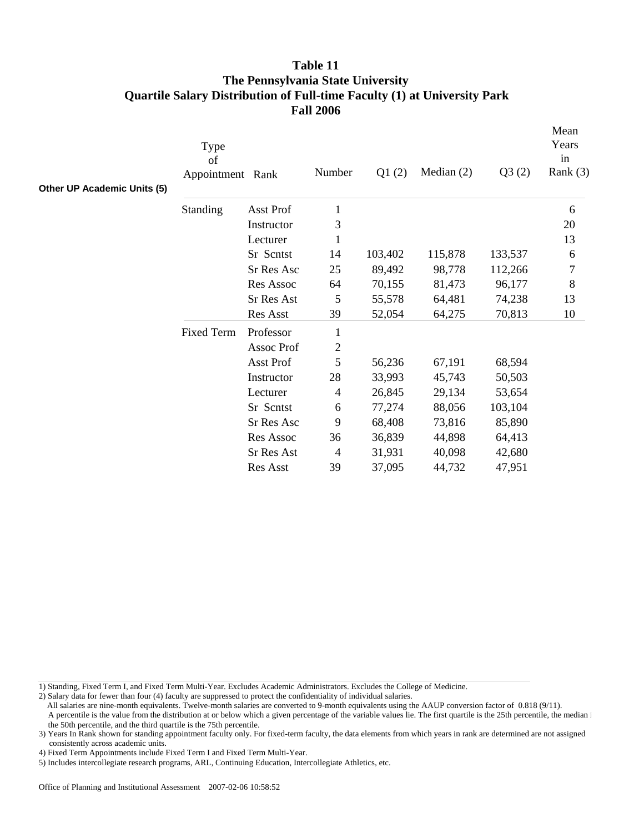| Other UP Academic Units (5) | Type<br>of<br>Appointment Rank |            | Number         | Q1(2)   | Median $(2)$ | Q3(2)   | Mean<br>Years<br>in<br>Rank $(3)$ |
|-----------------------------|--------------------------------|------------|----------------|---------|--------------|---------|-----------------------------------|
|                             | Standing                       | Asst Prof  | $\mathbf{1}$   |         |              |         | 6                                 |
|                             |                                | Instructor | 3              |         |              |         | 20                                |
|                             |                                | Lecturer   | 1              |         |              |         | 13                                |
|                             |                                | Sr Scntst  | 14             | 103,402 | 115,878      | 133,537 | 6                                 |
|                             |                                | Sr Res Asc | 25             | 89,492  | 98,778       | 112,266 | $\tau$                            |
|                             |                                | Res Assoc  | 64             | 70,155  | 81,473       | 96,177  | $8\,$                             |
|                             |                                | Sr Res Ast | 5              | 55,578  | 64,481       | 74,238  | 13                                |
|                             |                                | Res Asst   | 39             | 52,054  | 64,275       | 70,813  | 10                                |
|                             | <b>Fixed Term</b>              | Professor  | 1              |         |              |         |                                   |
|                             |                                | Assoc Prof | $\mathfrak{2}$ |         |              |         |                                   |
|                             |                                | Asst Prof  | 5              | 56,236  | 67,191       | 68,594  |                                   |
|                             |                                | Instructor | 28             | 33,993  | 45,743       | 50,503  |                                   |
|                             |                                | Lecturer   | $\overline{4}$ | 26,845  | 29,134       | 53,654  |                                   |
|                             |                                | Sr Scntst  | 6              | 77,274  | 88,056       | 103,104 |                                   |
|                             |                                | Sr Res Asc | 9              | 68,408  | 73,816       | 85,890  |                                   |
|                             |                                | Res Assoc  | 36             | 36,839  | 44,898       | 64,413  |                                   |
|                             |                                | Sr Res Ast | 4              | 31,931  | 40,098       | 42,680  |                                   |
|                             |                                | Res Asst   | 39             | 37,095  | 44,732       | 47,951  |                                   |

1) Standing, Fixed Term I, and Fixed Term Multi-Year. Excludes Academic Administrators. Excludes the College of Medicine.

2) Salary data for fewer than four (4) faculty are suppressed to protect the confidentiality of individual salaries.

All salaries are nine-month equivalents. Twelve-month salaries are converted to 9-month equivalents using the AAUP conversion factor of 0.818 (9/11).

A percentile is the value from the distribution at or below which a given percentage of the variable values lie. The first quartile is the 25th percentile, the median i the 50th percentile, and the third quartile is the 75th percentile.

4) Fixed Term Appointments include Fixed Term I and Fixed Term Multi-Year.

5) Includes intercollegiate research programs, ARL, Continuing Education, Intercollegiate Athletics, etc.

<sup>3)</sup> Years In Rank shown for standing appointment faculty only. For fixed-term faculty, the data elements from which years in rank are determined are not assigned consistently across academic units.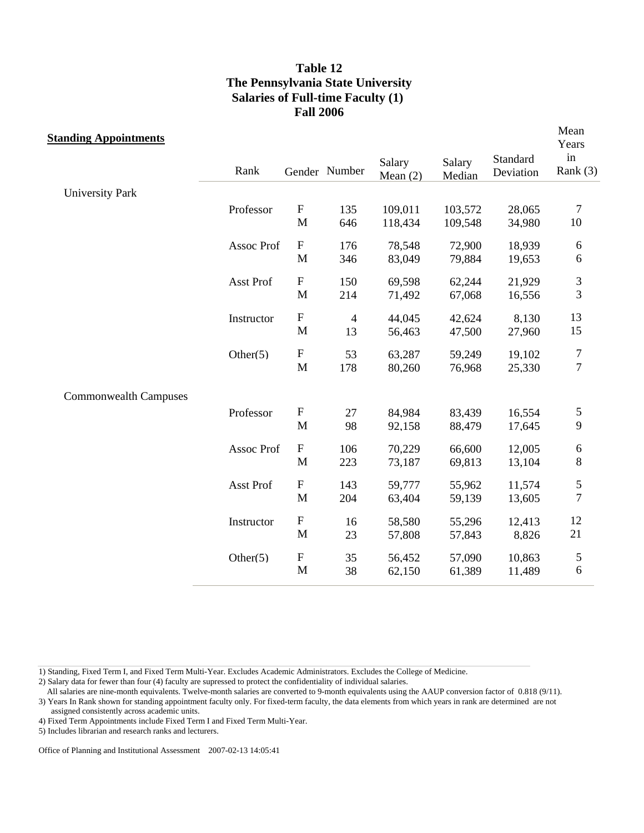| <b>Standing Appointments</b> |             |                           |                |                      |                  |                       | Mean<br>Years    |
|------------------------------|-------------|---------------------------|----------------|----------------------|------------------|-----------------------|------------------|
|                              | Rank        |                           | Gender Number  | Salary<br>Mean $(2)$ | Salary<br>Median | Standard<br>Deviation | in<br>Rank $(3)$ |
| <b>University Park</b>       |             |                           |                |                      |                  |                       |                  |
|                              | Professor   | $\boldsymbol{\mathrm{F}}$ | 135            | 109,011              | 103,572          | 28,065                | $\overline{7}$   |
|                              |             | M                         | 646            | 118,434              | 109,548          | 34,980                | 10               |
|                              | Assoc Prof  | ${\bf F}$                 | 176            | 78,548               | 72,900           | 18,939                | 6                |
|                              |             | M                         | 346            | 83,049               | 79,884           | 19,653                | 6                |
|                              | Asst Prof   | $\boldsymbol{\mathrm{F}}$ | 150            | 69,598               | 62,244           | 21,929                | $\mathfrak{Z}$   |
|                              |             | M                         | 214            | 71,492               | 67,068           | 16,556                | 3                |
|                              | Instructor  | $\boldsymbol{\mathrm{F}}$ | $\overline{4}$ | 44,045               | 42,624           | 8,130                 | 13               |
|                              |             | M                         | 13             | 56,463               | 47,500           | 27,960                | 15               |
|                              | Other(5)    | ${\bf F}$                 | 53             | 63,287               | 59,249           | 19,102                | $\overline{7}$   |
|                              |             | M                         | 178            | 80,260               | 76,968           | 25,330                | $\boldsymbol{7}$ |
| <b>Commonwealth Campuses</b> |             |                           |                |                      |                  |                       |                  |
|                              | Professor   | ${\bf F}$                 | 27             | 84,984               | 83,439           | 16,554                | 5                |
|                              |             | M                         | 98             | 92,158               | 88,479           | 17,645                | 9                |
|                              | Assoc Prof  | $\boldsymbol{\mathrm{F}}$ | 106            | 70,229               | 66,600           | 12,005                | 6                |
|                              |             | M                         | 223            | 73,187               | 69,813           | 13,104                | $\,$ $\,$        |
|                              | Asst Prof   | $\boldsymbol{\mathrm{F}}$ | 143            | 59,777               | 55,962           | 11,574                | 5                |
|                              |             | M                         | 204            | 63,404               | 59,139           | 13,605                | $\boldsymbol{7}$ |
|                              | Instructor  | $\boldsymbol{\mathrm{F}}$ | 16             | 58,580               | 55,296           | 12,413                | 12               |
|                              |             | M                         | 23             | 57,808               | 57,843           | 8,826                 | 21               |
|                              | Other $(5)$ | ${\bf F}$                 | 35             | 56,452               | 57,090           | 10,863                | $\mathfrak{S}$   |
|                              |             | M                         | 38             | 62,150               | 61,389           | 11,489                | 6                |

1) Standing, Fixed Term I, and Fixed Term Multi-Year. Excludes Academic Administrators. Excludes the College of Medicine.

2) Salary data for fewer than four (4) faculty are supressed to protect the confidentiality of individual salaries.

 All salaries are nine-month equivalents. Twelve-month salaries are converted to 9-month equivalents using the AAUP conversion factor of 0.818 (9/11). 3) Years In Rank shown for standing appointment faculty only. For fixed-term faculty, the data elements from which years in rank are determined are not assigned consistently across academic units.

4) Fixed Term Appointments include Fixed Term I and Fixed Term Multi-Year.

5) Includes librarian and research ranks and lecturers.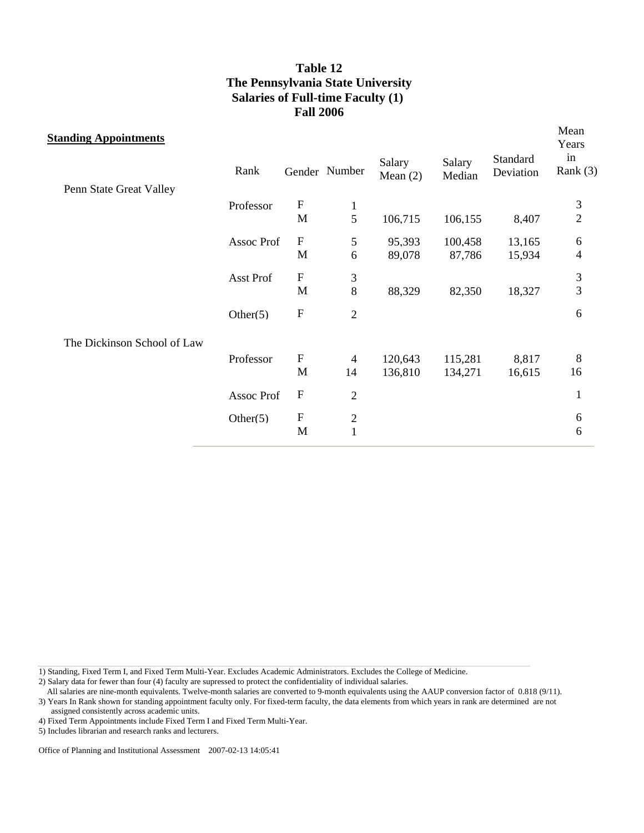| <b>Standing Appointments</b> |             |                           |                |                      |                  |                       | Mean<br>Years    |
|------------------------------|-------------|---------------------------|----------------|----------------------|------------------|-----------------------|------------------|
| Penn State Great Valley      | Rank        |                           | Gender Number  | Salary<br>Mean $(2)$ | Salary<br>Median | Standard<br>Deviation | in<br>Rank $(3)$ |
|                              | Professor   | $\boldsymbol{F}$          | $\mathbf{1}$   |                      |                  |                       | 3                |
|                              |             | M                         | 5              | 106,715              | 106,155          | 8,407                 | $\overline{c}$   |
|                              | Assoc Prof  | ${\bf F}$                 | $\mathfrak s$  | 95,393               | 100,458          | 13,165                | 6                |
|                              |             | M                         | 6              | 89,078               | 87,786           | 15,934                | $\overline{4}$   |
|                              | Asst Prof   | $\boldsymbol{\mathrm{F}}$ | 3              |                      |                  |                       | $\frac{3}{3}$    |
|                              |             | M                         | 8              | 88,329               | 82,350           | 18,327                |                  |
|                              | Other $(5)$ | $\boldsymbol{\mathrm{F}}$ | $\overline{2}$ |                      |                  |                       | 6                |
| The Dickinson School of Law  |             |                           |                |                      |                  |                       |                  |
|                              | Professor   | $\boldsymbol{\mathrm{F}}$ | 4              | 120,643              | 115,281          | 8,817                 | 8                |
|                              |             | M                         | 14             | 136,810              | 134,271          | 16,615                | 16               |
|                              | Assoc Prof  | $\boldsymbol{\mathrm{F}}$ | $\sqrt{2}$     |                      |                  |                       | $\mathbf{1}$     |
|                              | Other $(5)$ | $\boldsymbol{\mathrm{F}}$ | $\overline{c}$ |                      |                  |                       | 6                |
|                              |             | M                         | $\mathbf{1}$   |                      |                  |                       | 6                |

1) Standing, Fixed Term I, and Fixed Term Multi-Year. Excludes Academic Administrators. Excludes the College of Medicine.

2) Salary data for fewer than four (4) faculty are supressed to protect the confidentiality of individual salaries.

 All salaries are nine-month equivalents. Twelve-month salaries are converted to 9-month equivalents using the AAUP conversion factor of 0.818 (9/11). 3) Years In Rank shown for standing appointment faculty only. For fixed-term faculty, the data elements from which years in rank are determined are not

assigned consistently across academic units.

4) Fixed Term Appointments include Fixed Term I and Fixed Term Multi-Year.

5) Includes librarian and research ranks and lecturers.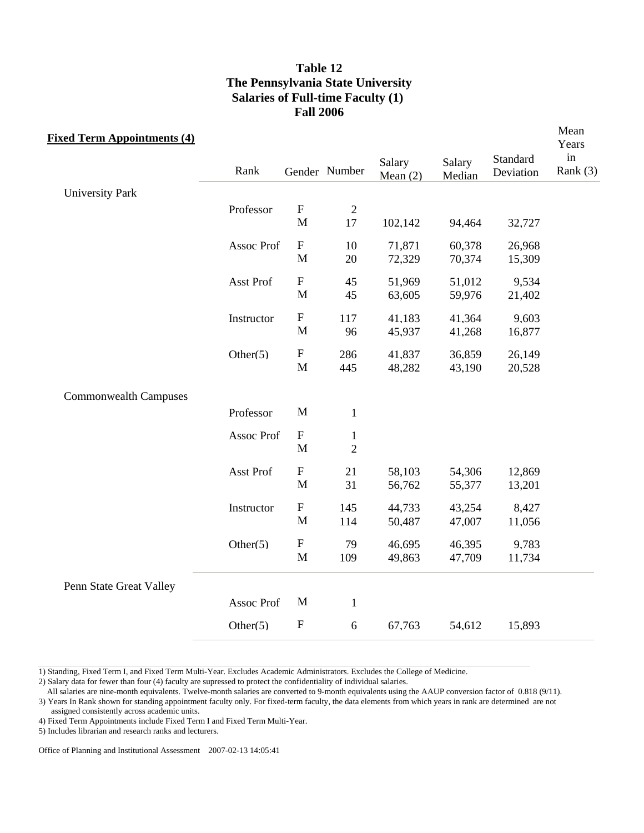| <b>Fixed Term Appointments (4)</b> |             |                           |                | Salary     | Salary | Standard  | Mean<br>Years<br>in |
|------------------------------------|-------------|---------------------------|----------------|------------|--------|-----------|---------------------|
|                                    | Rank        |                           | Gender Number  | Mean $(2)$ | Median | Deviation | Rank $(3)$          |
| <b>University Park</b>             |             |                           |                |            |        |           |                     |
|                                    | Professor   | ${\bf F}$                 | $\mathbf{2}$   |            |        |           |                     |
|                                    |             | $\mathbf M$               | 17             | 102,142    | 94,464 | 32,727    |                     |
|                                    | Assoc Prof  | $\boldsymbol{\mathrm{F}}$ | 10             | 71,871     | 60,378 | 26,968    |                     |
|                                    |             | M                         | 20             | 72,329     | 70,374 | 15,309    |                     |
|                                    | Asst Prof   | ${\bf F}$                 | 45             | 51,969     | 51,012 | 9,534     |                     |
|                                    |             | $\mathbf M$               | 45             | 63,605     | 59,976 | 21,402    |                     |
|                                    | Instructor  | ${\bf F}$                 | 117            | 41,183     | 41,364 | 9,603     |                     |
|                                    |             | M                         | 96             | 45,937     | 41,268 | 16,877    |                     |
|                                    | Other $(5)$ | $\boldsymbol{\mathrm{F}}$ | 286            | 41,837     | 36,859 | 26,149    |                     |
|                                    |             | M                         | 445            | 48,282     | 43,190 | 20,528    |                     |
| <b>Commonwealth Campuses</b>       |             |                           |                |            |        |           |                     |
|                                    | Professor   | M                         | $\mathbf{1}$   |            |        |           |                     |
|                                    | Assoc Prof  | $\boldsymbol{\mathrm{F}}$ | $\mathbf{1}$   |            |        |           |                     |
|                                    |             | $\mathbf{M}$              | $\overline{2}$ |            |        |           |                     |
|                                    | Asst Prof   | $\boldsymbol{\mathrm{F}}$ | 21             | 58,103     | 54,306 | 12,869    |                     |
|                                    |             | $\mathbf M$               | 31             | 56,762     | 55,377 | 13,201    |                     |
|                                    | Instructor  | $\boldsymbol{\mathrm{F}}$ | 145            | 44,733     | 43,254 | 8,427     |                     |
|                                    |             | $\mathbf M$               | 114            | 50,487     | 47,007 | 11,056    |                     |
|                                    | Other $(5)$ | ${\bf F}$                 | 79             | 46,695     | 46,395 | 9,783     |                     |
|                                    |             | $\mathbf M$               | 109            | 49,863     | 47,709 | 11,734    |                     |
| Penn State Great Valley            |             |                           |                |            |        |           |                     |
|                                    | Assoc Prof  | M                         | $\mathbf 1$    |            |        |           |                     |
|                                    | Other $(5)$ | $\mathbf F$               | 6              | 67,763     | 54,612 | 15,893    |                     |
|                                    |             |                           |                |            |        |           |                     |

1) Standing, Fixed Term I, and Fixed Term Multi-Year. Excludes Academic Administrators. Excludes the College of Medicine.

2) Salary data for fewer than four (4) faculty are supressed to protect the confidentiality of individual salaries.

All salaries are nine-month equivalents. Twelve-month salaries are converted to 9-month equivalents using the AAUP conversion factor of 0.818 (9/11).

3) Years In Rank shown for standing appointment faculty only. For fixed-term faculty, the data elements from which years in rank are determined are not assigned consistently across academic units.

4) Fixed Term Appointments include Fixed Term I and Fixed Term Multi-Year.

5) Includes librarian and research ranks and lecturers.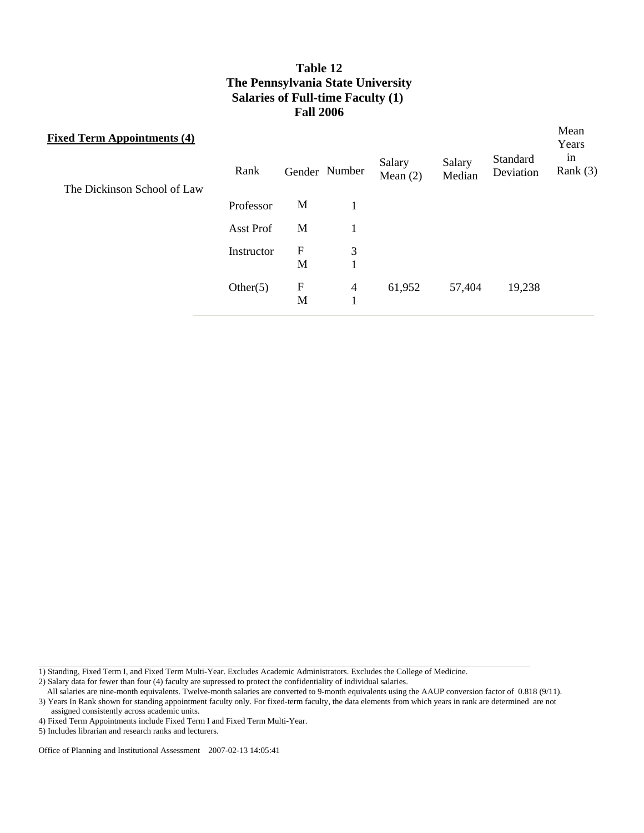| <b>Fixed Term Appointments (4)</b> | Gender Number<br>Rank |             |                | Salary<br>Mean $(2)$ | Salary<br>Median | Standard<br>Deviation | Mean<br>Years<br>in<br>Rank $(3)$ |
|------------------------------------|-----------------------|-------------|----------------|----------------------|------------------|-----------------------|-----------------------------------|
| The Dickinson School of Law        |                       |             |                |                      |                  |                       |                                   |
|                                    | Professor             | M           |                |                      |                  |                       |                                   |
|                                    | Asst Prof             | M           |                |                      |                  |                       |                                   |
|                                    | Instructor            | $\mathbf F$ | 3              |                      |                  |                       |                                   |
|                                    |                       | M           | $\mathbf{1}$   |                      |                  |                       |                                   |
|                                    | Other $(5)$           | F           | $\overline{4}$ | 61,952               | 57,404           | 19,238                |                                   |
|                                    |                       | M           | $\mathbf{1}$   |                      |                  |                       |                                   |
|                                    |                       |             |                |                      |                  |                       |                                   |

1) Standing, Fixed Term I, and Fixed Term Multi-Year. Excludes Academic Administrators. Excludes the College of Medicine.

2) Salary data for fewer than four (4) faculty are supressed to protect the confidentiality of individual salaries.

All salaries are nine-month equivalents. Twelve-month salaries are converted to 9-month equivalents using the AAUP conversion factor of 0.818 (9/11). 3) Years In Rank shown for standing appointment faculty only. For fixed-term faculty, the data elements from which years in rank are determined are not

assigned consistently across academic units.

<sup>4)</sup> Fixed Term Appointments include Fixed Term I and Fixed Term Multi-Year.

<sup>5)</sup> Includes librarian and research ranks and lecturers.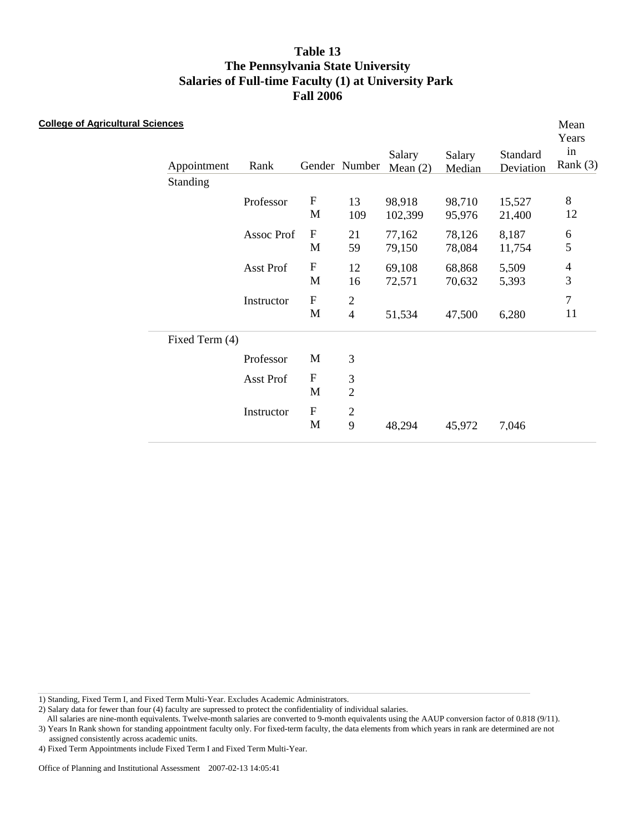| <b>College of Agricultural Sciences</b> | Appointment<br>Standing | Rank       |                            | Gender Number                    | Salary<br>Mean $(2)$ | Salary<br>Median | Standard<br>Deviation | Mean<br>Years<br>in<br>Rank $(3)$ |
|-----------------------------------------|-------------------------|------------|----------------------------|----------------------------------|----------------------|------------------|-----------------------|-----------------------------------|
|                                         |                         | Professor  | ${\bf F}$<br>$\mathbf M$   | 13<br>109                        | 98,918<br>102,399    | 98,710<br>95,976 | 15,527<br>21,400      | $8\,$<br>12                       |
|                                         |                         | Assoc Prof | ${\bf F}$<br>M             | 21<br>59                         | 77,162<br>79,150     | 78,126<br>78,084 | 8,187<br>11,754       | 6<br>5                            |
|                                         |                         | Asst Prof  | ${\bf F}$<br>$\mathbf M$   | 12<br>16                         | 69,108<br>72,571     | 68,868<br>70,632 | 5,509<br>5,393        | $\overline{4}$<br>$\mathfrak{Z}$  |
|                                         |                         | Instructor | ${\bf F}$<br>$\mathbf M$   | $\mathfrak{2}$<br>$\overline{4}$ | 51,534               | 47,500           | 6,280                 | $\boldsymbol{7}$<br>11            |
|                                         | Fixed Term (4)          |            |                            |                                  |                      |                  |                       |                                   |
|                                         |                         | Professor  | M                          | 3                                |                      |                  |                       |                                   |
|                                         |                         | Asst Prof  | $\mathbf F$<br>$\mathbf M$ | 3<br>$\overline{2}$              |                      |                  |                       |                                   |
|                                         |                         | Instructor | ${\bf F}$<br>M             | $\overline{c}$<br>9              | 48,294               | 45,972           | 7,046                 |                                   |

1) Standing, Fixed Term I, and Fixed Term Multi-Year. Excludes Academic Administrators.

2) Salary data for fewer than four (4) faculty are supressed to protect the confidentiality of individual salaries.

 All salaries are nine-month equivalents. Twelve-month salaries are converted to 9-month equivalents using the AAUP conversion factor of 0.818 (9/11). 3) Years In Rank shown for standing appointment faculty only. For fixed-term faculty, the data elements from which years in rank are determined are not

assigned consistently across academic units.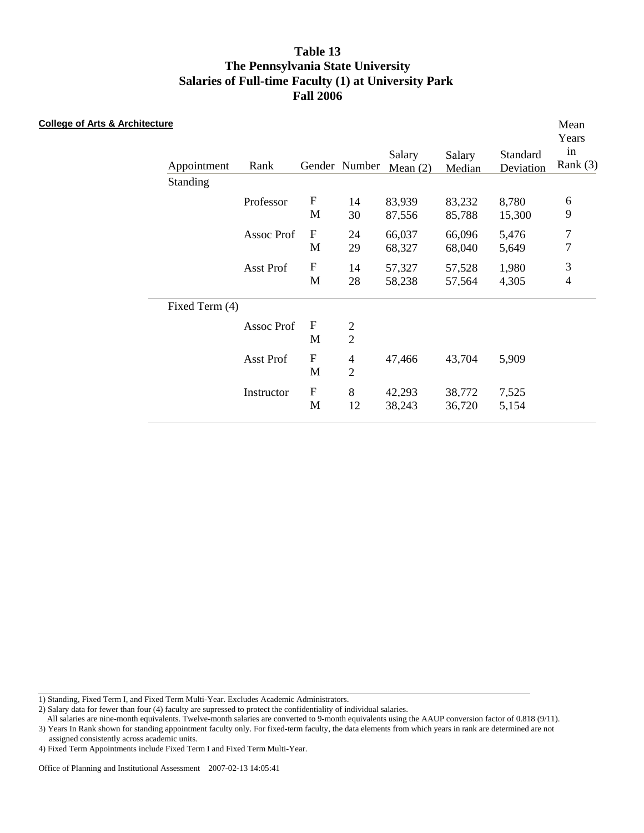| <b>College of Arts &amp; Architecture</b> | Appointment    | Rank       |                                          | Gender Number                    | Salary<br>Mean $(2)$ | Salary<br>Median | Standard<br>Deviation | Mean<br>Years<br>in<br>Rank $(3)$ |
|-------------------------------------------|----------------|------------|------------------------------------------|----------------------------------|----------------------|------------------|-----------------------|-----------------------------------|
|                                           | Standing       |            |                                          |                                  |                      |                  |                       |                                   |
|                                           |                | Professor  | $\boldsymbol{\mathrm{F}}$<br>$\mathbf M$ | 14<br>30                         | 83,939<br>87,556     | 83,232<br>85,788 | 8,780<br>15,300       | 6<br>9                            |
|                                           |                | Assoc Prof | $\mathbf{F}$<br>M                        | 24<br>29                         | 66,037<br>68,327     | 66,096<br>68,040 | 5,476<br>5,649        | $\overline{7}$<br>$\overline{7}$  |
|                                           |                | Asst Prof  | ${\bf F}$<br>M                           | 14<br>28                         | 57,327<br>58,238     | 57,528<br>57,564 | 1,980<br>4,305        | $\mathfrak{Z}$<br>$\overline{4}$  |
|                                           | Fixed Term (4) |            |                                          |                                  |                      |                  |                       |                                   |
|                                           |                | Assoc Prof | $\boldsymbol{\mathrm{F}}$<br>M           | $\frac{2}{2}$                    |                      |                  |                       |                                   |
|                                           |                | Asst Prof  | ${\bf F}$<br>M                           | $\overline{4}$<br>$\overline{2}$ | 47,466               | 43,704           | 5,909                 |                                   |
|                                           |                | Instructor | ${\bf F}$<br>M                           | $8\,$<br>12                      | 42,293<br>38,243     | 38,772<br>36,720 | 7,525<br>5,154        |                                   |

1) Standing, Fixed Term I, and Fixed Term Multi-Year. Excludes Academic Administrators.

2) Salary data for fewer than four (4) faculty are supressed to protect the confidentiality of individual salaries.

 All salaries are nine-month equivalents. Twelve-month salaries are converted to 9-month equivalents using the AAUP conversion factor of 0.818 (9/11). 3) Years In Rank shown for standing appointment faculty only. For fixed-term faculty, the data elements from which years in rank are determined are not

assigned consistently across academic units.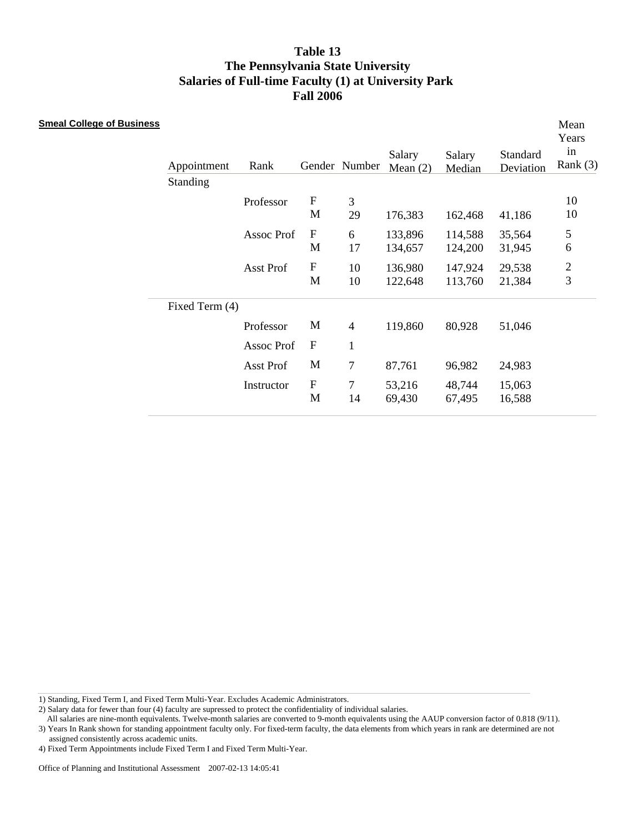| <b>Smeal College of Business</b> | Appointment    | Rank       |                                | Gender Number        | Salary<br>Mean $(2)$ | Salary<br>Median   | Standard<br>Deviation | Mean<br>Years<br>in<br>Rank $(3)$ |
|----------------------------------|----------------|------------|--------------------------------|----------------------|----------------------|--------------------|-----------------------|-----------------------------------|
|                                  | Standing       |            |                                |                      |                      |                    |                       |                                   |
|                                  |                | Professor  | ${\bf F}$<br>M                 | $\mathfrak{Z}$<br>29 | 176,383              | 162,468            | 41,186                | 10<br>10                          |
|                                  |                | Assoc Prof | ${\bf F}$<br>M                 | 6<br>17              | 133,896<br>134,657   | 114,588<br>124,200 | 35,564<br>31,945      | $\mathfrak s$<br>6                |
|                                  |                | Asst Prof  | ${\bf F}$<br>$\mathbf M$       | 10<br>10             | 136,980<br>122,648   | 147,924<br>113,760 | 29,538<br>21,384      | $\overline{c}$<br>$\overline{3}$  |
|                                  | Fixed Term (4) |            |                                |                      |                      |                    |                       |                                   |
|                                  |                | Professor  | M                              | $\overline{4}$       | 119,860              | 80,928             | 51,046                |                                   |
|                                  |                | Assoc Prof | $\mathbf F$                    | $\mathbf{1}$         |                      |                    |                       |                                   |
|                                  |                | Asst Prof  | M                              | 7                    | 87,761               | 96,982             | 24,983                |                                   |
|                                  |                | Instructor | $\boldsymbol{\mathrm{F}}$<br>M | $\tau$<br>14         | 53,216<br>69,430     | 48,744<br>67,495   | 15,063<br>16,588      |                                   |

1) Standing, Fixed Term I, and Fixed Term Multi-Year. Excludes Academic Administrators.

2) Salary data for fewer than four (4) faculty are supressed to protect the confidentiality of individual salaries.

 All salaries are nine-month equivalents. Twelve-month salaries are converted to 9-month equivalents using the AAUP conversion factor of 0.818 (9/11). 3) Years In Rank shown for standing appointment faculty only. For fixed-term faculty, the data elements from which years in rank are determined are not

assigned consistently across academic units.

<sup>4)</sup> Fixed Term Appointments include Fixed Term I and Fixed Term Multi-Year.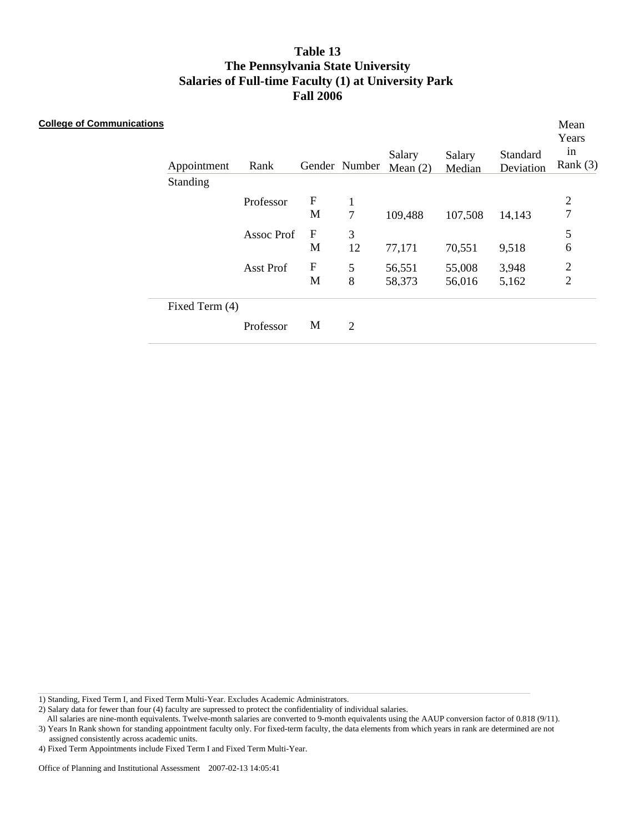| <b>College of Communications</b> | Appointment<br>Standing | Rank              |                                | Gender Number          | Salary<br>Mean $(2)$ | Salary<br>Median | Standard<br>Deviation | Mean<br>Years<br>in<br>Rank $(3)$ |
|----------------------------------|-------------------------|-------------------|--------------------------------|------------------------|----------------------|------------------|-----------------------|-----------------------------------|
|                                  |                         | Professor         | $\mathbf F$<br>M               | $\mathbf{1}$<br>$\tau$ | 109,488              | 107,508          | 14,143                | $\mathbf{2}$<br>$\overline{7}$    |
|                                  |                         | <b>Assoc Prof</b> | $\boldsymbol{\mathrm{F}}$<br>M | 3<br>12                | 77,171               | 70,551           | 9,518                 | 5<br>$\boldsymbol{6}$             |
|                                  |                         | Asst Prof         | $\boldsymbol{\mathrm{F}}$<br>M | 5<br>8                 | 56,551<br>58,373     | 55,008<br>56,016 | 3,948<br>5,162        | $\overline{c}$<br>$\overline{2}$  |
|                                  | Fixed Term (4)          |                   |                                |                        |                      |                  |                       |                                   |
|                                  |                         | Professor         | M                              | 2                      |                      |                  |                       |                                   |

1) Standing, Fixed Term I, and Fixed Term Multi-Year. Excludes Academic Administrators.

2) Salary data for fewer than four (4) faculty are supressed to protect the confidentiality of individual salaries.

 All salaries are nine-month equivalents. Twelve-month salaries are converted to 9-month equivalents using the AAUP conversion factor of 0.818 (9/11). 3) Years In Rank shown for standing appointment faculty only. For fixed-term faculty, the data elements from which years in rank are determined are not

assigned consistently across academic units.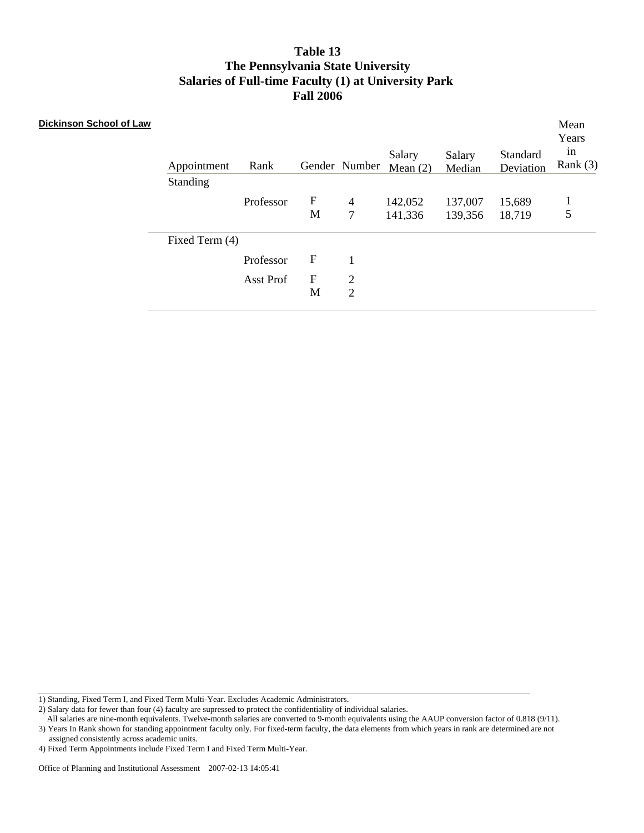| Dickinson School of Law | Appointment<br>Standing | Rank      |                  | Gender Number            | Salary<br>Mean $(2)$ | Salary<br>Median   | Standard<br>Deviation | Mean<br>Years<br>1n<br>Rank $(3)$ |
|-------------------------|-------------------------|-----------|------------------|--------------------------|----------------------|--------------------|-----------------------|-----------------------------------|
|                         |                         | Professor | $\mathbf F$<br>M | $\overline{4}$<br>$\tau$ | 142,052<br>141,336   | 137,007<br>139,356 | 15,689<br>18,719      | 5                                 |
|                         | Fixed Term (4)          | Professor | $\mathbf F$      | 1                        |                      |                    |                       |                                   |
|                         |                         | Asst Prof | $\mathbf F$<br>M | $\overline{2}$<br>2      |                      |                    |                       |                                   |

1) Standing, Fixed Term I, and Fixed Term Multi-Year. Excludes Academic Administrators.

2) Salary data for fewer than four (4) faculty are supressed to protect the confidentiality of individual salaries.

 All salaries are nine-month equivalents. Twelve-month salaries are converted to 9-month equivalents using the AAUP conversion factor of 0.818 (9/11). 3) Years In Rank shown for standing appointment faculty only. For fixed-term faculty, the data elements from which years in rank are determined are not

assigned consistently across academic units.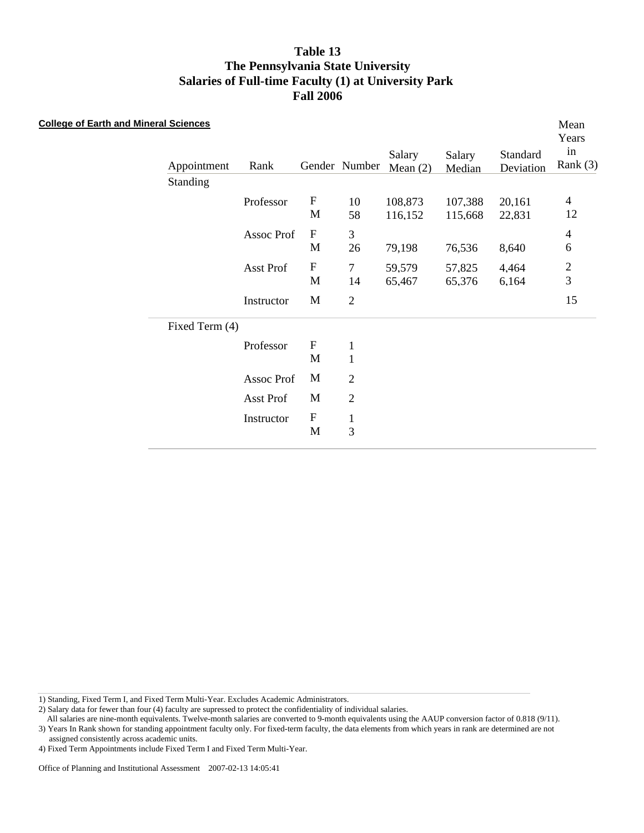| <b>College of Earth and Mineral Sciences</b> |                |            |                           |                |                      |                  |                       | Mean<br>Years    |
|----------------------------------------------|----------------|------------|---------------------------|----------------|----------------------|------------------|-----------------------|------------------|
|                                              | Appointment    | Rank       |                           | Gender Number  | Salary<br>Mean $(2)$ | Salary<br>Median | Standard<br>Deviation | in<br>Rank $(3)$ |
|                                              | Standing       |            |                           |                |                      |                  |                       |                  |
|                                              |                | Professor  | $\boldsymbol{\mathrm{F}}$ | 10             | 108,873              | 107,388          | 20,161                | $\overline{4}$   |
|                                              |                |            | M                         | 58             | 116,152              | 115,668          | 22,831                | 12               |
|                                              |                | Assoc Prof | $\boldsymbol{\mathrm{F}}$ | 3              |                      |                  |                       | $\overline{4}$   |
|                                              |                |            | M                         | 26             | 79,198               | 76,536           | 8,640                 | $\sqrt{6}$       |
|                                              |                | Asst Prof  | $\boldsymbol{\mathrm{F}}$ | $\overline{7}$ | 59,579               | 57,825           | 4,464                 | $\frac{2}{3}$    |
|                                              |                |            | M                         | 14             | 65,467               | 65,376           | 6,164                 |                  |
|                                              |                | Instructor | M                         | $\sqrt{2}$     |                      |                  |                       | 15               |
|                                              | Fixed Term (4) |            |                           |                |                      |                  |                       |                  |
|                                              |                | Professor  | $\boldsymbol{\mathrm{F}}$ | $\mathbf{1}$   |                      |                  |                       |                  |
|                                              |                |            | M                         | $\mathbf{1}$   |                      |                  |                       |                  |
|                                              |                | Assoc Prof | M                         | $\mathfrak{2}$ |                      |                  |                       |                  |
|                                              |                | Asst Prof  | M                         | $\overline{2}$ |                      |                  |                       |                  |
|                                              |                | Instructor | $\boldsymbol{\mathrm{F}}$ | $\mathbf{1}$   |                      |                  |                       |                  |
|                                              |                |            | M                         | 3              |                      |                  |                       |                  |

1) Standing, Fixed Term I, and Fixed Term Multi-Year. Excludes Academic Administrators.

2) Salary data for fewer than four (4) faculty are supressed to protect the confidentiality of individual salaries.

 All salaries are nine-month equivalents. Twelve-month salaries are converted to 9-month equivalents using the AAUP conversion factor of 0.818 (9/11). 3) Years In Rank shown for standing appointment faculty only. For fixed-term faculty, the data elements from which years in rank are determined are not

assigned consistently across academic units.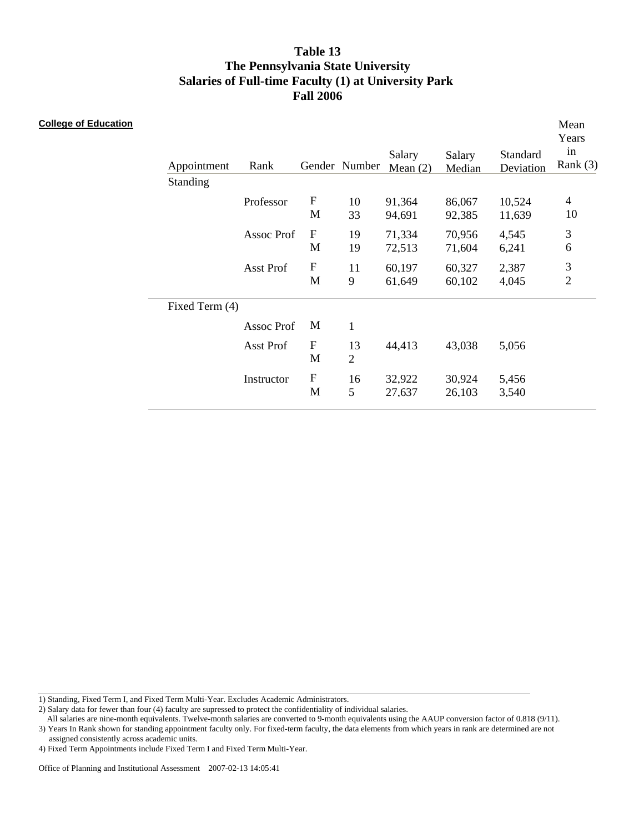| <b>College of Education</b> | Appointment<br>Standing | Rank       |                                | Gender Number        | Salary<br>Mean $(2)$ | Salary<br>Median | Standard<br>Deviation | Mean<br>Years<br>in<br>Rank $(3)$ |
|-----------------------------|-------------------------|------------|--------------------------------|----------------------|----------------------|------------------|-----------------------|-----------------------------------|
|                             |                         | Professor  | $\boldsymbol{\mathrm{F}}$<br>M | 10<br>33             | 91,364<br>94,691     | 86,067<br>92,385 | 10,524<br>11,639      | $\overline{4}$<br>10              |
|                             |                         | Assoc Prof | $\boldsymbol{\mathrm{F}}$<br>M | 19<br>19             | 71,334<br>72,513     | 70,956<br>71,604 | 4,545<br>6,241        | $\sqrt{3}$<br>6                   |
|                             |                         | Asst Prof  | $\mathbf F$<br>M               | 11<br>9              | 60,197<br>61,649     | 60,327<br>60,102 | 2,387<br>4,045        | $\mathfrak{Z}$<br>$\mathbf 2$     |
|                             | Fixed Term (4)          |            |                                |                      |                      |                  |                       |                                   |
|                             |                         | Assoc Prof | M                              | $\mathbf{1}$         |                      |                  |                       |                                   |
|                             |                         | Asst Prof  | $\boldsymbol{\mathrm{F}}$<br>M | 13<br>$\overline{2}$ | 44,413               | 43,038           | 5,056                 |                                   |
|                             |                         | Instructor | ${\bf F}$<br>M                 | 16<br>5              | 32,922<br>27,637     | 30,924<br>26,103 | 5,456<br>3,540        |                                   |

1) Standing, Fixed Term I, and Fixed Term Multi-Year. Excludes Academic Administrators.

2) Salary data for fewer than four (4) faculty are supressed to protect the confidentiality of individual salaries.

 All salaries are nine-month equivalents. Twelve-month salaries are converted to 9-month equivalents using the AAUP conversion factor of 0.818 (9/11). 3) Years In Rank shown for standing appointment faculty only. For fixed-term faculty, the data elements from which years in rank are determined are not

assigned consistently across academic units.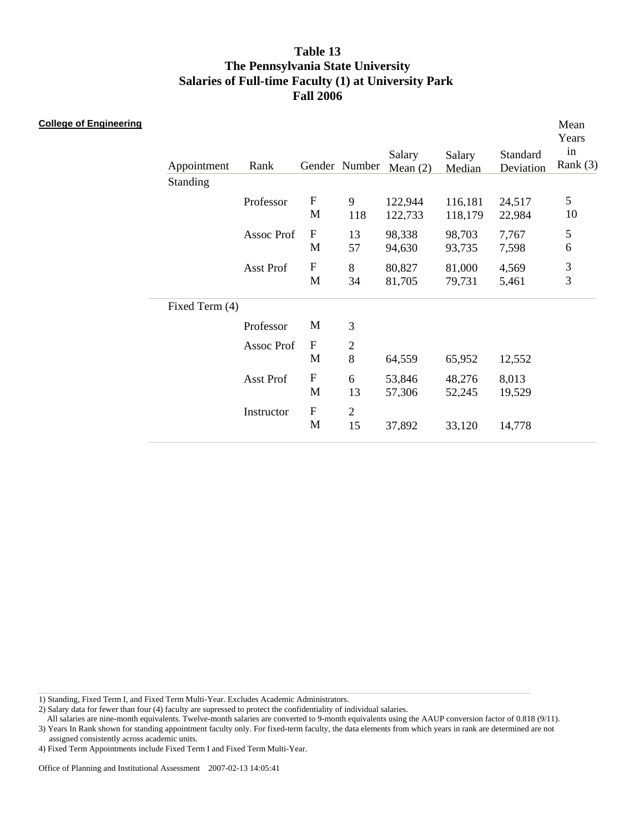| <b>College of Engineering</b> | Appointment<br>Standing | Rank       |                                          | Gender Number           | Salary<br>Mean $(2)$ | Salary<br>Median   | Standard<br>Deviation | Mean<br>Years<br>in<br>Rank $(3)$ |
|-------------------------------|-------------------------|------------|------------------------------------------|-------------------------|----------------------|--------------------|-----------------------|-----------------------------------|
|                               |                         | Professor  | $\boldsymbol{\mathrm{F}}$<br>M           | 9<br>118                | 122,944<br>122,733   | 116,181<br>118,179 | 24,517<br>22,984      | $\mathfrak{S}$<br>10              |
|                               |                         | Assoc Prof | $\boldsymbol{\mathrm{F}}$<br>M           | 13<br>57                | 98,338<br>94,630     | 98,703<br>93,735   | 7,767<br>7,598        | 5<br>6                            |
|                               |                         | Asst Prof  | $\boldsymbol{\mathrm{F}}$<br>M           | $8\,$<br>34             | 80,827<br>81,705     | 81,000<br>79,731   | 4,569<br>5,461        | 3<br>$\overline{\mathbf{3}}$      |
|                               | Fixed Term (4)          |            |                                          |                         |                      |                    |                       |                                   |
|                               |                         | Professor  | M                                        | $\mathfrak{Z}$          |                      |                    |                       |                                   |
|                               |                         | Assoc Prof | $\boldsymbol{\mathrm{F}}$<br>M           | $\mathfrak{2}$<br>$8\,$ | 64,559               | 65,952             | 12,552                |                                   |
|                               |                         | Asst Prof  | ${\bf F}$<br>M                           | 6<br>13                 | 53,846<br>57,306     | 48,276<br>52,245   | 8,013<br>19,529       |                                   |
|                               |                         | Instructor | $\boldsymbol{\mathrm{F}}$<br>$\mathbf M$ | $\mathbf{2}$<br>15      | 37,892               | 33,120             | 14,778                |                                   |

1) Standing, Fixed Term I, and Fixed Term Multi-Year. Excludes Academic Administrators.

2) Salary data for fewer than four (4) faculty are supressed to protect the confidentiality of individual salaries.

 All salaries are nine-month equivalents. Twelve-month salaries are converted to 9-month equivalents using the AAUP conversion factor of 0.818 (9/11). 3) Years In Rank shown for standing appointment faculty only. For fixed-term faculty, the data elements from which years in rank are determined are not

assigned consistently across academic units.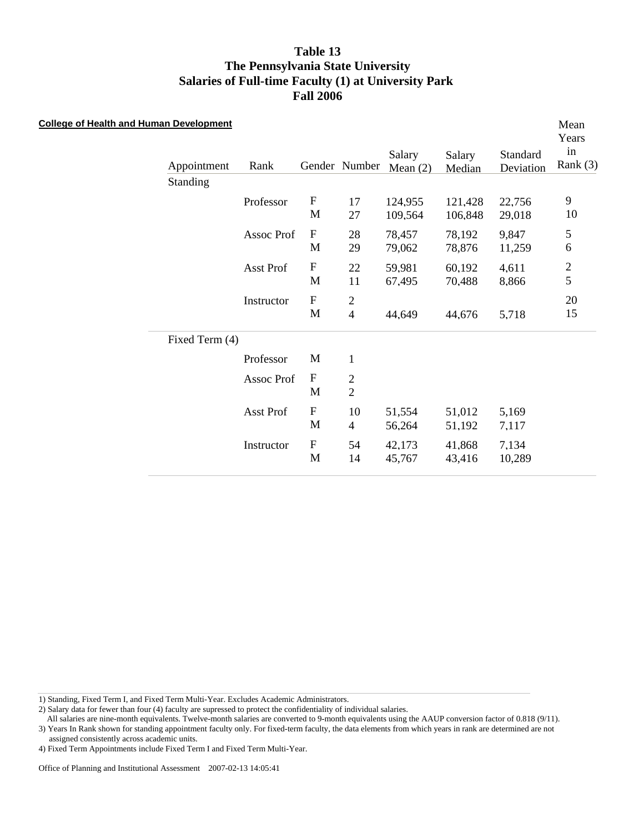| <b>College of Health and Human Development</b> | Appointment<br>Standing | Rank       |                                           | Gender Number                              | Salary<br>Mean $(2)$ | Salary<br>Median   | Standard<br>Deviation | Mean<br>Years<br>in<br>Rank $(3)$ |
|------------------------------------------------|-------------------------|------------|-------------------------------------------|--------------------------------------------|----------------------|--------------------|-----------------------|-----------------------------------|
|                                                |                         | Professor  | $\boldsymbol{\mathrm{F}}$<br>M            | 17<br>27                                   | 124,955<br>109,564   | 121,428<br>106,848 | 22,756<br>29,018      | $\overline{9}$<br>10              |
|                                                |                         | Assoc Prof | $\boldsymbol{\mathrm{F}}$<br>M            | 28<br>29                                   | 78,457<br>79,062     | 78,192<br>78,876   | 9,847<br>11,259       | 5<br>6                            |
|                                                |                         | Asst Prof  | $\boldsymbol{\mathrm{F}}$<br>M            | $22\,$<br>11                               | 59,981<br>67,495     | 60,192<br>70,488   | 4,611<br>8,866        | $\frac{2}{5}$                     |
|                                                |                         | Instructor | $\boldsymbol{\mathrm{F}}$<br>$\mathbf{M}$ | $\overline{c}$<br>$\overline{\mathcal{A}}$ | 44,649               | 44,676             | 5,718                 | 20<br>15                          |
|                                                | Fixed Term (4)          |            |                                           |                                            |                      |                    |                       |                                   |
|                                                |                         | Professor  | M                                         | $\mathbf{1}$                               |                      |                    |                       |                                   |
|                                                |                         | Assoc Prof | $\mathbf F$<br>M                          | $\overline{2}$<br>$\overline{2}$           |                      |                    |                       |                                   |
|                                                |                         | Asst Prof  | $\boldsymbol{\mathrm{F}}$<br>M            | 10<br>$\overline{4}$                       | 51,554<br>56,264     | 51,012<br>51,192   | 5,169<br>7,117        |                                   |
|                                                |                         | Instructor | $\boldsymbol{\mathrm{F}}$<br>M            | 54<br>14                                   | 42,173<br>45,767     | 41,868<br>43,416   | 7,134<br>10,289       |                                   |

1) Standing, Fixed Term I, and Fixed Term Multi-Year. Excludes Academic Administrators.

2) Salary data for fewer than four (4) faculty are supressed to protect the confidentiality of individual salaries.

 All salaries are nine-month equivalents. Twelve-month salaries are converted to 9-month equivalents using the AAUP conversion factor of 0.818 (9/11). 3) Years In Rank shown for standing appointment faculty only. For fixed-term faculty, the data elements from which years in rank are determined are not

assigned consistently across academic units.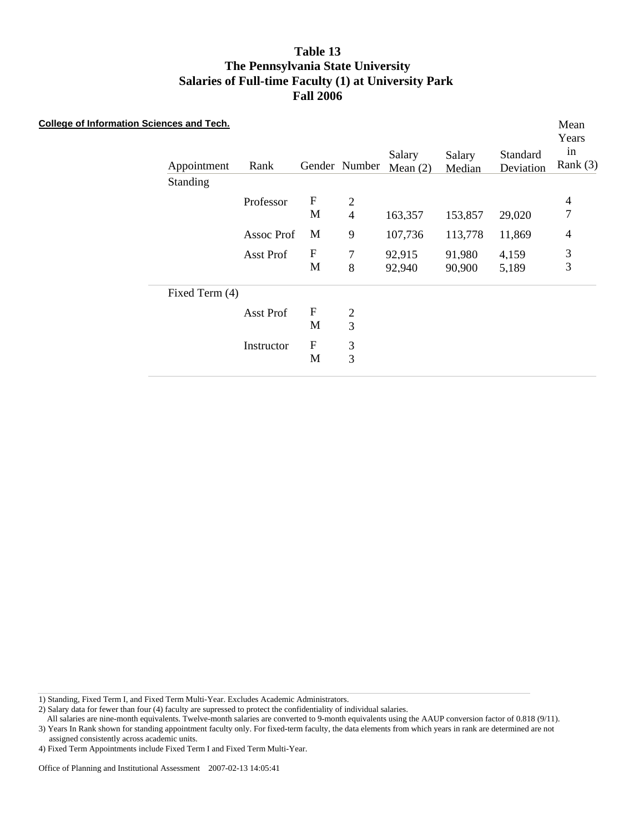| Table 13                                             |
|------------------------------------------------------|
| The Pennsylvania State University                    |
| Salaries of Full-time Faculty (1) at University Park |
| <b>Fall 2006</b>                                     |

| <b>College of Information Sciences and Tech.</b> | Appointment<br>Standing | Rank       |                           | Gender Number  | Salary<br>Mean $(2)$ | Salary<br>Median | Standard<br>Deviation | Mean<br>Years<br>in<br>Rank $(3)$ |
|--------------------------------------------------|-------------------------|------------|---------------------------|----------------|----------------------|------------------|-----------------------|-----------------------------------|
|                                                  |                         | Professor  | ${\bf F}$                 | $\overline{2}$ |                      |                  |                       | $\overline{4}$                    |
|                                                  |                         |            | M                         | $\overline{4}$ | 163,357              | 153,857          | 29,020                | $\overline{7}$                    |
|                                                  |                         | Assoc Prof | M                         | 9              | 107,736              | 113,778          | 11,869                | $\overline{4}$                    |
|                                                  |                         | Asst Prof  | $\boldsymbol{\mathrm{F}}$ | 7              | 92,915               | 91,980           | 4,159                 | 3                                 |
|                                                  |                         |            | M                         | 8              | 92,940               | 90,900           | 5,189                 | 3                                 |
|                                                  | Fixed Term (4)          |            |                           |                |                      |                  |                       |                                   |
|                                                  |                         | Asst Prof  | $\mathbf F$               | $\mathfrak{2}$ |                      |                  |                       |                                   |
|                                                  |                         |            | M                         | 3              |                      |                  |                       |                                   |
|                                                  |                         | Instructor | ${\bf F}$                 | 3              |                      |                  |                       |                                   |
|                                                  |                         |            | M                         | 3              |                      |                  |                       |                                   |
|                                                  |                         |            |                           |                |                      |                  |                       |                                   |

1) Standing, Fixed Term I, and Fixed Term Multi-Year. Excludes Academic Administrators.

2) Salary data for fewer than four (4) faculty are supressed to protect the confidentiality of individual salaries.

All salaries are nine-month equivalents. Twelve-month salaries are converted to 9-month equivalents using the AAUP conversion factor of 0.818 (9/11).

3) Years In Rank shown for standing appointment faculty only. For fixed-term faculty, the data elements from which years in rank are determined are not assigned consistently across academic units.

<sup>4)</sup> Fixed Term Appointments include Fixed Term I and Fixed Term Multi-Year.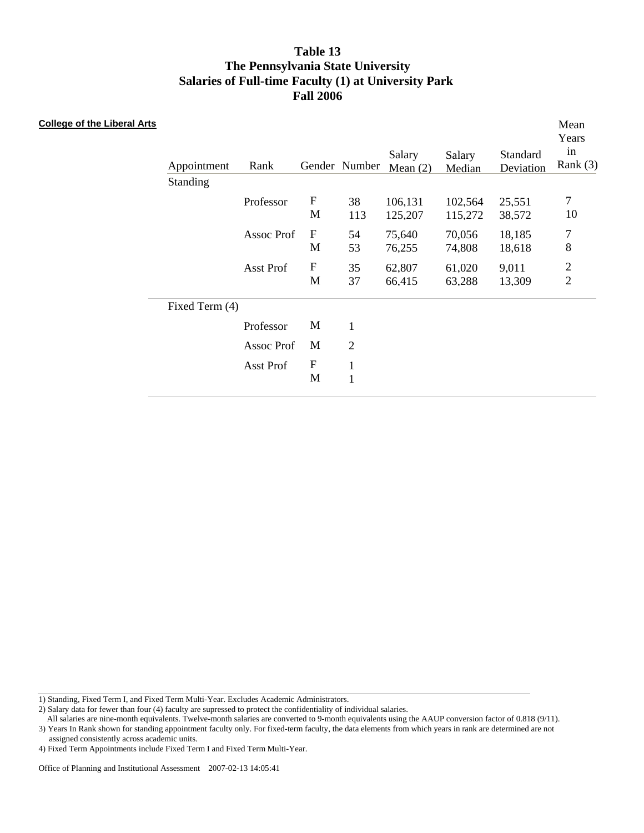| <b>College of the Liberal Arts</b> | Appointment<br>Standing | Rank       |                                | Gender Number                | Salary<br>Mean $(2)$ | Salary<br>Median   | Standard<br>Deviation | Mean<br>Years<br>in<br>Rank $(3)$         |
|------------------------------------|-------------------------|------------|--------------------------------|------------------------------|----------------------|--------------------|-----------------------|-------------------------------------------|
|                                    |                         | Professor  | ${\bf F}$<br>M                 | 38<br>113                    | 106,131<br>125,207   | 102,564<br>115,272 | 25,551<br>38,572      | $\overline{7}$<br>10                      |
|                                    |                         | Assoc Prof | $\mathbf F$<br>M               | 54<br>53                     | 75,640<br>76,255     | 70,056<br>74,808   | 18,185<br>18,618      | $\boldsymbol{7}$<br>8                     |
|                                    |                         | Asst Prof  | ${\bf F}$<br>M                 | 35<br>37                     | 62,807<br>66,415     | 61,020<br>63,288   | 9,011<br>13,309       | $\overline{\mathbf{c}}$<br>$\overline{2}$ |
|                                    | Fixed Term (4)          |            |                                |                              |                      |                    |                       |                                           |
|                                    |                         | Professor  | M                              | $\mathbf{1}$                 |                      |                    |                       |                                           |
|                                    |                         | Assoc Prof | M                              | $\mathfrak{2}$               |                      |                    |                       |                                           |
|                                    |                         | Asst Prof  | $\boldsymbol{\mathrm{F}}$<br>M | $\mathbf{1}$<br>$\mathbf{1}$ |                      |                    |                       |                                           |

1) Standing, Fixed Term I, and Fixed Term Multi-Year. Excludes Academic Administrators.

2) Salary data for fewer than four (4) faculty are supressed to protect the confidentiality of individual salaries.

All salaries are nine-month equivalents. Twelve-month salaries are converted to 9-month equivalents using the AAUP conversion factor of 0.818 (9/11).

3) Years In Rank shown for standing appointment faculty only. For fixed-term faculty, the data elements from which years in rank are determined are not assigned consistently across academic units.

<sup>4)</sup> Fixed Term Appointments include Fixed Term I and Fixed Term Multi-Year.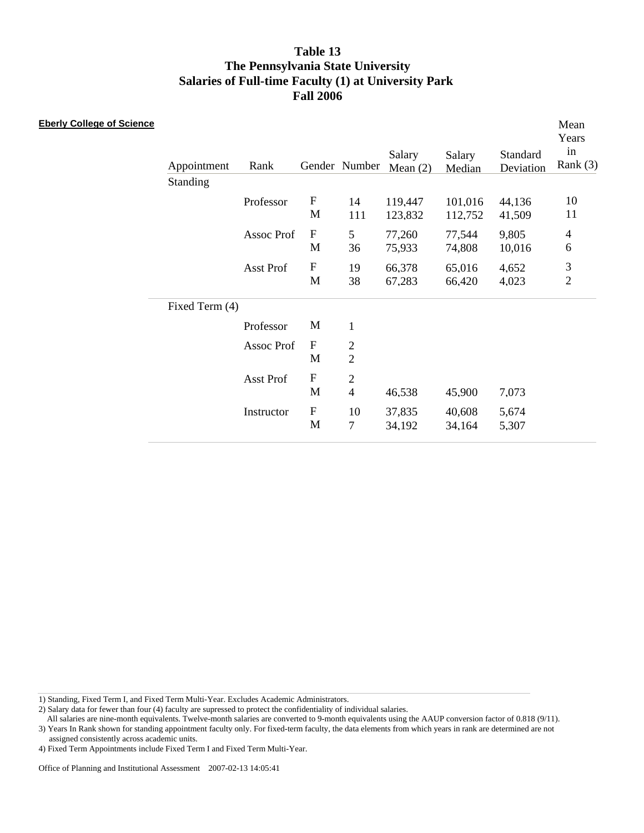| <b>Eberly College of Science</b> | Appointment<br>Standing | Rank       |                                          | Gender Number                    | Salary<br>Mean $(2)$ | Salary<br>Median   | Standard<br>Deviation | Mean<br>Years<br>in<br>Rank $(3)$ |
|----------------------------------|-------------------------|------------|------------------------------------------|----------------------------------|----------------------|--------------------|-----------------------|-----------------------------------|
|                                  |                         | Professor  | $\boldsymbol{\mathrm{F}}$<br>M           | 14<br>111                        | 119,447<br>123,832   | 101,016<br>112,752 | 44,136<br>41,509      | 10<br>11                          |
|                                  |                         | Assoc Prof | $\boldsymbol{\mathrm{F}}$<br>M           | 5<br>36                          | 77,260<br>75,933     | 77,544<br>74,808   | 9,805<br>10,016       | $\overline{4}$<br>6               |
|                                  |                         | Asst Prof  | $\boldsymbol{\mathrm{F}}$<br>M           | 19<br>38                         | 66,378<br>67,283     | 65,016<br>66,420   | 4,652<br>4,023        | 3<br>$\overline{2}$               |
|                                  | Fixed Term (4)          |            |                                          |                                  |                      |                    |                       |                                   |
|                                  |                         | Professor  | M                                        | $\mathbf{1}$                     |                      |                    |                       |                                   |
|                                  |                         | Assoc Prof | ${\bf F}$<br>M                           | $\overline{c}$<br>$\overline{2}$ |                      |                    |                       |                                   |
|                                  |                         | Asst Prof  | $\boldsymbol{\mathrm{F}}$<br>M           | $\mathbf{2}$<br>$\overline{4}$   | 46,538               | 45,900             | 7,073                 |                                   |
|                                  |                         | Instructor | $\boldsymbol{\mathrm{F}}$<br>$\mathbf M$ | 10<br>$\tau$                     | 37,835<br>34,192     | 40,608<br>34,164   | 5,674<br>5,307        |                                   |

1) Standing, Fixed Term I, and Fixed Term Multi-Year. Excludes Academic Administrators.

2) Salary data for fewer than four (4) faculty are supressed to protect the confidentiality of individual salaries.

 All salaries are nine-month equivalents. Twelve-month salaries are converted to 9-month equivalents using the AAUP conversion factor of 0.818 (9/11). 3) Years In Rank shown for standing appointment faculty only. For fixed-term faculty, the data elements from which years in rank are determined are not

assigned consistently across academic units.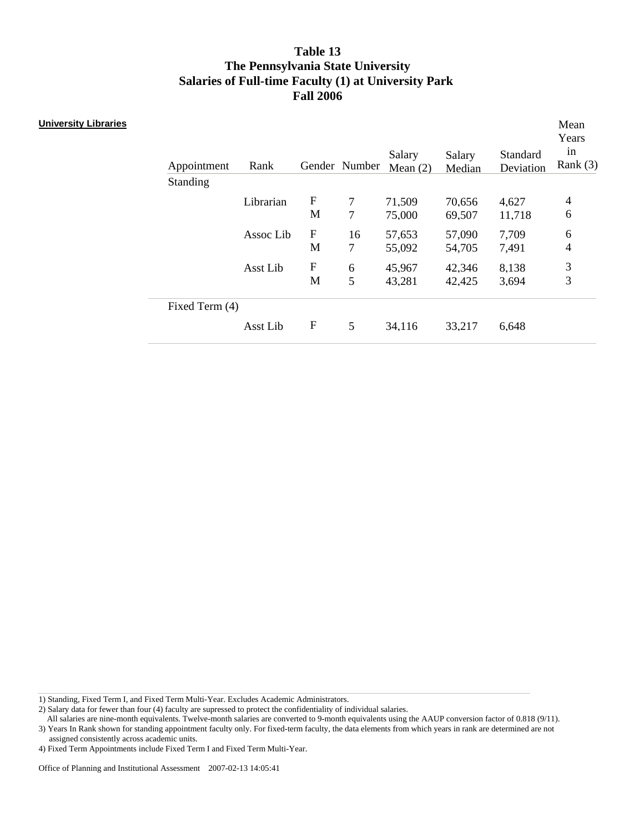| <b>University Libraries</b> | Appointment<br>Standing | Rank      |                                | Gender Number       | Salary<br>Mean $(2)$ | Salary<br>Median | Standard<br>Deviation | Mean<br>Years<br>in<br>Rank $(3)$ |
|-----------------------------|-------------------------|-----------|--------------------------------|---------------------|----------------------|------------------|-----------------------|-----------------------------------|
|                             |                         | Librarian | ${\bf F}$<br>M                 | $\overline{7}$<br>7 | 71,509<br>75,000     | 70,656<br>69,507 | 4,627<br>11,718       | $\overline{4}$<br>6               |
|                             |                         | Assoc Lib | $\mathbf F$<br>M               | 16<br>7             | 57,653<br>55,092     | 57,090<br>54,705 | 7,709<br>7,491        | 6<br>4                            |
|                             |                         | Asst Lib  | $\boldsymbol{\mathrm{F}}$<br>M | 6<br>5              | 45,967<br>43,281     | 42,346<br>42,425 | 8,138<br>3,694        | 3<br>3                            |
|                             | Fixed Term (4)          |           |                                |                     |                      |                  |                       |                                   |
|                             |                         | Asst Lib  | $\boldsymbol{\mathrm{F}}$      | 5                   | 34,116               | 33,217           | 6,648                 |                                   |

1) Standing, Fixed Term I, and Fixed Term Multi-Year. Excludes Academic Administrators.

2) Salary data for fewer than four (4) faculty are supressed to protect the confidentiality of individual salaries.

All salaries are nine-month equivalents. Twelve-month salaries are converted to 9-month equivalents using the AAUP conversion factor of 0.818 (9/11).

3) Years In Rank shown for standing appointment faculty only. For fixed-term faculty, the data elements from which years in rank are determined are not assigned consistently across academic units.

<sup>4)</sup> Fixed Term Appointments include Fixed Term I and Fixed Term Multi-Year.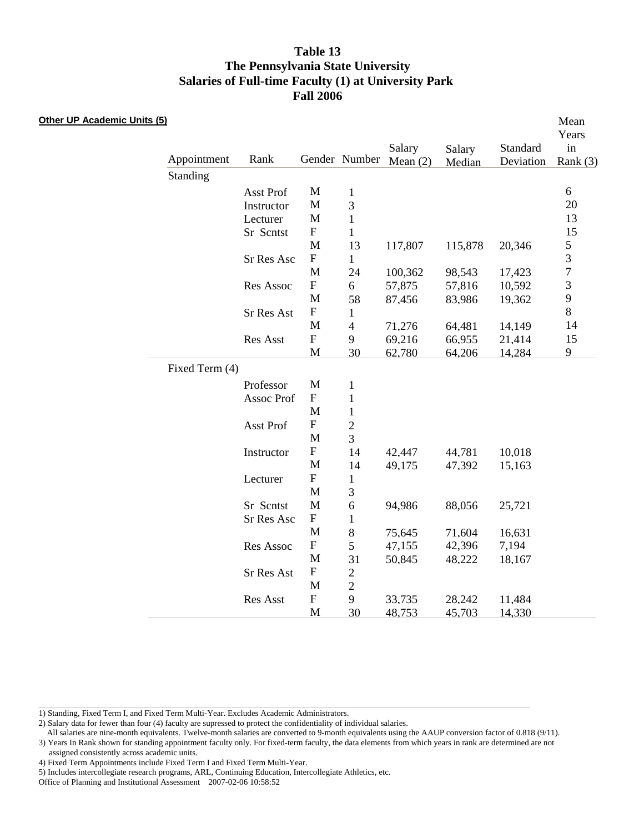#### **Other UP Academic Units (5)**

| <u>s(5)</u> |                |            |                           |                |                      |                  |                       | Mean<br>Years    |
|-------------|----------------|------------|---------------------------|----------------|----------------------|------------------|-----------------------|------------------|
|             | Appointment    | Rank       |                           | Gender Number  | Salary<br>Mean $(2)$ | Salary<br>Median | Standard<br>Deviation | in<br>Rank $(3)$ |
|             | Standing       |            |                           |                |                      |                  |                       |                  |
|             |                | Asst Prof  | M                         | $\mathbf{1}$   |                      |                  |                       | $6\,$            |
|             |                | Instructor | M                         | 3              |                      |                  |                       | 20               |
|             |                | Lecturer   | M                         | $\mathbf{1}$   |                      |                  |                       | 13               |
|             |                | Sr Scntst  | $\boldsymbol{\mathrm{F}}$ | $\mathbf{1}$   |                      |                  |                       | 15               |
|             |                |            | M                         | 13             | 117,807              | 115,878          | 20,346                | 5                |
|             |                | Sr Res Asc | ${\bf F}$                 | $\mathbf{1}$   |                      |                  |                       | 3                |
|             |                |            | M                         | 24             | 100,362              | 98,543           | 17,423                | $\overline{7}$   |
|             |                | Res Assoc  | ${\bf F}$                 | 6              | 57,875               | 57,816           | 10,592                | 3                |
|             |                |            | M                         | 58             | 87,456               | 83,986           | 19,362                | 9                |
|             |                | Sr Res Ast | $\boldsymbol{\mathrm{F}}$ | 1              |                      |                  |                       | 8                |
|             |                |            | M                         | $\overline{4}$ | 71,276               | 64,481           | 14,149                | 14               |
|             |                | Res Asst   | ${\bf F}$                 | 9              | 69,216               | 66,955           | 21,414                | 15               |
|             |                |            | $\mathbf{M}$              | 30             | 62,780               | 64,206           | 14,284                | 9                |
|             | Fixed Term (4) |            |                           |                |                      |                  |                       |                  |
|             |                | Professor  | M                         | $\mathbf{1}$   |                      |                  |                       |                  |
|             |                | Assoc Prof | $\boldsymbol{\mathrm{F}}$ | $\mathbf{1}$   |                      |                  |                       |                  |
|             |                |            | M                         | $\mathbf{1}$   |                      |                  |                       |                  |
|             |                | Asst Prof  | ${\bf F}$                 | $\overline{2}$ |                      |                  |                       |                  |
|             |                |            | $\mathbf{M}$              | 3              |                      |                  |                       |                  |
|             |                | Instructor | ${\bf F}$                 | 14             | 42,447               | 44,781           | 10,018                |                  |
|             |                |            | M                         | 14             | 49,175               | 47,392           | 15,163                |                  |
|             |                | Lecturer   | ${\bf F}$                 | $\mathbf{1}$   |                      |                  |                       |                  |
|             |                |            | M                         | 3              |                      |                  |                       |                  |
|             |                | Sr Scntst  | M                         | 6              | 94,986               | 88,056           | 25,721                |                  |
|             |                | Sr Res Asc | ${\bf F}$                 | $\mathbf{1}$   |                      |                  |                       |                  |
|             |                |            | M                         | 8              | 75,645               | 71,604           | 16,631                |                  |
|             |                | Res Assoc  | ${\rm F}$                 | 5              | 47,155               | 42,396           | 7,194                 |                  |
|             |                |            | M                         | 31             | 50,845               | 48,222           | 18,167                |                  |
|             |                | Sr Res Ast | ${\bf F}$                 | $\overline{2}$ |                      |                  |                       |                  |
|             |                |            | M                         | $\overline{2}$ |                      |                  |                       |                  |
|             |                | Res Asst   | ${\bf F}$                 | 9              | 33,735               | 28,242           | 11,484                |                  |
|             |                |            | M                         | 30             | 48,753               | 45,703           | 14,330                |                  |

1) Standing, Fixed Term I, and Fixed Term Multi-Year. Excludes Academic Administrators.

<sup>2)</sup> Salary data for fewer than four (4) faculty are supressed to protect the confidentiality of individual salaries.

All salaries are nine-month equivalents. Twelve-month salaries are converted to 9-month equivalents using the AAUP conversion factor of 0.818 (9/11). 3) Years In Rank shown for standing appointment faculty only. For fixed-term faculty, the data elements from which years in rank are determined are not assigned consistently across academic units.

<sup>4)</sup> Fixed Term Appointments include Fixed Term I and Fixed Term Multi-Year.

<sup>5)</sup> Includes intercollegiate research programs, ARL, Continuing Education, Intercollegiate Athletics, etc.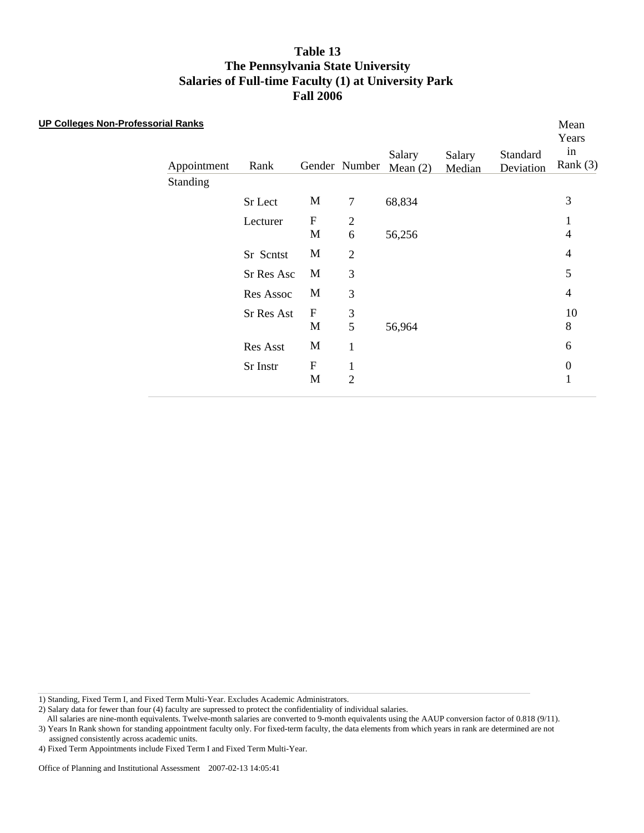#### **UP Colleges Non-Professorial Ranks**

| Appointment | Rank       |                   | Gender Number       | Salary<br>Mean $(2)$ | Salary<br>Median | Standard<br>Deviation | Years<br>in<br>Rank $(3)$ |
|-------------|------------|-------------------|---------------------|----------------------|------------------|-----------------------|---------------------------|
| Standing    |            |                   |                     |                      |                  |                       |                           |
|             | Sr Lect    | M                 | $\tau$              | 68,834               |                  |                       | 3                         |
|             | Lecturer   | $\mathbf F$<br>M  | $\overline{2}$<br>6 | 56,256               |                  |                       | 1<br>4                    |
|             | Sr Scntst  | M                 | $\overline{2}$      |                      |                  |                       | $\overline{4}$            |
|             | Sr Res Asc | M                 | 3                   |                      |                  |                       | 5                         |
|             | Res Assoc  | M                 | 3                   |                      |                  |                       | $\overline{4}$            |
|             | Sr Res Ast | $\mathbf{F}$<br>M | 3<br>5              | 56,964               |                  |                       | 10<br>8                   |
|             | Res Asst   | M                 | 1                   |                      |                  |                       | 6                         |
|             | Sr Instr   | F<br>M            | 1<br>$\overline{2}$ |                      |                  |                       | $\boldsymbol{0}$<br>1     |

Mean

1) Standing, Fixed Term I, and Fixed Term Multi-Year. Excludes Academic Administrators.

2) Salary data for fewer than four (4) faculty are supressed to protect the confidentiality of individual salaries.

 All salaries are nine-month equivalents. Twelve-month salaries are converted to 9-month equivalents using the AAUP conversion factor of 0.818 (9/11). 3) Years In Rank shown for standing appointment faculty only. For fixed-term faculty, the data elements from which years in rank are determined are not

assigned consistently across academic units.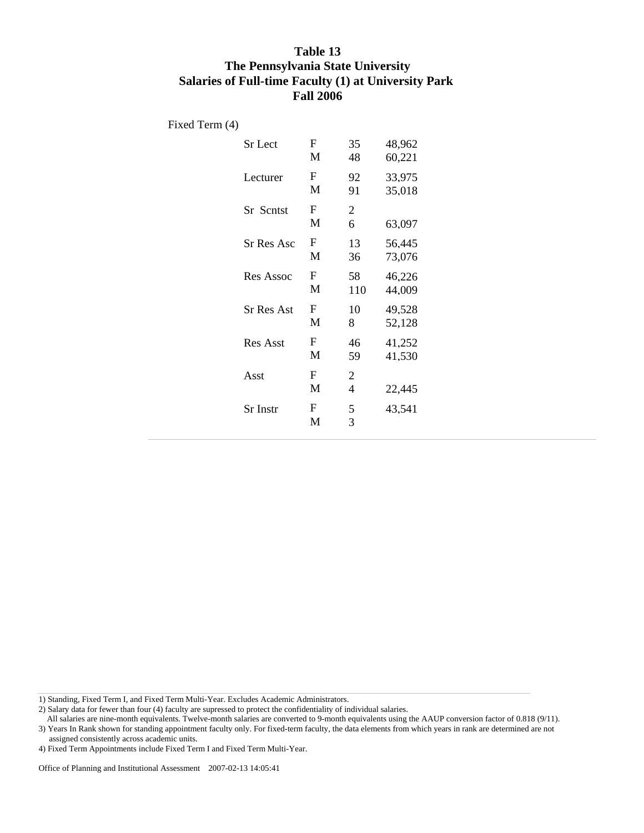Fixed Term (4)

| <b>Sr</b> Lect    | F<br>M | 35<br>48                         | 48,962<br>60,221 |
|-------------------|--------|----------------------------------|------------------|
| Lecturer          | F<br>M | 92<br>91                         | 33,975<br>35,018 |
| <b>Sr</b> Scntst  | F<br>M | $\overline{2}$<br>6              | 63,097           |
| Sr Res Asc        | F<br>M | 13<br>36                         | 56,445<br>73,076 |
| Res Assoc         | F<br>M | 58<br>110                        | 46,226<br>44,009 |
| <b>Sr Res Ast</b> | F<br>M | 10<br>8                          | 49,528<br>52,128 |
| <b>Res Asst</b>   | F<br>M | 46<br>59                         | 41,252<br>41,530 |
| Asst              | F<br>M | $\overline{2}$<br>$\overline{4}$ | 22.445           |
| Sr Instr          | F<br>M | 5<br>3                           | 43,541           |
|                   |        |                                  |                  |

1) Standing, Fixed Term I, and Fixed Term Multi-Year. Excludes Academic Administrators.

2) Salary data for fewer than four (4) faculty are supressed to protect the confidentiality of individual salaries.

 All salaries are nine-month equivalents. Twelve-month salaries are converted to 9-month equivalents using the AAUP conversion factor of 0.818 (9/11). 3) Years In Rank shown for standing appointment faculty only. For fixed-term faculty, the data elements from which years in rank are determined are not

assigned consistently across academic units.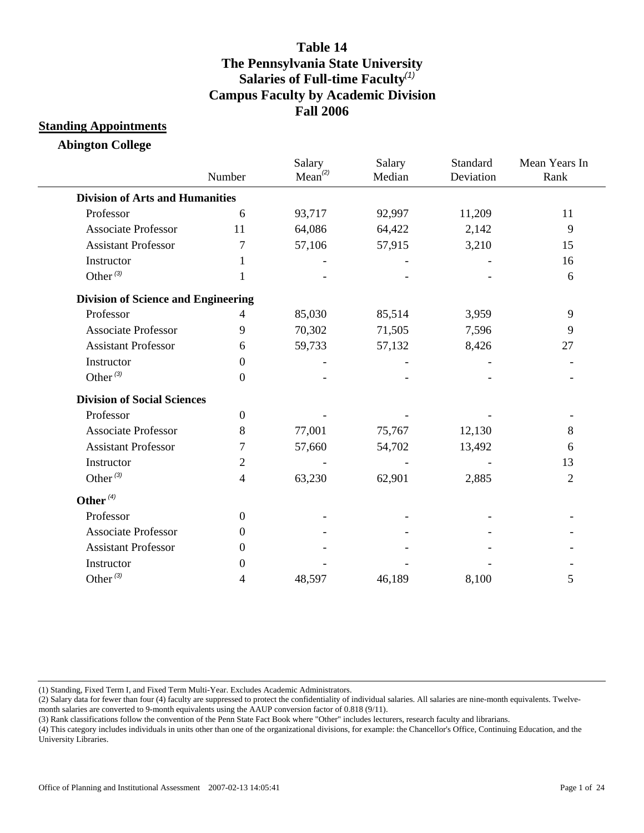#### **Standing Appointments**

**Abington College**

|                                            | Number         | Salary<br>Mean <sup>(2)</sup> | Salary<br>Median | Standard<br>Deviation | Mean Years In<br>Rank |
|--------------------------------------------|----------------|-------------------------------|------------------|-----------------------|-----------------------|
| <b>Division of Arts and Humanities</b>     |                |                               |                  |                       |                       |
| Professor                                  | 6              | 93,717                        | 92,997           | 11,209                | 11                    |
| <b>Associate Professor</b>                 | 11             | 64,086                        | 64,422           | 2,142                 | 9                     |
| <b>Assistant Professor</b>                 | 7              | 57,106                        | 57,915           | 3,210                 | 15                    |
| Instructor                                 | 1              |                               |                  |                       | 16                    |
| Other $(3)$                                | 1              |                               |                  |                       | 6                     |
| <b>Division of Science and Engineering</b> |                |                               |                  |                       |                       |
| Professor                                  | 4              | 85,030                        | 85,514           | 3,959                 | 9                     |
| <b>Associate Professor</b>                 | 9              | 70,302                        | 71,505           | 7,596                 | 9                     |
| <b>Assistant Professor</b>                 | 6              | 59,733                        | 57,132           | 8,426                 | 27                    |
| Instructor                                 | $\Omega$       |                               |                  |                       |                       |
| Other $^{(3)}$                             | $\theta$       |                               |                  |                       |                       |
| <b>Division of Social Sciences</b>         |                |                               |                  |                       |                       |
| Professor                                  | $\overline{0}$ |                               |                  |                       |                       |
| <b>Associate Professor</b>                 | 8              | 77,001                        | 75,767           | 12,130                | 8                     |
| <b>Assistant Professor</b>                 | 7              | 57,660                        | 54,702           | 13,492                | 6                     |
| Instructor                                 | $\overline{2}$ |                               |                  |                       | 13                    |
| Other $(3)$                                | 4              | 63,230                        | 62,901           | 2,885                 | $\overline{2}$        |
| Other $(4)$                                |                |                               |                  |                       |                       |
| Professor                                  | $\overline{0}$ |                               |                  |                       |                       |
| <b>Associate Professor</b>                 | $\Omega$       |                               |                  |                       |                       |
| <b>Assistant Professor</b>                 | $\Omega$       |                               |                  |                       |                       |
| Instructor                                 | $\Omega$       |                               |                  |                       |                       |
| Other $^{(3)}$                             | 4              | 48,597                        | 46,189           | 8,100                 | 5                     |

(1) Standing, Fixed Term I, and Fixed Term Multi-Year. Excludes Academic Administrators.

(2) Salary data for fewer than four (4) faculty are suppressed to protect the confidentiality of individual salaries. All salaries are nine-month equivalents. Twelvemonth salaries are converted to 9-month equivalents using the AAUP conversion factor of 0.818 (9/11).

(3) Rank classifications follow the convention of the Penn State Fact Book where "Other" includes lecturers, research faculty and librarians.

(4) This category includes individuals in units other than one of the organizational divisions, for example: the Chancellor's Office, Continuing Education, and the University Libraries.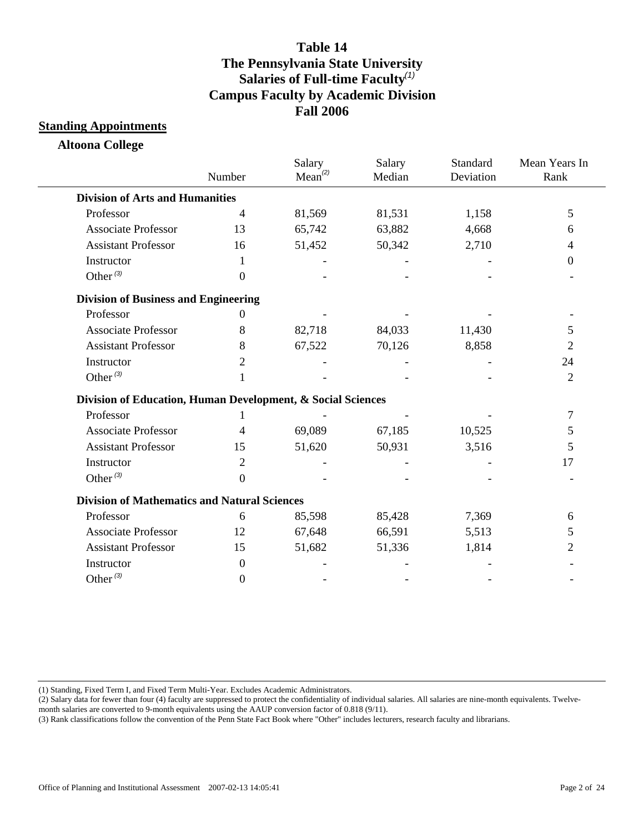#### **Standing Appointments**

**Altoona College**

|                                                             | Number           | Salary<br>Mean <sup>(2)</sup> | Salary<br>Median | Standard<br>Deviation | Mean Years In<br>Rank |
|-------------------------------------------------------------|------------------|-------------------------------|------------------|-----------------------|-----------------------|
| <b>Division of Arts and Humanities</b>                      |                  |                               |                  |                       |                       |
| Professor                                                   | $\overline{4}$   | 81,569                        | 81,531           | 1,158                 | 5                     |
| <b>Associate Professor</b>                                  | 13               | 65,742                        | 63,882           | 4,668                 | 6                     |
| <b>Assistant Professor</b>                                  | 16               | 51,452                        | 50,342           | 2,710                 | 4                     |
| Instructor                                                  | 1                |                               |                  |                       | $\mathbf{0}$          |
| Other $(3)$                                                 | $\theta$         |                               |                  |                       |                       |
| <b>Division of Business and Engineering</b>                 |                  |                               |                  |                       |                       |
| Professor                                                   | $\Omega$         |                               |                  |                       |                       |
| <b>Associate Professor</b>                                  | 8                | 82,718                        | 84,033           | 11,430                | 5                     |
| <b>Assistant Professor</b>                                  | 8                | 67,522                        | 70,126           | 8,858                 | 2                     |
| Instructor                                                  | 2                |                               |                  |                       | 24                    |
| Other $(3)$                                                 | 1                |                               |                  |                       | 2                     |
| Division of Education, Human Development, & Social Sciences |                  |                               |                  |                       |                       |
| Professor                                                   |                  |                               |                  |                       | 7                     |
| <b>Associate Professor</b>                                  | 4                | 69,089                        | 67,185           | 10,525                | 5                     |
| <b>Assistant Professor</b>                                  | 15               | 51,620                        | 50,931           | 3,516                 | 5                     |
| Instructor                                                  | 2                |                               |                  |                       | 17                    |
| Other $(3)$                                                 | $\boldsymbol{0}$ |                               |                  |                       |                       |
| <b>Division of Mathematics and Natural Sciences</b>         |                  |                               |                  |                       |                       |
| Professor                                                   | 6                | 85,598                        | 85,428           | 7,369                 | 6                     |
| <b>Associate Professor</b>                                  | 12               | 67,648                        | 66,591           | 5,513                 | 5                     |
| <b>Assistant Professor</b>                                  | 15               | 51,682                        | 51,336           | 1,814                 | 2                     |
| Instructor                                                  | $\boldsymbol{0}$ |                               |                  |                       |                       |
| Other $^{(3)}$                                              | $\overline{0}$   |                               |                  |                       |                       |

(1) Standing, Fixed Term I, and Fixed Term Multi-Year. Excludes Academic Administrators.

(2) Salary data for fewer than four (4) faculty are suppressed to protect the confidentiality of individual salaries. All salaries are nine-month equivalents. Twelve-

month salaries are converted to 9-month equivalents using the AAUP conversion factor of 0.818 (9/11).

(3) Rank classifications follow the convention of the Penn State Fact Book where "Other" includes lecturers, research faculty and librarians.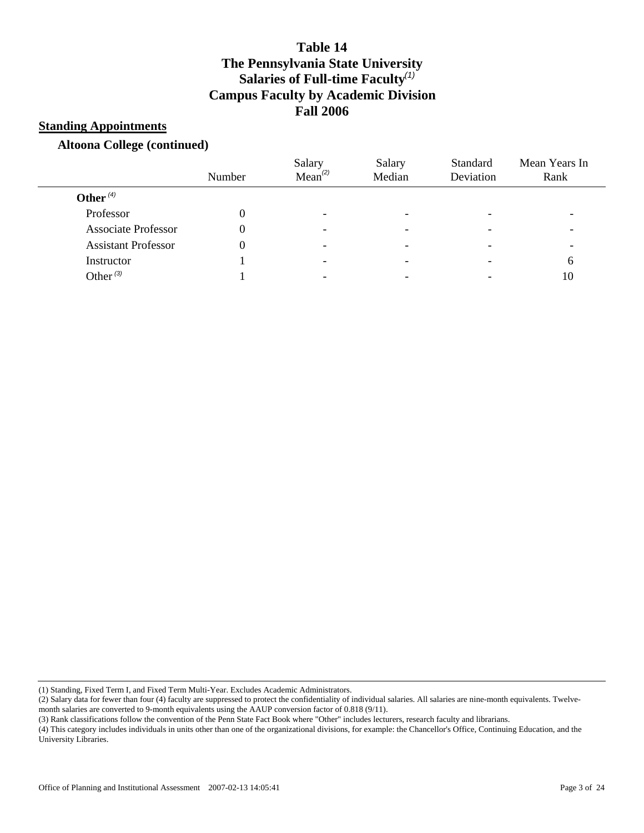#### **Standing Appointments**

#### **Altoona College (continued)**

|                            | Number | Salary<br>Mean <sup>(2)</sup> | Salary<br>Median         | Standard<br>Deviation | Mean Years In<br>Rank |
|----------------------------|--------|-------------------------------|--------------------------|-----------------------|-----------------------|
| Other $(4)$                |        |                               |                          |                       |                       |
| Professor                  |        | -                             | $\overline{\phantom{0}}$ |                       |                       |
| <b>Associate Professor</b> |        | $\overline{\phantom{0}}$      | -                        |                       |                       |
| <b>Assistant Professor</b> |        | -                             |                          |                       |                       |
| Instructor                 |        | -                             | $\overline{\phantom{0}}$ |                       | 6                     |
| Other $^{(3)}$             |        |                               |                          |                       | 10                    |

(1) Standing, Fixed Term I, and Fixed Term Multi-Year. Excludes Academic Administrators.

(2) Salary data for fewer than four (4) faculty are suppressed to protect the confidentiality of individual salaries. All salaries are nine-month equivalents. Twelvemonth salaries are converted to 9-month equivalents using the AAUP conversion factor of 0.818 (9/11).

(3) Rank classifications follow the convention of the Penn State Fact Book where "Other" includes lecturers, research faculty and librarians.

(4) This category includes individuals in units other than one of the organizational divisions, for example: the Chancellor's Office, Continuing Education, and the University Libraries.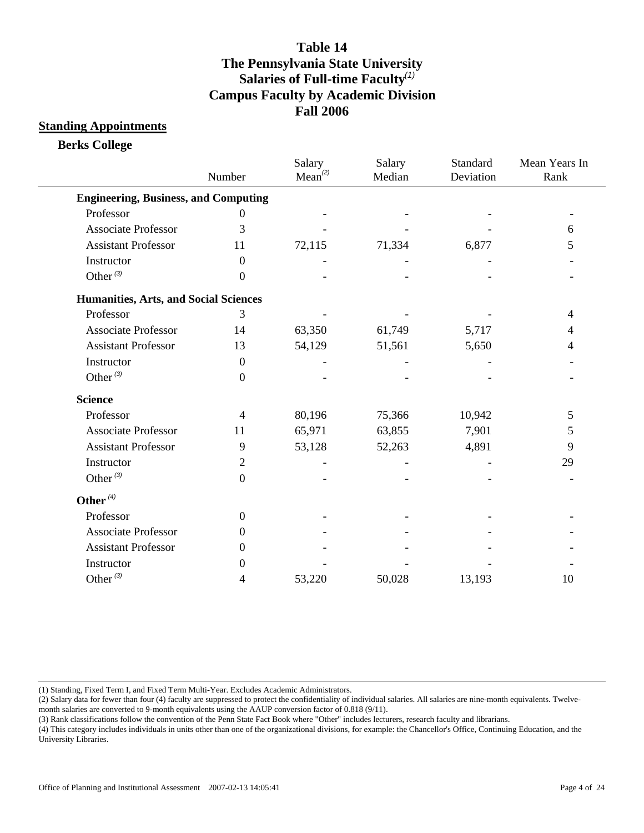#### **Standing Appointments**

**Berks College**

|                                              | Number           | Salary<br>Mean <sup>(2)</sup> | Salary<br>Median | Standard<br>Deviation | Mean Years In<br>Rank |
|----------------------------------------------|------------------|-------------------------------|------------------|-----------------------|-----------------------|
| <b>Engineering, Business, and Computing</b>  |                  |                               |                  |                       |                       |
| Professor                                    | 0                |                               |                  |                       |                       |
| <b>Associate Professor</b>                   | 3                |                               |                  |                       | 6                     |
| <b>Assistant Professor</b>                   | 11               | 72,115                        | 71,334           | 6,877                 | 5                     |
| Instructor                                   | $\boldsymbol{0}$ |                               |                  |                       |                       |
| Other $(3)$                                  | $\theta$         |                               |                  |                       |                       |
| <b>Humanities, Arts, and Social Sciences</b> |                  |                               |                  |                       |                       |
| Professor                                    | 3                |                               |                  |                       | 4                     |
| <b>Associate Professor</b>                   | 14               | 63,350                        | 61,749           | 5,717                 | 4                     |
| <b>Assistant Professor</b>                   | 13               | 54,129                        | 51,561           | 5,650                 | 4                     |
| Instructor                                   | $\boldsymbol{0}$ |                               |                  |                       |                       |
| Other $(3)$                                  | $\boldsymbol{0}$ |                               |                  |                       |                       |
| <b>Science</b>                               |                  |                               |                  |                       |                       |
| Professor                                    | $\overline{4}$   | 80,196                        | 75,366           | 10,942                | 5                     |
| <b>Associate Professor</b>                   | 11               | 65,971                        | 63,855           | 7,901                 | 5                     |
| <b>Assistant Professor</b>                   | 9                | 53,128                        | 52,263           | 4,891                 | 9                     |
| Instructor                                   | $\overline{2}$   |                               |                  |                       | 29                    |
| Other $(3)$                                  | $\boldsymbol{0}$ |                               |                  |                       |                       |
| Other $(4)$                                  |                  |                               |                  |                       |                       |
| Professor                                    | $\boldsymbol{0}$ |                               |                  |                       |                       |
| <b>Associate Professor</b>                   | $\theta$         |                               |                  |                       |                       |
| <b>Assistant Professor</b>                   | 0                |                               |                  |                       |                       |
| Instructor                                   | 0                |                               |                  |                       |                       |
| Other $(3)$                                  | 4                | 53,220                        | 50,028           | 13,193                | 10                    |

(1) Standing, Fixed Term I, and Fixed Term Multi-Year. Excludes Academic Administrators.

(2) Salary data for fewer than four (4) faculty are suppressed to protect the confidentiality of individual salaries. All salaries are nine-month equivalents. Twelvemonth salaries are converted to 9-month equivalents using the AAUP conversion factor of 0.818 (9/11).

(3) Rank classifications follow the convention of the Penn State Fact Book where "Other" includes lecturers, research faculty and librarians.

(4) This category includes individuals in units other than one of the organizational divisions, for example: the Chancellor's Office, Continuing Education, and the University Libraries.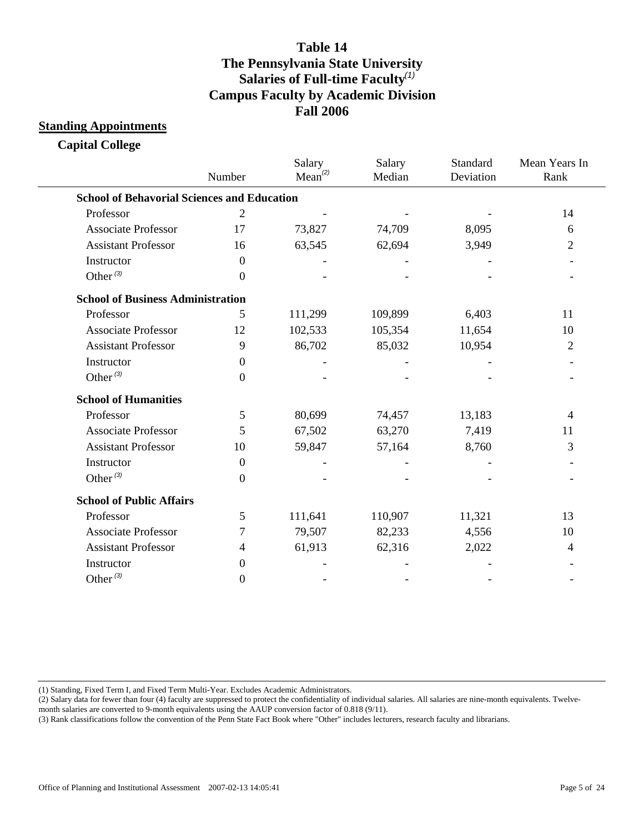#### **Standing Appointments**

**Capital College**

|                                                    | Number           | Salary<br>Mean <sup>(2)</sup> | Salary<br>Median | Standard<br>Deviation | Mean Years In<br>Rank |
|----------------------------------------------------|------------------|-------------------------------|------------------|-----------------------|-----------------------|
| <b>School of Behavorial Sciences and Education</b> |                  |                               |                  |                       |                       |
| Professor                                          | $\overline{2}$   |                               |                  |                       | 14                    |
| <b>Associate Professor</b>                         | 17               | 73,827                        | 74,709           | 8,095                 | 6                     |
| <b>Assistant Professor</b>                         | 16               | 63,545                        | 62,694           | 3,949                 | 2                     |
| Instructor                                         | $\theta$         |                               |                  |                       |                       |
| Other <sup>(3)</sup>                               | $\boldsymbol{0}$ |                               |                  |                       |                       |
| <b>School of Business Administration</b>           |                  |                               |                  |                       |                       |
| Professor                                          | 5                | 111,299                       | 109,899          | 6,403                 | 11                    |
| <b>Associate Professor</b>                         | 12               | 102,533                       | 105,354          | 11,654                | 10                    |
| <b>Assistant Professor</b>                         | 9                | 86,702                        | 85,032           | 10,954                | $\overline{2}$        |
| Instructor                                         | $\theta$         |                               |                  |                       |                       |
| Other $(3)$                                        | $\overline{0}$   |                               |                  |                       |                       |
| <b>School of Humanities</b>                        |                  |                               |                  |                       |                       |
| Professor                                          | 5                | 80,699                        | 74,457           | 13,183                | 4                     |
| <b>Associate Professor</b>                         | 5                | 67,502                        | 63,270           | 7,419                 | 11                    |
| <b>Assistant Professor</b>                         | 10               | 59,847                        | 57,164           | 8,760                 | 3                     |
| Instructor                                         | $\boldsymbol{0}$ |                               |                  |                       |                       |
| Other <sup>(3)</sup>                               | $\boldsymbol{0}$ |                               |                  |                       |                       |
| <b>School of Public Affairs</b>                    |                  |                               |                  |                       |                       |
| Professor                                          | 5                | 111,641                       | 110,907          | 11,321                | 13                    |
| <b>Associate Professor</b>                         | 7                | 79,507                        | 82,233           | 4,556                 | 10                    |
| <b>Assistant Professor</b>                         | 4                | 61,913                        | 62,316           | 2,022                 | 4                     |
| Instructor                                         | $\theta$         |                               |                  |                       |                       |
| Other $(3)$                                        | $\boldsymbol{0}$ |                               |                  |                       |                       |

(1) Standing, Fixed Term I, and Fixed Term Multi-Year. Excludes Academic Administrators.

(2) Salary data for fewer than four (4) faculty are suppressed to protect the confidentiality of individual salaries. All salaries are nine-month equivalents. Twelve-

month salaries are converted to 9-month equivalents using the AAUP conversion factor of 0.818 (9/11).

(3) Rank classifications follow the convention of the Penn State Fact Book where "Other" includes lecturers, research faculty and librarians.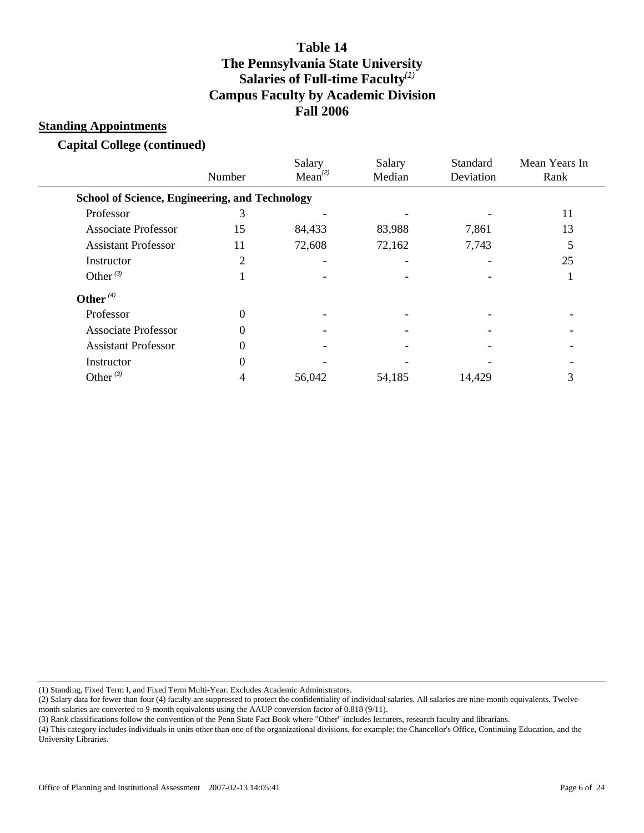#### **Standing Appointments**

**Capital College (continued)**

|                                                       | Number   | Salary<br>Mean <sup>(2)</sup> | Salary<br>Median | Standard<br>Deviation | Mean Years In<br>Rank |
|-------------------------------------------------------|----------|-------------------------------|------------------|-----------------------|-----------------------|
| <b>School of Science, Engineering, and Technology</b> |          |                               |                  |                       |                       |
| Professor                                             | 3        |                               |                  |                       | 11                    |
| <b>Associate Professor</b>                            | 15       | 84,433                        | 83,988           | 7,861                 | 13                    |
| <b>Assistant Professor</b>                            | 11       | 72,608                        | 72,162           | 7,743                 |                       |
| Instructor                                            | 2        |                               |                  |                       | 25                    |
| Other $(3)$                                           |          |                               |                  |                       |                       |
| Other $(4)$                                           |          |                               |                  |                       |                       |
| Professor                                             | $\theta$ |                               |                  |                       |                       |
| <b>Associate Professor</b>                            | $\Omega$ |                               |                  |                       |                       |
| <b>Assistant Professor</b>                            | 0        |                               |                  |                       |                       |
| Instructor                                            | 0        |                               |                  |                       |                       |
| Other $(3)$                                           |          | 56,042                        | 54,185           | 14,429                | 3                     |
|                                                       |          |                               |                  |                       |                       |

(1) Standing, Fixed Term I, and Fixed Term Multi-Year. Excludes Academic Administrators.

(2) Salary data for fewer than four (4) faculty are suppressed to protect the confidentiality of individual salaries. All salaries are nine-month equivalents. Twelvemonth salaries are converted to 9-month equivalents using the AAUP conversion factor of 0.818 (9/11).

(3) Rank classifications follow the convention of the Penn State Fact Book where "Other" includes lecturers, research faculty and librarians.

(4) This category includes individuals in units other than one of the organizational divisions, for example: the Chancellor's Office, Continuing Education, and the University Libraries.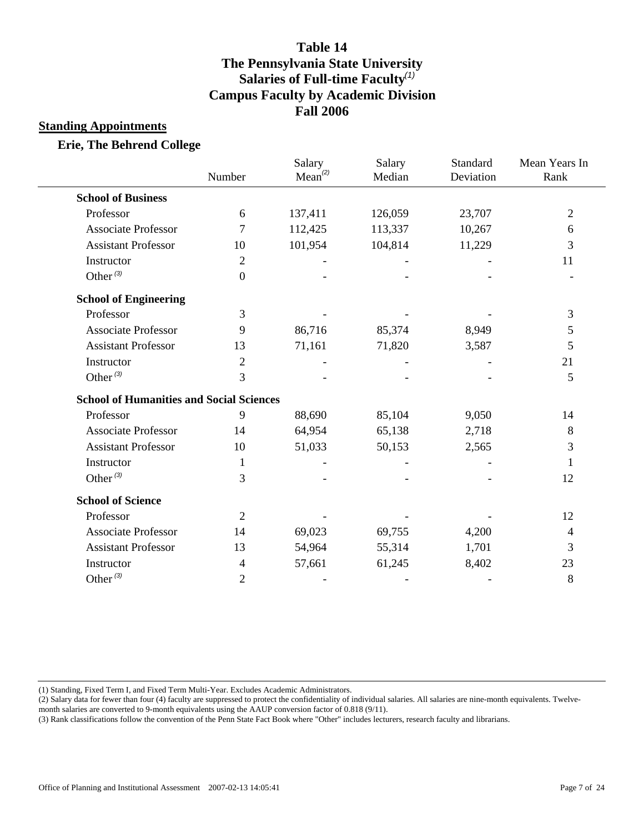### **Standing Appointments**

#### **Erie, The Behrend College**

|                                                 | Number         | Salary<br>Mean <sup>(2)</sup> | Salary<br>Median | Standard<br>Deviation | Mean Years In<br>Rank |
|-------------------------------------------------|----------------|-------------------------------|------------------|-----------------------|-----------------------|
| <b>School of Business</b>                       |                |                               |                  |                       |                       |
| Professor                                       | 6              | 137,411                       | 126,059          | 23,707                | $\overline{2}$        |
| <b>Associate Professor</b>                      | 7              | 112,425                       | 113,337          | 10,267                | 6                     |
| <b>Assistant Professor</b>                      | 10             | 101,954                       | 104,814          | 11,229                | 3                     |
| Instructor                                      | $\overline{2}$ |                               |                  |                       | 11                    |
| Other <sup>(3)</sup>                            | $\overline{0}$ |                               |                  |                       |                       |
| <b>School of Engineering</b>                    |                |                               |                  |                       |                       |
| Professor                                       | 3              |                               |                  |                       | 3                     |
| <b>Associate Professor</b>                      | 9              | 86,716                        | 85,374           | 8,949                 | $\mathfrak{S}$        |
| <b>Assistant Professor</b>                      | 13             | 71,161                        | 71,820           | 3,587                 | 5                     |
| Instructor                                      | $\overline{2}$ |                               |                  |                       | 21                    |
| Other $(3)$                                     | 3              |                               |                  |                       | 5                     |
| <b>School of Humanities and Social Sciences</b> |                |                               |                  |                       |                       |
| Professor                                       | 9              | 88,690                        | 85,104           | 9,050                 | 14                    |
| <b>Associate Professor</b>                      | 14             | 64,954                        | 65,138           | 2,718                 | 8                     |
| <b>Assistant Professor</b>                      | 10             | 51,033                        | 50,153           | 2,565                 | 3                     |
| Instructor                                      | 1              |                               |                  |                       | 1                     |
| Other <sup>(3)</sup>                            | 3              |                               |                  |                       | 12                    |
| <b>School of Science</b>                        |                |                               |                  |                       |                       |
| Professor                                       | $\overline{2}$ |                               |                  |                       | 12                    |
| <b>Associate Professor</b>                      | 14             | 69,023                        | 69,755           | 4,200                 | 4                     |
| <b>Assistant Professor</b>                      | 13             | 54,964                        | 55,314           | 1,701                 | 3                     |
| Instructor                                      | 4              | 57,661                        | 61,245           | 8,402                 | 23                    |
| Other $(3)$                                     | $\overline{2}$ |                               |                  |                       | 8                     |
|                                                 |                |                               |                  |                       |                       |

(1) Standing, Fixed Term I, and Fixed Term Multi-Year. Excludes Academic Administrators.

(2) Salary data for fewer than four (4) faculty are suppressed to protect the confidentiality of individual salaries. All salaries are nine-month equivalents. Twelvemonth salaries are converted to 9-month equivalents using the AAUP conversion factor of 0.818 (9/11).

(3) Rank classifications follow the convention of the Penn State Fact Book where "Other" includes lecturers, research faculty and librarians.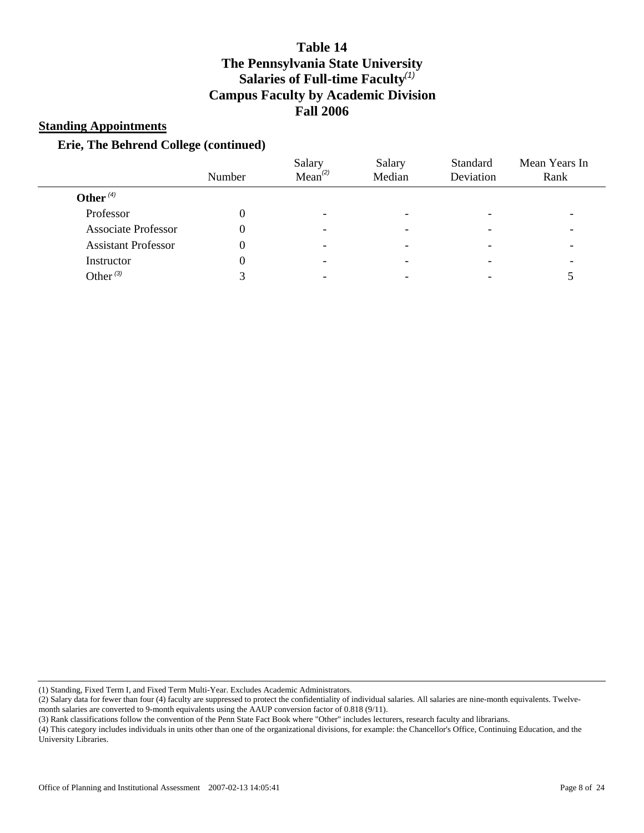#### **Standing Appointments**

### **Erie, The Behrend College (continued)**

| Number | Salary<br>Mean <sup>(2)</sup> | Salary<br>Median | Standard<br>Deviation | Mean Years In<br>Rank |
|--------|-------------------------------|------------------|-----------------------|-----------------------|
|        |                               |                  |                       |                       |
|        | -                             |                  |                       |                       |
|        |                               |                  |                       |                       |
|        | -                             | -                |                       |                       |
|        | -                             |                  |                       |                       |
|        |                               |                  |                       |                       |
|        |                               |                  |                       |                       |

(1) Standing, Fixed Term I, and Fixed Term Multi-Year. Excludes Academic Administrators.

| (2) Salary data for fewer than four (4) faculty are suppressed to protect the confidentiality of individual salaries. All salaries are nine-month equivalents. Twelve- |
|------------------------------------------------------------------------------------------------------------------------------------------------------------------------|
| month salaries are converted to 9-month equivalents using the AAUP conversion factor of $0.818(9/11)$ .                                                                |

(3) Rank classifications follow the convention of the Penn State Fact Book where "Other" includes lecturers, research faculty and librarians.

(4) This category includes individuals in units other than one of the organizational divisions, for example: the Chancellor's Office, Continuing Education, and the University Libraries.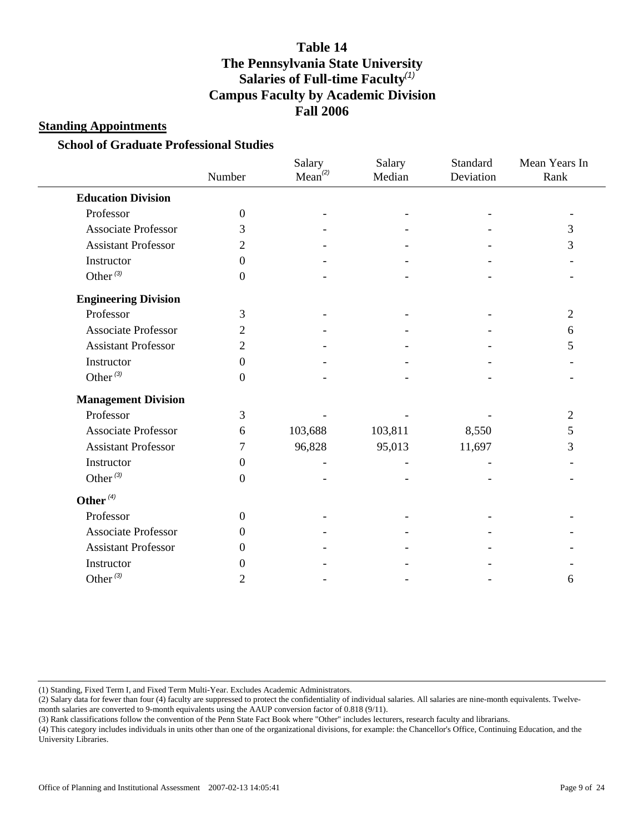#### **Standing Appointments**

#### **School of Graduate Professional Studies**

|                             | Number           | Salary<br>Mean <sup>(2)</sup> | Salary<br>Median | Standard<br>Deviation | Mean Years In<br>Rank |
|-----------------------------|------------------|-------------------------------|------------------|-----------------------|-----------------------|
| <b>Education Division</b>   |                  |                               |                  |                       |                       |
| Professor                   | $\boldsymbol{0}$ |                               |                  |                       |                       |
| <b>Associate Professor</b>  | 3                |                               |                  |                       | 3                     |
| <b>Assistant Professor</b>  | 2                |                               |                  |                       | 3                     |
| Instructor                  | $\boldsymbol{0}$ |                               |                  |                       |                       |
| Other $(3)$                 | $\boldsymbol{0}$ |                               |                  |                       |                       |
| <b>Engineering Division</b> |                  |                               |                  |                       |                       |
| Professor                   | 3                |                               |                  |                       | 2                     |
| <b>Associate Professor</b>  | 2                |                               |                  |                       | 6                     |
| <b>Assistant Professor</b>  | $\overline{2}$   |                               |                  |                       | 5                     |
| Instructor                  | $\boldsymbol{0}$ |                               |                  |                       |                       |
| Other $(3)$                 | $\boldsymbol{0}$ |                               |                  |                       |                       |
| <b>Management Division</b>  |                  |                               |                  |                       |                       |
| Professor                   | 3                |                               |                  |                       | 2                     |
| <b>Associate Professor</b>  | 6                | 103,688                       | 103,811          | 8,550                 | 5                     |
| <b>Assistant Professor</b>  | 7                | 96,828                        | 95,013           | 11,697                | 3                     |
| Instructor                  | $\boldsymbol{0}$ |                               |                  |                       |                       |
| Other $(3)$                 | $\boldsymbol{0}$ |                               |                  |                       |                       |
| Other $(4)$                 |                  |                               |                  |                       |                       |
| Professor                   | $\overline{0}$   |                               |                  |                       |                       |
| <b>Associate Professor</b>  | $\Omega$         |                               |                  |                       |                       |
| <b>Assistant Professor</b>  | $\Omega$         |                               |                  |                       |                       |
| Instructor                  | $\overline{0}$   |                               |                  |                       |                       |
| Other $^{(3)}$              | $\overline{2}$   |                               |                  |                       | 6                     |

(1) Standing, Fixed Term I, and Fixed Term Multi-Year. Excludes Academic Administrators.

(2) Salary data for fewer than four (4) faculty are suppressed to protect the confidentiality of individual salaries. All salaries are nine-month equivalents. Twelvemonth salaries are converted to 9-month equivalents using the AAUP conversion factor of 0.818 (9/11).

(3) Rank classifications follow the convention of the Penn State Fact Book where "Other" includes lecturers, research faculty and librarians.

(4) This category includes individuals in units other than one of the organizational divisions, for example: the Chancellor's Office, Continuing Education, and the University Libraries.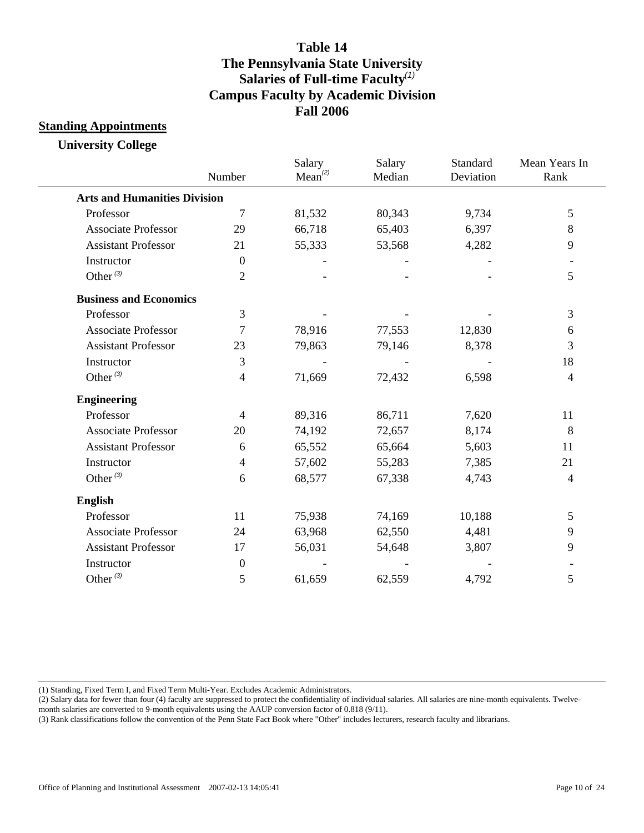### **Standing Appointments**

**University College**

|                                     | Number           | Salary<br>Mean <sup>(2)</sup> | Salary<br>Median | Standard<br>Deviation | Mean Years In<br>Rank |
|-------------------------------------|------------------|-------------------------------|------------------|-----------------------|-----------------------|
| <b>Arts and Humanities Division</b> |                  |                               |                  |                       |                       |
| Professor                           | $\tau$           | 81,532                        | 80,343           | 9,734                 | 5                     |
| <b>Associate Professor</b>          | 29               | 66,718                        | 65,403           | 6,397                 | 8                     |
| <b>Assistant Professor</b>          | 21               | 55,333                        | 53,568           | 4,282                 | 9                     |
| Instructor                          | $\overline{0}$   |                               |                  |                       |                       |
| Other $(3)$                         | $\overline{2}$   |                               |                  |                       | 5                     |
| <b>Business and Economics</b>       |                  |                               |                  |                       |                       |
| Professor                           | 3                |                               |                  |                       | 3                     |
| <b>Associate Professor</b>          | 7                | 78,916                        | 77,553           | 12,830                | 6                     |
| <b>Assistant Professor</b>          | 23               | 79,863                        | 79,146           | 8,378                 | 3                     |
| Instructor                          | 3                |                               |                  |                       | 18                    |
| Other $(3)$                         | $\overline{4}$   | 71,669                        | 72,432           | 6,598                 | $\overline{4}$        |
| <b>Engineering</b>                  |                  |                               |                  |                       |                       |
| Professor                           | $\overline{4}$   | 89,316                        | 86,711           | 7,620                 | 11                    |
| <b>Associate Professor</b>          | 20               | 74,192                        | 72,657           | 8,174                 | 8                     |
| <b>Assistant Professor</b>          | 6                | 65,552                        | 65,664           | 5,603                 | 11                    |
| Instructor                          | $\overline{4}$   | 57,602                        | 55,283           | 7,385                 | 21                    |
| Other $(3)$                         | 6                | 68,577                        | 67,338           | 4,743                 | $\overline{4}$        |
| <b>English</b>                      |                  |                               |                  |                       |                       |
| Professor                           | 11               | 75,938                        | 74,169           | 10,188                | $\mathfrak{S}$        |
| <b>Associate Professor</b>          | 24               | 63,968                        | 62,550           | 4,481                 | 9                     |
| <b>Assistant Professor</b>          | 17               | 56,031                        | 54,648           | 3,807                 | 9                     |
| Instructor                          | $\boldsymbol{0}$ |                               |                  |                       |                       |
| Other $(3)$                         | 5                | 61,659                        | 62,559           | 4,792                 | 5                     |

(1) Standing, Fixed Term I, and Fixed Term Multi-Year. Excludes Academic Administrators.

(2) Salary data for fewer than four (4) faculty are suppressed to protect the confidentiality of individual salaries. All salaries are nine-month equivalents. Twelvemonth salaries are converted to 9-month equivalents using the AAUP conversion factor of 0.818 (9/11).

(3) Rank classifications follow the convention of the Penn State Fact Book where "Other" includes lecturers, research faculty and librarians.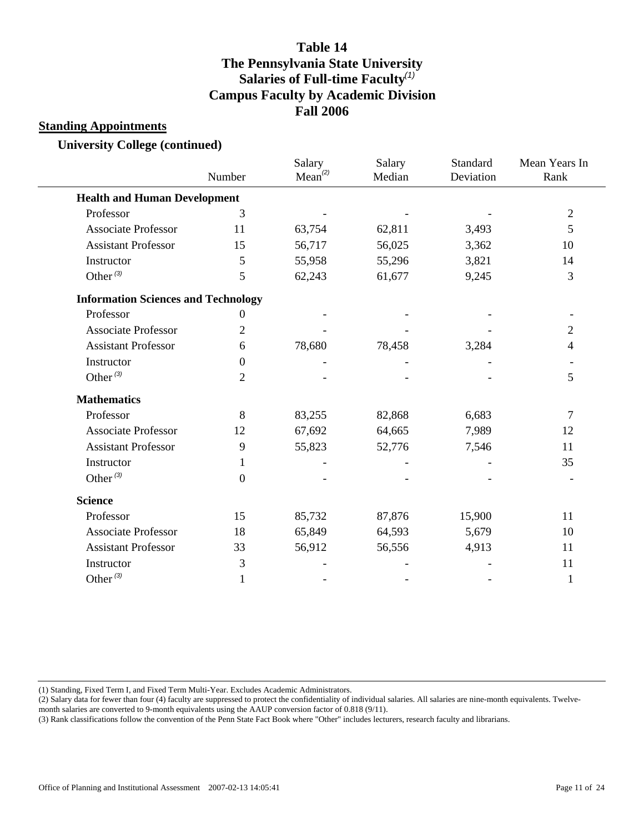#### **Standing Appointments**

**University College (continued)**

|                                            | Number           | Salary<br>Mean <sup>(2)</sup> | Salary<br>Median | Standard<br>Deviation | Mean Years In<br>Rank |
|--------------------------------------------|------------------|-------------------------------|------------------|-----------------------|-----------------------|
| <b>Health and Human Development</b>        |                  |                               |                  |                       |                       |
| Professor                                  | 3                |                               |                  |                       | $\sqrt{2}$            |
| <b>Associate Professor</b>                 | 11               | 63,754                        | 62,811           | 3,493                 | 5                     |
| <b>Assistant Professor</b>                 | 15               | 56,717                        | 56,025           | 3,362                 | 10                    |
| Instructor                                 | 5                | 55,958                        | 55,296           | 3,821                 | 14                    |
| Other <sup>(3)</sup>                       | 5                | 62,243                        | 61,677           | 9,245                 | 3                     |
| <b>Information Sciences and Technology</b> |                  |                               |                  |                       |                       |
| Professor                                  | $\boldsymbol{0}$ |                               |                  |                       |                       |
| <b>Associate Professor</b>                 | $\overline{2}$   |                               |                  |                       | $\overline{2}$        |
| <b>Assistant Professor</b>                 | 6                | 78,680                        | 78,458           | 3,284                 | 4                     |
| Instructor                                 | $\overline{0}$   |                               |                  |                       |                       |
| Other $(3)$                                | $\overline{2}$   |                               |                  |                       | 5                     |
| <b>Mathematics</b>                         |                  |                               |                  |                       |                       |
| Professor                                  | 8                | 83,255                        | 82,868           | 6,683                 | 7                     |
| <b>Associate Professor</b>                 | 12               | 67,692                        | 64,665           | 7,989                 | 12                    |
| <b>Assistant Professor</b>                 | 9                | 55,823                        | 52,776           | 7,546                 | 11                    |
| Instructor                                 | 1                |                               |                  |                       | 35                    |
| Other $(3)$                                | $\boldsymbol{0}$ |                               |                  |                       |                       |
| <b>Science</b>                             |                  |                               |                  |                       |                       |
| Professor                                  | 15               | 85,732                        | 87,876           | 15,900                | 11                    |
| <b>Associate Professor</b>                 | 18               | 65,849                        | 64,593           | 5,679                 | 10                    |
| <b>Assistant Professor</b>                 | 33               | 56,912                        | 56,556           | 4,913                 | 11                    |
| Instructor                                 | 3                |                               |                  |                       | 11                    |
| Other $(3)$                                | 1                |                               |                  |                       | 1                     |

(1) Standing, Fixed Term I, and Fixed Term Multi-Year. Excludes Academic Administrators.

(2) Salary data for fewer than four (4) faculty are suppressed to protect the confidentiality of individual salaries. All salaries are nine-month equivalents. Twelve-

month salaries are converted to 9-month equivalents using the AAUP conversion factor of 0.818 (9/11).

(3) Rank classifications follow the convention of the Penn State Fact Book where "Other" includes lecturers, research faculty and librarians.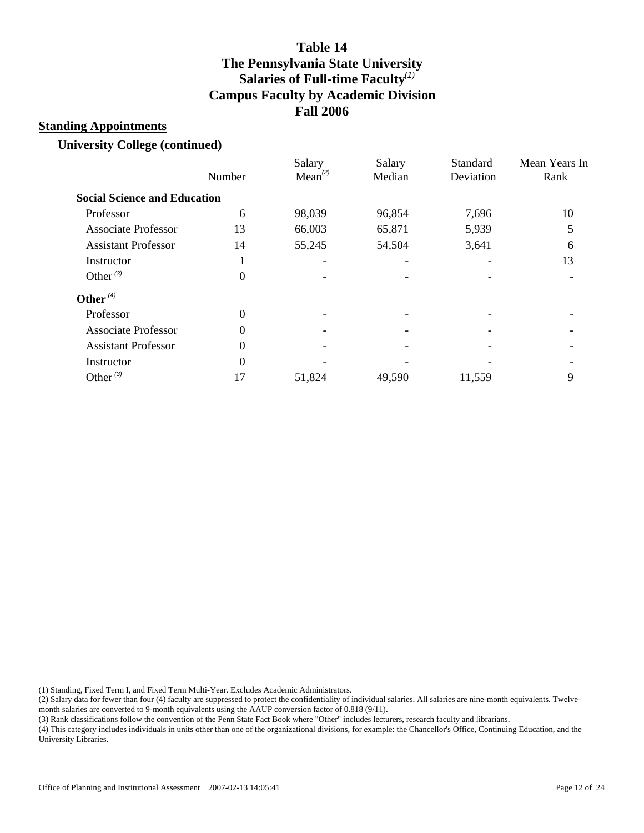#### **Standing Appointments**

**University College (continued)**

|                                     | Number   | Salary<br>Mean <sup>(2)</sup> | Salary<br>Median | Standard<br>Deviation | Mean Years In<br>Rank |
|-------------------------------------|----------|-------------------------------|------------------|-----------------------|-----------------------|
| <b>Social Science and Education</b> |          |                               |                  |                       |                       |
| Professor                           | 6        | 98,039                        | 96,854           | 7,696                 | 10                    |
| <b>Associate Professor</b>          | 13       | 66,003                        | 65,871           | 5,939                 | 5                     |
| <b>Assistant Professor</b>          | 14       | 55,245                        | 54,504           | 3,641                 | 6                     |
| Instructor                          |          |                               |                  |                       | 13                    |
| Other $(3)$                         | $\Omega$ |                               |                  |                       |                       |
| Other $(4)$                         |          |                               |                  |                       |                       |
| Professor                           | $\theta$ |                               |                  |                       |                       |
| <b>Associate Professor</b>          | $\Omega$ |                               |                  |                       |                       |
| <b>Assistant Professor</b>          | $\Omega$ |                               |                  |                       |                       |
| Instructor                          | $\theta$ |                               |                  |                       |                       |
| Other $(3)$                         | 17       | 51,824                        | 49,590           | 11,559                | 9                     |
|                                     |          |                               |                  |                       |                       |

(1) Standing, Fixed Term I, and Fixed Term Multi-Year. Excludes Academic Administrators.

(2) Salary data for fewer than four (4) faculty are suppressed to protect the confidentiality of individual salaries. All salaries are nine-month equivalents. Twelvemonth salaries are converted to 9-month equivalents using the AAUP conversion factor of 0.818 (9/11).

(3) Rank classifications follow the convention of the Penn State Fact Book where "Other" includes lecturers, research faculty and librarians.

(4) This category includes individuals in units other than one of the organizational divisions, for example: the Chancellor's Office, Continuing Education, and the University Libraries.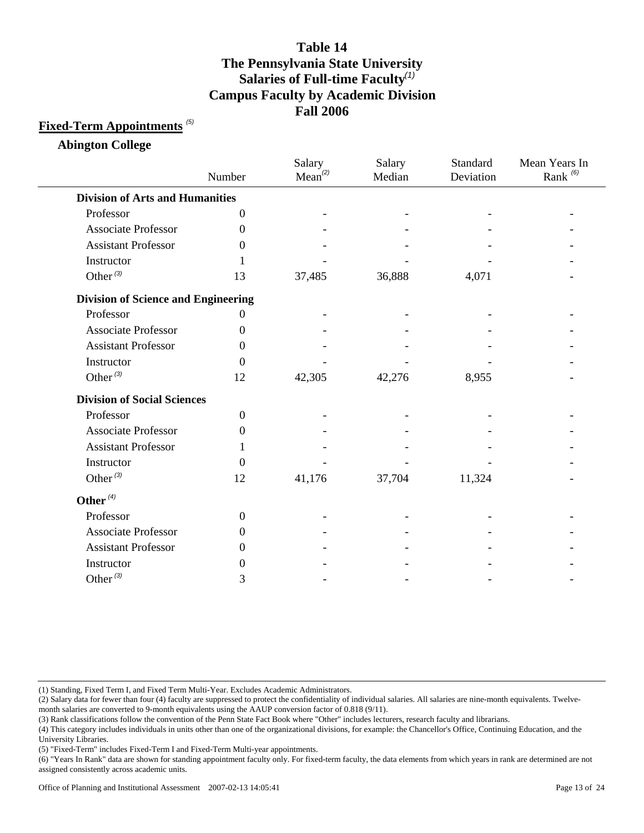### **Fixed-Term Appointments** *(5)*

**Abington College**

|                                            | Number           | Salary<br>$Mean^{(2)}$ | Salary<br>Median | Standard<br>Deviation | Mean Years In<br>Rank $(6)$ |
|--------------------------------------------|------------------|------------------------|------------------|-----------------------|-----------------------------|
| <b>Division of Arts and Humanities</b>     |                  |                        |                  |                       |                             |
| Professor                                  | $\boldsymbol{0}$ |                        |                  |                       |                             |
| <b>Associate Professor</b>                 | $\Omega$         |                        |                  |                       |                             |
| <b>Assistant Professor</b>                 | 0                |                        |                  |                       |                             |
| Instructor                                 |                  |                        |                  |                       |                             |
| Other <sup>(3)</sup>                       | 13               | 37,485                 | 36,888           | 4,071                 |                             |
| <b>Division of Science and Engineering</b> |                  |                        |                  |                       |                             |
| Professor                                  | 0                |                        |                  |                       |                             |
| <b>Associate Professor</b>                 | 0                |                        |                  |                       |                             |
| <b>Assistant Professor</b>                 | 0                |                        |                  |                       |                             |
| Instructor                                 | 0                |                        |                  |                       |                             |
| Other $(3)$                                | 12               | 42,305                 | 42,276           | 8,955                 |                             |
| <b>Division of Social Sciences</b>         |                  |                        |                  |                       |                             |
| Professor                                  | $\overline{0}$   |                        |                  |                       |                             |
| <b>Associate Professor</b>                 | $\boldsymbol{0}$ |                        |                  |                       |                             |
| <b>Assistant Professor</b>                 | 1                |                        |                  |                       |                             |
| Instructor                                 | 0                |                        |                  |                       |                             |
| Other $(3)$                                | 12               | 41,176                 | 37,704           | 11,324                |                             |
| Other $(4)$                                |                  |                        |                  |                       |                             |
| Professor                                  | $\theta$         |                        |                  |                       |                             |
| Associate Professor                        | $\Omega$         |                        |                  |                       |                             |
| <b>Assistant Professor</b>                 | 0                |                        |                  |                       |                             |
| Instructor                                 | 0                |                        |                  |                       |                             |
| Other $^{(3)}$                             | 3                |                        |                  |                       |                             |

(1) Standing, Fixed Term I, and Fixed Term Multi-Year. Excludes Academic Administrators.

(3) Rank classifications follow the convention of the Penn State Fact Book where "Other" includes lecturers, research faculty and librarians.

<sup>(2)</sup> Salary data for fewer than four (4) faculty are suppressed to protect the confidentiality of individual salaries. All salaries are nine-month equivalents. Twelvemonth salaries are converted to 9-month equivalents using the AAUP conversion factor of 0.818 (9/11).

<sup>(4)</sup> This category includes individuals in units other than one of the organizational divisions, for example: the Chancellor's Office, Continuing Education, and the University Libraries.

<sup>(6) &</sup>quot;Years In Rank" data are shown for standing appointment faculty only. For fixed-term faculty, the data elements from which years in rank are determined are not assigned consistently across academic units.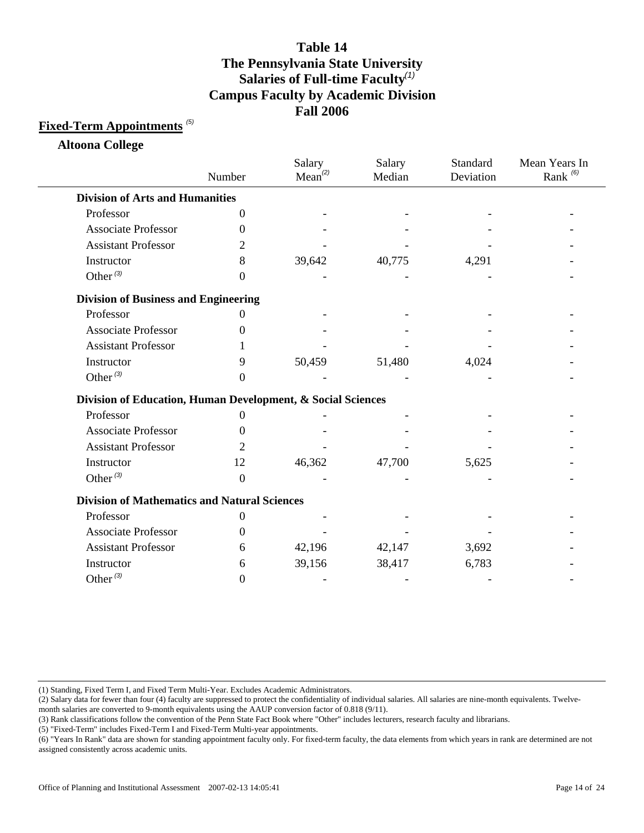### **Fixed-Term Appointments** *(5)*

**Altoona College**

|                                                             | Number   | Salary<br>Mean <sup>(2)</sup> | Salary<br>Median | Standard<br>Deviation | Mean Years In<br>Rank <sup>(6)</sup> |
|-------------------------------------------------------------|----------|-------------------------------|------------------|-----------------------|--------------------------------------|
| <b>Division of Arts and Humanities</b>                      |          |                               |                  |                       |                                      |
| Professor                                                   | 0        |                               |                  |                       |                                      |
| <b>Associate Professor</b>                                  | 0        |                               |                  |                       |                                      |
| <b>Assistant Professor</b>                                  | 2        |                               |                  |                       |                                      |
| Instructor                                                  | 8        | 39,642                        | 40,775           | 4,291                 |                                      |
| Other $(3)$                                                 | 0        |                               |                  |                       |                                      |
| <b>Division of Business and Engineering</b>                 |          |                               |                  |                       |                                      |
| Professor                                                   | 0        |                               |                  |                       |                                      |
| <b>Associate Professor</b>                                  | 0        |                               |                  |                       |                                      |
| <b>Assistant Professor</b>                                  |          |                               |                  |                       |                                      |
| Instructor                                                  | 9        | 50,459                        | 51,480           | 4,024                 |                                      |
| Other $(3)$                                                 | 0        |                               |                  |                       |                                      |
| Division of Education, Human Development, & Social Sciences |          |                               |                  |                       |                                      |
| Professor                                                   | $^{(1)}$ |                               |                  |                       |                                      |
| <b>Associate Professor</b>                                  | 0        |                               |                  |                       |                                      |
| <b>Assistant Professor</b>                                  | 2        |                               |                  |                       |                                      |
| Instructor                                                  | 12       | 46,362                        | 47,700           | 5,625                 |                                      |
| Other $(3)$                                                 | $\Omega$ |                               |                  |                       |                                      |
| <b>Division of Mathematics and Natural Sciences</b>         |          |                               |                  |                       |                                      |
| Professor                                                   | 0        |                               |                  |                       |                                      |
| <b>Associate Professor</b>                                  | 0        |                               |                  |                       |                                      |
| <b>Assistant Professor</b>                                  | 6        | 42,196                        | 42,147           | 3,692                 |                                      |
| Instructor                                                  | 6        | 39,156                        | 38,417           | 6,783                 |                                      |
| Other $^{(3)}$                                              | 0        |                               |                  |                       |                                      |

(1) Standing, Fixed Term I, and Fixed Term Multi-Year. Excludes Academic Administrators.

(2) Salary data for fewer than four (4) faculty are suppressed to protect the confidentiality of individual salaries. All salaries are nine-month equivalents. Twelve-

month salaries are converted to 9-month equivalents using the AAUP conversion factor of 0.818 (9/11).

(3) Rank classifications follow the convention of the Penn State Fact Book where "Other" includes lecturers, research faculty and librarians.

<sup>(6) &</sup>quot;Years In Rank" data are shown for standing appointment faculty only. For fixed-term faculty, the data elements from which years in rank are determined are not assigned consistently across academic units.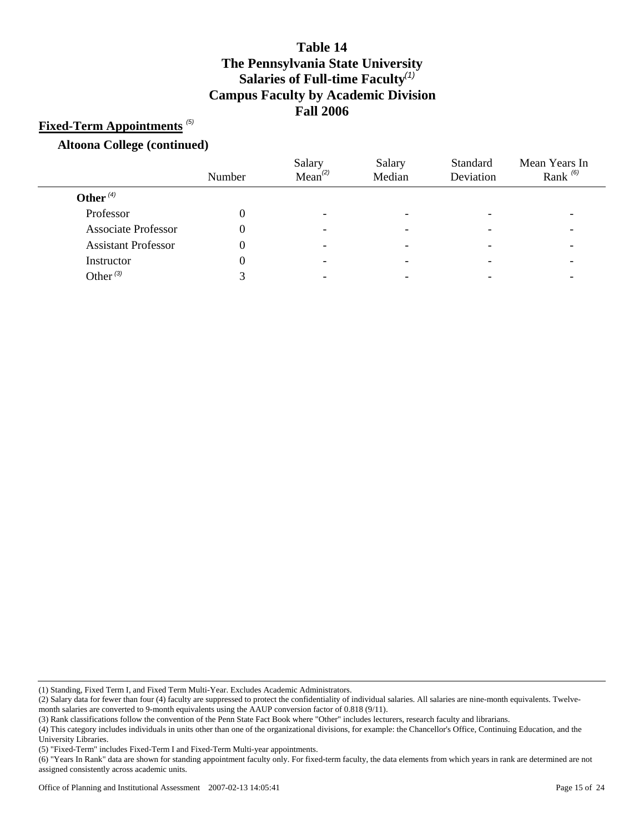### **Fixed-Term Appointments** *(5)*

#### **Altoona College (continued)**

|                            |        | Salary              | Salary                   | Standard  | Mean Years In |
|----------------------------|--------|---------------------|--------------------------|-----------|---------------|
|                            | Number | Mean <sup>(2)</sup> | Median                   | Deviation | Rank $(6)$    |
| Other $(4)$                |        |                     |                          |           |               |
| Professor                  |        | -                   | -                        |           |               |
| <b>Associate Professor</b> |        | -                   | $\overline{\phantom{0}}$ |           |               |
| <b>Assistant Professor</b> |        |                     |                          |           |               |
| Instructor                 |        |                     |                          |           |               |
| Other $^{(3)}$             |        |                     |                          |           |               |

(1) Standing, Fixed Term I, and Fixed Term Multi-Year. Excludes Academic Administrators.

(3) Rank classifications follow the convention of the Penn State Fact Book where "Other" includes lecturers, research faculty and librarians.

<sup>(2)</sup> Salary data for fewer than four (4) faculty are suppressed to protect the confidentiality of individual salaries. All salaries are nine-month equivalents. Twelvemonth salaries are converted to 9-month equivalents using the AAUP conversion factor of 0.818 (9/11).

<sup>(4)</sup> This category includes individuals in units other than one of the organizational divisions, for example: the Chancellor's Office, Continuing Education, and the University Libraries.

<sup>(5) &</sup>quot;Fixed-Term" includes Fixed-Term I and Fixed-Term Multi-year appointments.

<sup>(6) &</sup>quot;Years In Rank" data are shown for standing appointment faculty only. For fixed-term faculty, the data elements from which years in rank are determined are not assigned consistently across academic units.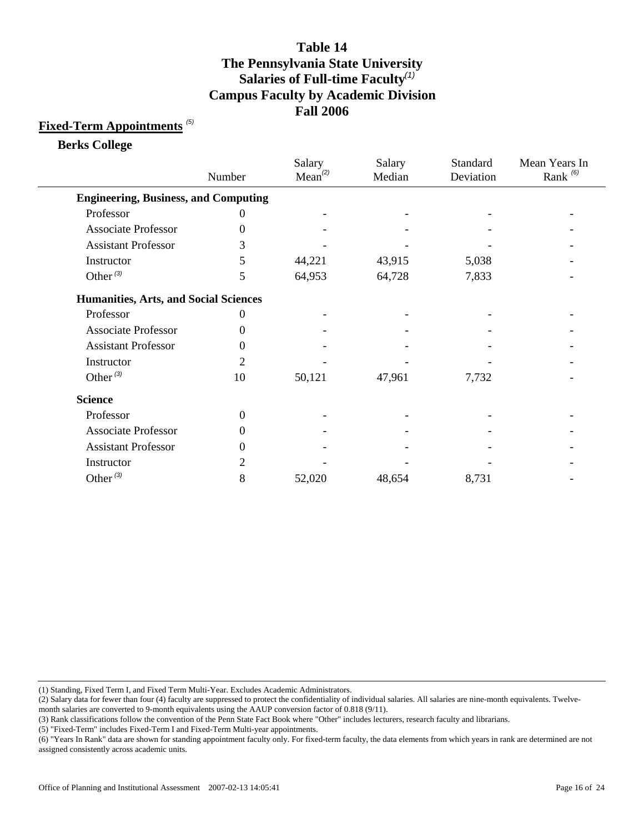### **Fixed-Term Appointments** *(5)*

**Berks College**

|                                              | Number         | Salary<br>Mean <sup>(2)</sup> | Salary<br>Median | Standard<br>Deviation | Mean Years In<br>Rank $^{(6)}$ |
|----------------------------------------------|----------------|-------------------------------|------------------|-----------------------|--------------------------------|
| <b>Engineering, Business, and Computing</b>  |                |                               |                  |                       |                                |
| Professor                                    | 0              |                               |                  |                       |                                |
| <b>Associate Professor</b>                   | $\theta$       |                               |                  |                       |                                |
| <b>Assistant Professor</b>                   | 3              |                               |                  |                       |                                |
| Instructor                                   | 5              | 44,221                        | 43,915           | 5,038                 |                                |
| Other $(3)$                                  | 5              | 64,953                        | 64,728           | 7,833                 |                                |
| <b>Humanities, Arts, and Social Sciences</b> |                |                               |                  |                       |                                |
| Professor                                    | $\theta$       |                               |                  |                       |                                |
| <b>Associate Professor</b>                   | 0              |                               |                  |                       |                                |
| <b>Assistant Professor</b>                   | 0              |                               |                  |                       |                                |
| Instructor                                   | $\overline{c}$ |                               |                  |                       |                                |
| Other $(3)$                                  | 10             | 50,121                        | 47,961           | 7,732                 |                                |
| <b>Science</b>                               |                |                               |                  |                       |                                |
| Professor                                    | $\overline{0}$ |                               |                  |                       |                                |
| <b>Associate Professor</b>                   | $\theta$       |                               |                  |                       |                                |
| <b>Assistant Professor</b>                   | $\theta$       |                               |                  |                       |                                |
| Instructor                                   | $\overline{c}$ |                               |                  |                       |                                |
| Other $(3)$                                  | 8              | 52,020                        | 48,654           | 8,731                 |                                |

(1) Standing, Fixed Term I, and Fixed Term Multi-Year. Excludes Academic Administrators.

(2) Salary data for fewer than four (4) faculty are suppressed to protect the confidentiality of individual salaries. All salaries are nine-month equivalents. Twelve-

month salaries are converted to 9-month equivalents using the AAUP conversion factor of 0.818 (9/11).

(3) Rank classifications follow the convention of the Penn State Fact Book where "Other" includes lecturers, research faculty and librarians.

<sup>(6) &</sup>quot;Years In Rank" data are shown for standing appointment faculty only. For fixed-term faculty, the data elements from which years in rank are determined are not assigned consistently across academic units.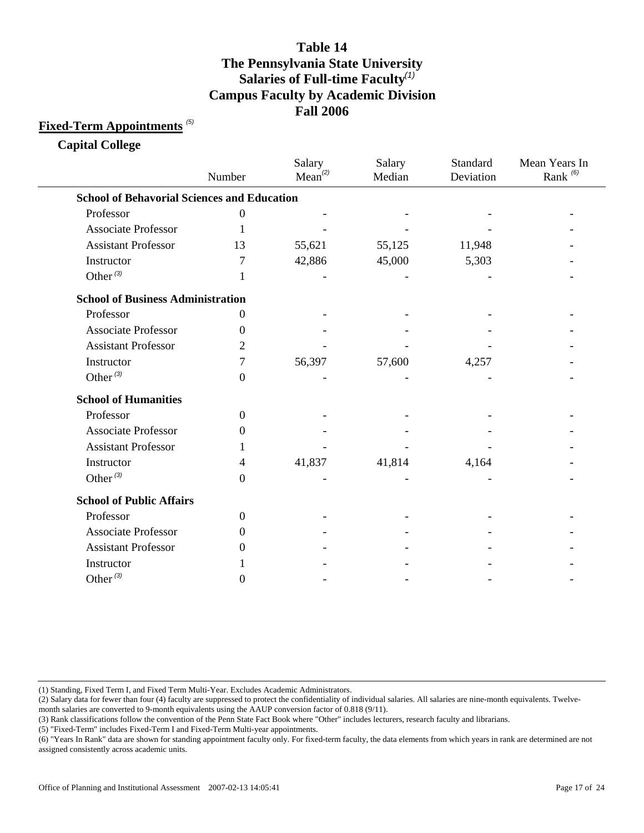### **Fixed-Term Appointments** *(5)*

**Capital College**

|                                                    | Number         | Salary<br>$Mean^{(2)}$ | Salary<br>Median | Standard<br>Deviation | Mean Years In<br>Rank <sup>(6)</sup> |
|----------------------------------------------------|----------------|------------------------|------------------|-----------------------|--------------------------------------|
| <b>School of Behavorial Sciences and Education</b> |                |                        |                  |                       |                                      |
| Professor                                          | $\overline{0}$ |                        |                  |                       |                                      |
| <b>Associate Professor</b>                         |                |                        |                  |                       |                                      |
| <b>Assistant Professor</b>                         | 13             | 55,621                 | 55,125           | 11,948                |                                      |
| Instructor                                         | 7              | 42,886                 | 45,000           | 5,303                 |                                      |
| Other $(3)$                                        | 1              |                        |                  |                       |                                      |
| <b>School of Business Administration</b>           |                |                        |                  |                       |                                      |
| Professor                                          | 0              |                        |                  |                       |                                      |
| <b>Associate Professor</b>                         | 0              |                        |                  |                       |                                      |
| <b>Assistant Professor</b>                         | 2              |                        |                  |                       |                                      |
| Instructor                                         | 7              | 56,397                 | 57,600           | 4,257                 |                                      |
| Other $(3)$                                        | $\Omega$       |                        |                  |                       |                                      |
| <b>School of Humanities</b>                        |                |                        |                  |                       |                                      |
| Professor                                          | $\mathbf{0}$   |                        |                  |                       |                                      |
| <b>Associate Professor</b>                         | $\Omega$       |                        |                  |                       |                                      |
| <b>Assistant Professor</b>                         |                |                        |                  |                       |                                      |
| Instructor                                         | 4              | 41,837                 | 41,814           | 4,164                 |                                      |
| Other $(3)$                                        | $\theta$       |                        |                  |                       |                                      |
| <b>School of Public Affairs</b>                    |                |                        |                  |                       |                                      |
| Professor                                          | $\Omega$       |                        |                  |                       |                                      |
| <b>Associate Professor</b>                         | $\Omega$       |                        |                  |                       |                                      |
| <b>Assistant Professor</b>                         | $_{0}$         |                        |                  |                       |                                      |
| Instructor                                         |                |                        |                  |                       |                                      |
| Other $(3)$                                        | $\theta$       |                        |                  |                       |                                      |

(1) Standing, Fixed Term I, and Fixed Term Multi-Year. Excludes Academic Administrators.

(2) Salary data for fewer than four (4) faculty are suppressed to protect the confidentiality of individual salaries. All salaries are nine-month equivalents. Twelve-

month salaries are converted to 9-month equivalents using the AAUP conversion factor of 0.818 (9/11).

(3) Rank classifications follow the convention of the Penn State Fact Book where "Other" includes lecturers, research faculty and librarians.

<sup>(6) &</sup>quot;Years In Rank" data are shown for standing appointment faculty only. For fixed-term faculty, the data elements from which years in rank are determined are not assigned consistently across academic units.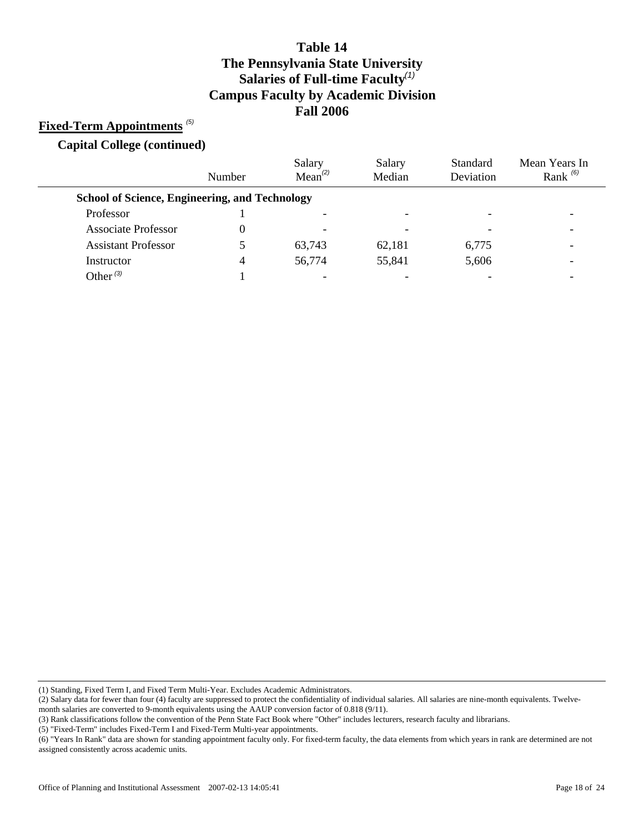### **Fixed-Term Appointments** *(5)*

**Capital College (continued)**

|                                                       | Number | Salary<br>$Mean^{(2)}$ | Salary<br>Median | Standard<br>Deviation | Mean Years In<br>Rank $(6)$ |
|-------------------------------------------------------|--------|------------------------|------------------|-----------------------|-----------------------------|
| <b>School of Science, Engineering, and Technology</b> |        |                        |                  |                       |                             |
| Professor                                             |        |                        |                  |                       |                             |
| <b>Associate Professor</b>                            |        | -                      |                  |                       |                             |
| <b>Assistant Professor</b>                            |        | 63,743                 | 62,181           | 6,775                 |                             |
| Instructor                                            | 4      | 56,774                 | 55,841           | 5,606                 |                             |
| Other $^{(3)}$                                        |        |                        |                  |                       |                             |

(1) Standing, Fixed Term I, and Fixed Term Multi-Year. Excludes Academic Administrators.

month salaries are converted to 9-month equivalents using the AAUP conversion factor of 0.818 (9/11).

(3) Rank classifications follow the convention of the Penn State Fact Book where "Other" includes lecturers, research faculty and librarians.

<sup>(2)</sup> Salary data for fewer than four (4) faculty are suppressed to protect the confidentiality of individual salaries. All salaries are nine-month equivalents. Twelve-

<sup>(6) &</sup>quot;Years In Rank" data are shown for standing appointment faculty only. For fixed-term faculty, the data elements from which years in rank are determined are not assigned consistently across academic units.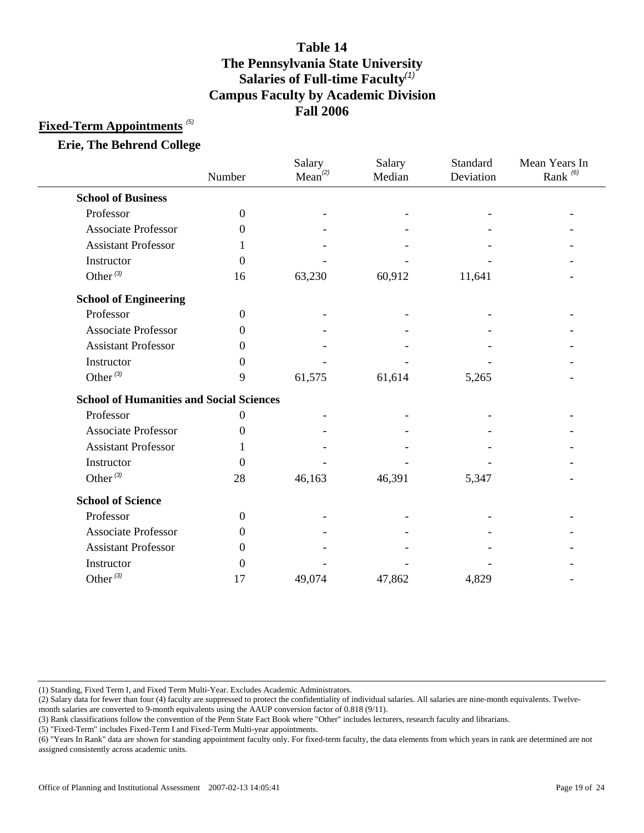### **Fixed-Term Appointments** *(5)*

#### **Erie, The Behrend College**

|                                                 | Number           | Salary<br>$Mean^{(2)}$ | Salary<br>Median | Standard<br>Deviation | Mean Years In<br>Rank <sup>(6)</sup> |
|-------------------------------------------------|------------------|------------------------|------------------|-----------------------|--------------------------------------|
| <b>School of Business</b>                       |                  |                        |                  |                       |                                      |
| Professor                                       | $\boldsymbol{0}$ |                        |                  |                       |                                      |
| <b>Associate Professor</b>                      | $\Omega$         |                        |                  |                       |                                      |
| <b>Assistant Professor</b>                      |                  |                        |                  |                       |                                      |
| Instructor                                      | $\Omega$         |                        |                  |                       |                                      |
| Other $(3)$                                     | 16               | 63,230                 | 60,912           | 11,641                |                                      |
| <b>School of Engineering</b>                    |                  |                        |                  |                       |                                      |
| Professor                                       | $\mathbf{0}$     |                        |                  |                       |                                      |
| <b>Associate Professor</b>                      | $\Omega$         |                        |                  |                       |                                      |
| <b>Assistant Professor</b>                      | $\Omega$         |                        |                  |                       |                                      |
| Instructor                                      | 0                |                        |                  |                       |                                      |
| Other $(3)$                                     | 9                | 61,575                 | 61,614           | 5,265                 |                                      |
| <b>School of Humanities and Social Sciences</b> |                  |                        |                  |                       |                                      |
| Professor                                       | $\overline{0}$   |                        |                  |                       |                                      |
| <b>Associate Professor</b>                      | $\Omega$         |                        |                  |                       |                                      |
| <b>Assistant Professor</b>                      |                  |                        |                  |                       |                                      |
| Instructor                                      | $\Omega$         |                        |                  |                       |                                      |
| Other $(3)$                                     | 28               | 46,163                 | 46,391           | 5,347                 |                                      |
| <b>School of Science</b>                        |                  |                        |                  |                       |                                      |
| Professor                                       | $\mathbf{0}$     |                        |                  |                       |                                      |
| <b>Associate Professor</b>                      | $\Omega$         |                        |                  |                       |                                      |
| <b>Assistant Professor</b>                      | $\Omega$         |                        |                  |                       |                                      |
| Instructor                                      | $\Omega$         |                        |                  |                       |                                      |
| Other $^{(3)}$                                  | 17               | 49,074                 | 47,862           | 4,829                 |                                      |

(1) Standing, Fixed Term I, and Fixed Term Multi-Year. Excludes Academic Administrators.

(2) Salary data for fewer than four (4) faculty are suppressed to protect the confidentiality of individual salaries. All salaries are nine-month equivalents. Twelve-

month salaries are converted to 9-month equivalents using the AAUP conversion factor of 0.818 (9/11).

(3) Rank classifications follow the convention of the Penn State Fact Book where "Other" includes lecturers, research faculty and librarians.

<sup>(6) &</sup>quot;Years In Rank" data are shown for standing appointment faculty only. For fixed-term faculty, the data elements from which years in rank are determined are not assigned consistently across academic units.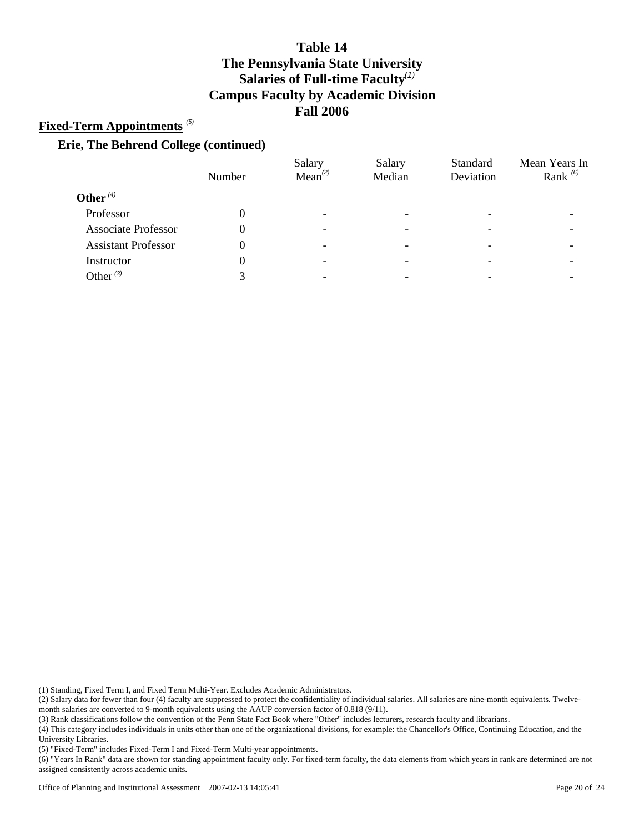### **Fixed-Term Appointments** *(5)*

#### **Erie, The Behrend College (continued)**

|                            | Number | Salary<br>Mean <sup>(2)</sup> | Salary<br>Median         | Standard<br>Deviation | Mean Years In<br>Rank $(6)$ |
|----------------------------|--------|-------------------------------|--------------------------|-----------------------|-----------------------------|
| Other $(4)$                |        |                               |                          |                       |                             |
| Professor                  |        | -                             |                          |                       |                             |
| <b>Associate Professor</b> |        | -                             | $\overline{\phantom{0}}$ |                       |                             |
| <b>Assistant Professor</b> |        | -                             |                          |                       |                             |
| Instructor                 |        | -                             |                          |                       |                             |
| Other $(3)$                |        |                               |                          |                       |                             |

(1) Standing, Fixed Term I, and Fixed Term Multi-Year. Excludes Academic Administrators.

(3) Rank classifications follow the convention of the Penn State Fact Book where "Other" includes lecturers, research faculty and librarians.

<sup>(2)</sup> Salary data for fewer than four (4) faculty are suppressed to protect the confidentiality of individual salaries. All salaries are nine-month equivalents. Twelvemonth salaries are converted to 9-month equivalents using the AAUP conversion factor of 0.818 (9/11).

<sup>(4)</sup> This category includes individuals in units other than one of the organizational divisions, for example: the Chancellor's Office, Continuing Education, and the University Libraries.

<sup>(5) &</sup>quot;Fixed-Term" includes Fixed-Term I and Fixed-Term Multi-year appointments.

<sup>(6) &</sup>quot;Years In Rank" data are shown for standing appointment faculty only. For fixed-term faculty, the data elements from which years in rank are determined are not assigned consistently across academic units.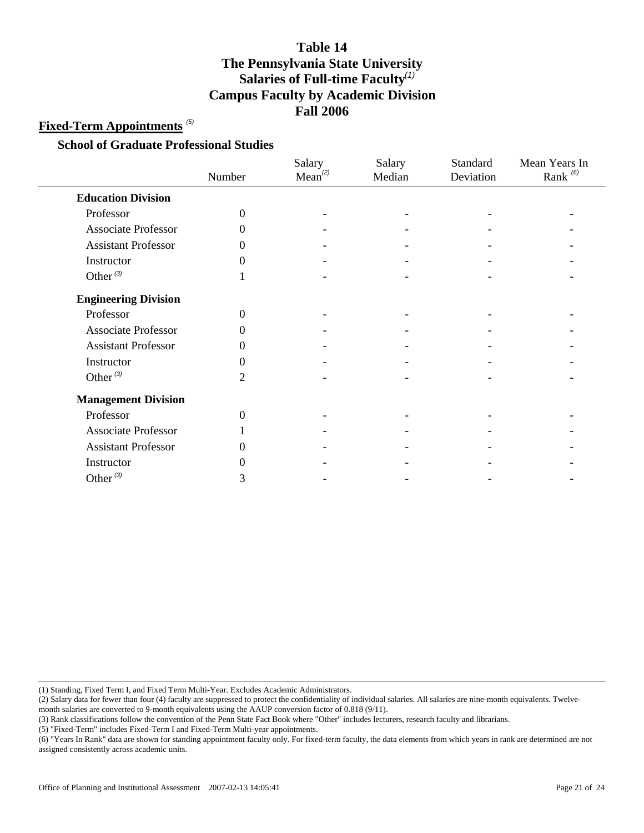### **Fixed-Term Appointments** *(5)*

#### **School of Graduate Professional Studies**

|                             | Number         | Salary<br>$Mean^{(2)}$ | Salary<br>Median | Standard<br>Deviation | Mean Years In<br>Rank $(6)$ |
|-----------------------------|----------------|------------------------|------------------|-----------------------|-----------------------------|
| <b>Education Division</b>   |                |                        |                  |                       |                             |
| Professor                   | $\overline{0}$ |                        |                  |                       |                             |
| <b>Associate Professor</b>  | $\Omega$       |                        |                  |                       |                             |
| <b>Assistant Professor</b>  | 0              |                        |                  |                       |                             |
| Instructor                  | 0              |                        |                  |                       |                             |
| Other $(3)$                 |                |                        |                  |                       |                             |
| <b>Engineering Division</b> |                |                        |                  |                       |                             |
| Professor                   | $\overline{0}$ |                        |                  |                       |                             |
| Associate Professor         | 0              |                        |                  |                       |                             |
| <b>Assistant Professor</b>  | $\Omega$       |                        |                  |                       |                             |
| Instructor                  | $\Omega$       |                        |                  |                       |                             |
| Other $^{(3)}$              | $\overline{2}$ |                        |                  |                       |                             |
| <b>Management Division</b>  |                |                        |                  |                       |                             |
| Professor                   | $\theta$       |                        |                  |                       |                             |
| <b>Associate Professor</b>  |                |                        |                  |                       |                             |
| <b>Assistant Professor</b>  | 0              |                        |                  |                       |                             |
| Instructor                  | 0              |                        |                  |                       |                             |
| Other $(3)$                 | 3              |                        |                  |                       |                             |

(1) Standing, Fixed Term I, and Fixed Term Multi-Year. Excludes Academic Administrators.

(2) Salary data for fewer than four (4) faculty are suppressed to protect the confidentiality of individual salaries. All salaries are nine-month equivalents. Twelve-

month salaries are converted to 9-month equivalents using the AAUP conversion factor of 0.818 (9/11).

(3) Rank classifications follow the convention of the Penn State Fact Book where "Other" includes lecturers, research faculty and librarians.

(5) "Fixed-Term" includes Fixed-Term I and Fixed-Term Multi-year appointments.

(6) "Years In Rank" data are shown for standing appointment faculty only. For fixed-term faculty, the data elements from which years in rank are determined are not assigned consistently across academic units.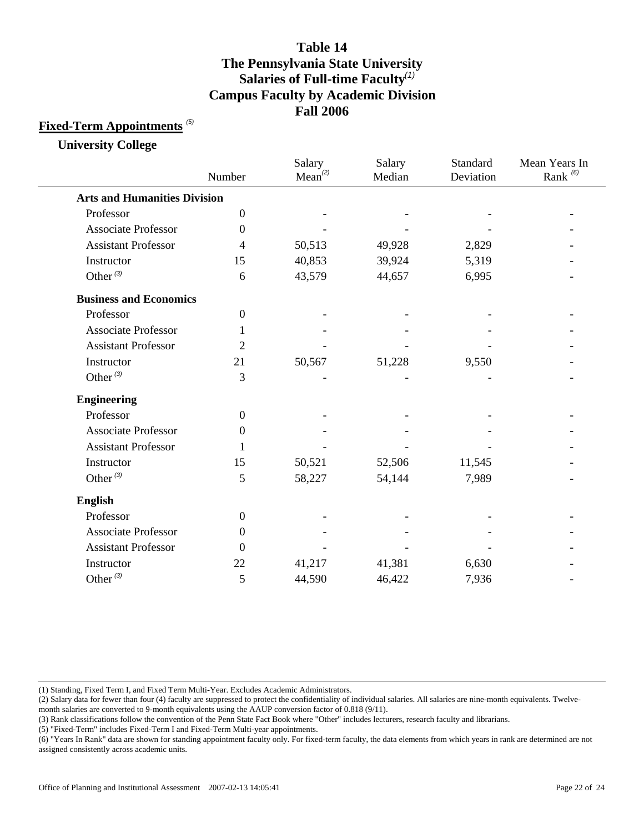### **Fixed-Term Appointments** *(5)*

**University College**

|                                     | Number           | Salary<br>Mean <sup>(2)</sup> | Salary<br>Median | Standard<br>Deviation | Mean Years In<br>Rank <sup>(6)</sup> |
|-------------------------------------|------------------|-------------------------------|------------------|-----------------------|--------------------------------------|
| <b>Arts and Humanities Division</b> |                  |                               |                  |                       |                                      |
| Professor                           | $\boldsymbol{0}$ |                               |                  |                       |                                      |
| <b>Associate Professor</b>          | $\Omega$         |                               |                  |                       |                                      |
| <b>Assistant Professor</b>          | 4                | 50,513                        | 49,928           | 2,829                 |                                      |
| Instructor                          | 15               | 40,853                        | 39,924           | 5,319                 |                                      |
| Other $(3)$                         | 6                | 43,579                        | 44,657           | 6,995                 |                                      |
| <b>Business and Economics</b>       |                  |                               |                  |                       |                                      |
| Professor                           | $\boldsymbol{0}$ |                               |                  |                       |                                      |
| <b>Associate Professor</b>          | 1                |                               |                  |                       |                                      |
| <b>Assistant Professor</b>          | $\overline{2}$   |                               |                  |                       |                                      |
| Instructor                          | 21               | 50,567                        | 51,228           | 9,550                 |                                      |
| Other $(3)$                         | 3                |                               |                  |                       |                                      |
| <b>Engineering</b>                  |                  |                               |                  |                       |                                      |
| Professor                           | $\overline{0}$   |                               |                  |                       |                                      |
| <b>Associate Professor</b>          | $\Omega$         |                               |                  |                       |                                      |
| <b>Assistant Professor</b>          | 1                |                               |                  |                       |                                      |
| Instructor                          | 15               | 50,521                        | 52,506           | 11,545                |                                      |
| Other $(3)$                         | 5                | 58,227                        | 54,144           | 7,989                 |                                      |
| <b>English</b>                      |                  |                               |                  |                       |                                      |
| Professor                           | $\mathbf{0}$     |                               |                  |                       |                                      |
| <b>Associate Professor</b>          | $\Omega$         |                               |                  |                       |                                      |
| <b>Assistant Professor</b>          | $\Omega$         |                               |                  |                       |                                      |
| Instructor                          | 22               | 41,217                        | 41,381           | 6,630                 |                                      |
| Other $^{(3)}$                      | 5                | 44,590                        | 46,422           | 7,936                 |                                      |
|                                     |                  |                               |                  |                       |                                      |

(1) Standing, Fixed Term I, and Fixed Term Multi-Year. Excludes Academic Administrators.

(2) Salary data for fewer than four (4) faculty are suppressed to protect the confidentiality of individual salaries. All salaries are nine-month equivalents. Twelve-

month salaries are converted to 9-month equivalents using the AAUP conversion factor of 0.818 (9/11).

(3) Rank classifications follow the convention of the Penn State Fact Book where "Other" includes lecturers, research faculty and librarians.

<sup>(6) &</sup>quot;Years In Rank" data are shown for standing appointment faculty only. For fixed-term faculty, the data elements from which years in rank are determined are not assigned consistently across academic units.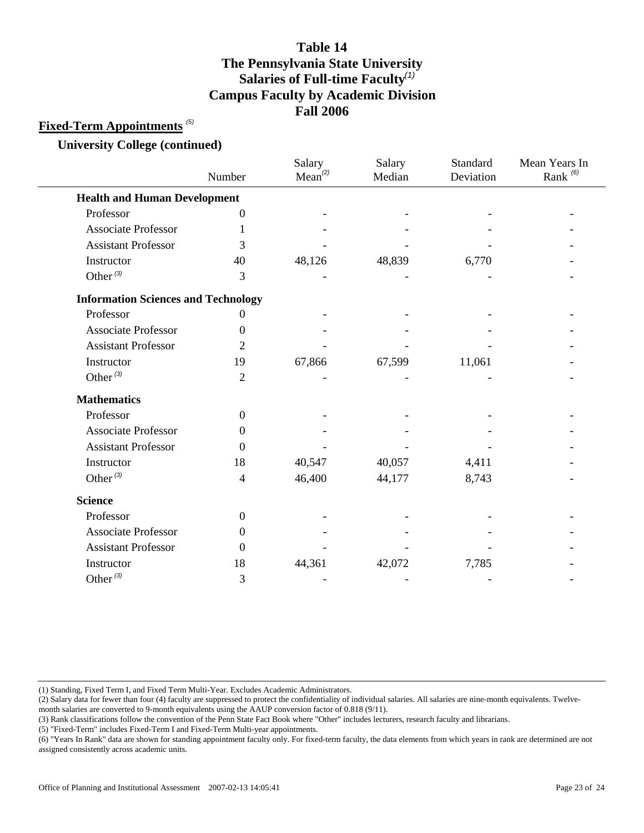### **Fixed-Term Appointments** *(5)*

**University College (continued)**

|                                            | Number           | Salary<br>Mean <sup>(2)</sup> | Salary<br>Median | Standard<br>Deviation | Mean Years In<br>Rank <sup>(6)</sup> |
|--------------------------------------------|------------------|-------------------------------|------------------|-----------------------|--------------------------------------|
| <b>Health and Human Development</b>        |                  |                               |                  |                       |                                      |
| Professor                                  | $\boldsymbol{0}$ |                               |                  |                       |                                      |
| <b>Associate Professor</b>                 |                  |                               |                  |                       |                                      |
| <b>Assistant Professor</b>                 | 3                |                               |                  |                       |                                      |
| Instructor                                 | 40               | 48,126                        | 48,839           | 6,770                 |                                      |
| Other $(3)$                                | 3                |                               |                  |                       |                                      |
| <b>Information Sciences and Technology</b> |                  |                               |                  |                       |                                      |
| Professor                                  | 0                |                               |                  |                       |                                      |
| <b>Associate Professor</b>                 | 0                |                               |                  |                       |                                      |
| <b>Assistant Professor</b>                 | 2                |                               |                  |                       |                                      |
| Instructor                                 | 19               | 67,866                        | 67,599           | 11,061                |                                      |
| Other $^{(3)}$                             | $\overline{2}$   |                               |                  |                       |                                      |
| <b>Mathematics</b>                         |                  |                               |                  |                       |                                      |
| Professor                                  | $\boldsymbol{0}$ |                               |                  |                       |                                      |
| <b>Associate Professor</b>                 | 0                |                               |                  |                       |                                      |
| <b>Assistant Professor</b>                 | $\Omega$         |                               |                  |                       |                                      |
| Instructor                                 | 18               | 40,547                        | 40,057           | 4,411                 |                                      |
| Other $(3)$                                | $\overline{4}$   | 46,400                        | 44,177           | 8,743                 |                                      |
| <b>Science</b>                             |                  |                               |                  |                       |                                      |
| Professor                                  | $\overline{0}$   |                               |                  |                       |                                      |
| <b>Associate Professor</b>                 | 0                |                               |                  |                       |                                      |
| <b>Assistant Professor</b>                 | $\Omega$         |                               |                  |                       |                                      |
| Instructor                                 | 18               | 44,361                        | 42,072           | 7,785                 |                                      |
| Other $^{(3)}$                             | 3                |                               |                  |                       |                                      |

(1) Standing, Fixed Term I, and Fixed Term Multi-Year. Excludes Academic Administrators.

(2) Salary data for fewer than four (4) faculty are suppressed to protect the confidentiality of individual salaries. All salaries are nine-month equivalents. Twelve-

month salaries are converted to 9-month equivalents using the AAUP conversion factor of 0.818 (9/11).

(3) Rank classifications follow the convention of the Penn State Fact Book where "Other" includes lecturers, research faculty and librarians.

<sup>(6) &</sup>quot;Years In Rank" data are shown for standing appointment faculty only. For fixed-term faculty, the data elements from which years in rank are determined are not assigned consistently across academic units.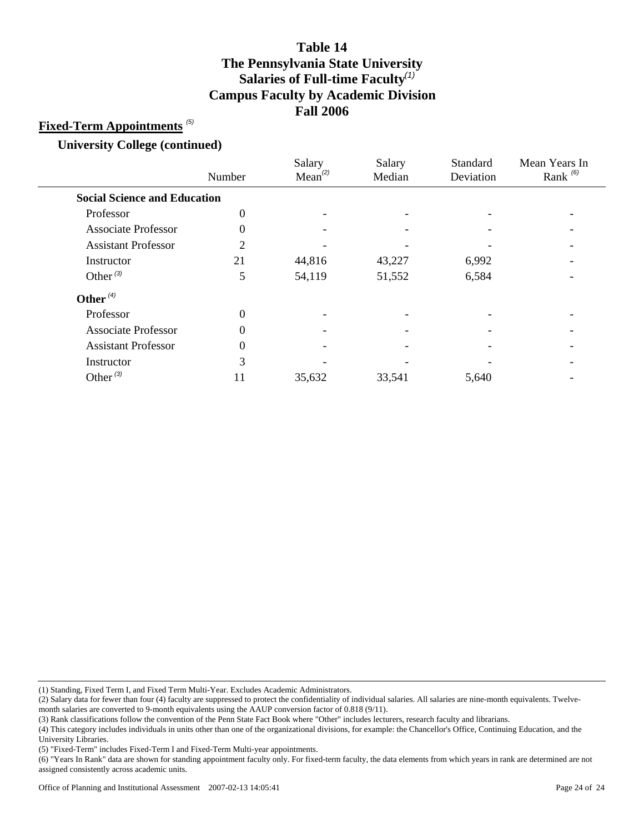### **Fixed-Term Appointments** *(5)*

**University College (continued)**

|                                     | Number         | Salary<br>Mean <sup>(2)</sup> | Salary<br>Median | Standard<br>Deviation | Mean Years In<br>Rank $^{(6)}$ |
|-------------------------------------|----------------|-------------------------------|------------------|-----------------------|--------------------------------|
| <b>Social Science and Education</b> |                |                               |                  |                       |                                |
| Professor                           | 0              |                               |                  |                       |                                |
| <b>Associate Professor</b>          | $\theta$       |                               |                  |                       |                                |
| <b>Assistant Professor</b>          | $\overline{c}$ |                               |                  |                       |                                |
| Instructor                          | 21             | 44,816                        | 43,227           | 6,992                 |                                |
| Other $(3)$                         | 5              | 54,119                        | 51,552           | 6,584                 |                                |
| Other $(4)$                         |                |                               |                  |                       |                                |
| Professor                           | $\theta$       |                               |                  |                       |                                |
| <b>Associate Professor</b>          | $\theta$       |                               |                  |                       |                                |
| <b>Assistant Professor</b>          | $\theta$       |                               |                  |                       |                                |
| Instructor                          | 3              |                               |                  |                       |                                |
| Other $^{(3)}$                      | 11             | 35,632                        | 33,541           | 5,640                 |                                |
|                                     |                |                               |                  |                       |                                |

(1) Standing, Fixed Term I, and Fixed Term Multi-Year. Excludes Academic Administrators.

(2) Salary data for fewer than four (4) faculty are suppressed to protect the confidentiality of individual salaries. All salaries are nine-month equivalents. Twelvemonth salaries are converted to 9-month equivalents using the AAUP conversion factor of 0.818 (9/11).

(3) Rank classifications follow the convention of the Penn State Fact Book where "Other" includes lecturers, research faculty and librarians.

(4) This category includes individuals in units other than one of the organizational divisions, for example: the Chancellor's Office, Continuing Education, and the University Libraries.

(5) "Fixed-Term" includes Fixed-Term I and Fixed-Term Multi-year appointments.

(6) "Years In Rank" data are shown for standing appointment faculty only. For fixed-term faculty, the data elements from which years in rank are determined are not assigned consistently across academic units.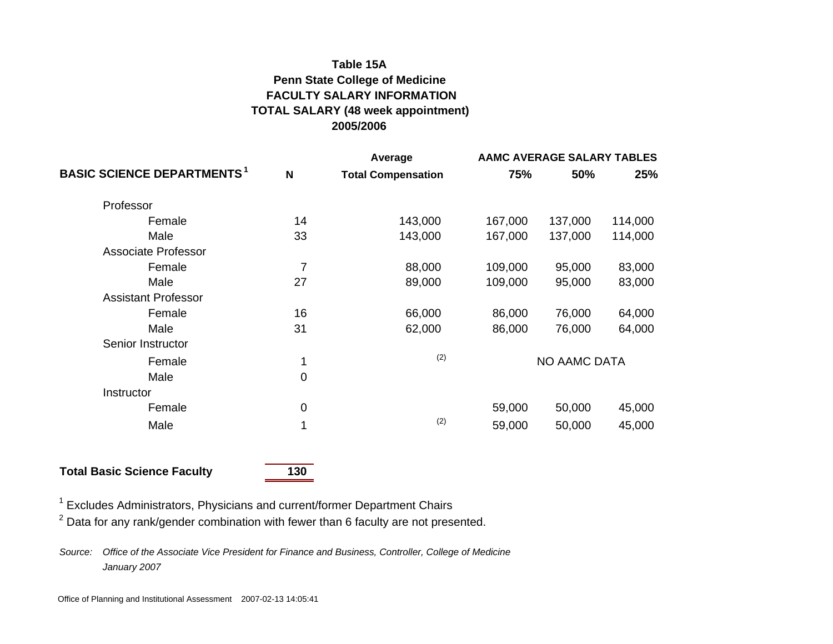# **Table 15AFACULTY SALARY INFORMATIONTOTAL SALARY (48 week appointment) 2005/2006Penn State College of Medicine**

|                                               |                | Average                   | AAMC AVERAGE SALARY TABLES |         |         |  |
|-----------------------------------------------|----------------|---------------------------|----------------------------|---------|---------|--|
| <b>BASIC SCIENCE DEPARTMENTS</b> <sup>1</sup> | N              | <b>Total Compensation</b> | 75%                        | 50%     | 25%     |  |
| Professor                                     |                |                           |                            |         |         |  |
| Female                                        | 14             | 143,000                   | 167,000                    | 137,000 | 114,000 |  |
| Male                                          | 33             | 143,000                   | 167,000                    | 137,000 | 114,000 |  |
| Associate Professor                           |                |                           |                            |         |         |  |
| Female                                        | $\overline{7}$ | 88,000                    | 109,000                    | 95,000  | 83,000  |  |
| Male                                          | 27             | 89,000                    | 109,000                    | 95,000  | 83,000  |  |
| <b>Assistant Professor</b>                    |                |                           |                            |         |         |  |
| Female                                        | 16             | 66,000                    | 86,000                     | 76,000  | 64,000  |  |
| Male                                          | 31             | 62,000                    | 86,000                     | 76,000  | 64,000  |  |
| Senior Instructor                             |                |                           |                            |         |         |  |
| Female                                        | 1              | (2)                       | <b>NO AAMC DATA</b>        |         |         |  |
| Male                                          | $\mathbf 0$    |                           |                            |         |         |  |
| Instructor                                    |                |                           |                            |         |         |  |
| Female                                        | $\mathbf 0$    |                           | 59,000                     | 50,000  | 45,000  |  |
| Male                                          | 1              | (2)                       | 59,000                     | 50,000  | 45,000  |  |

## **Total Basic Science Faculty 130**

<sup>1</sup> Excludes Administrators, Physicians and current/former Department Chairs

 $2$  Data for any rank/gender combination with fewer than 6 faculty are not presented.

*Source: Office of the Associate Vice President for Finance and Business, Controller, College of Medicine January 2007*